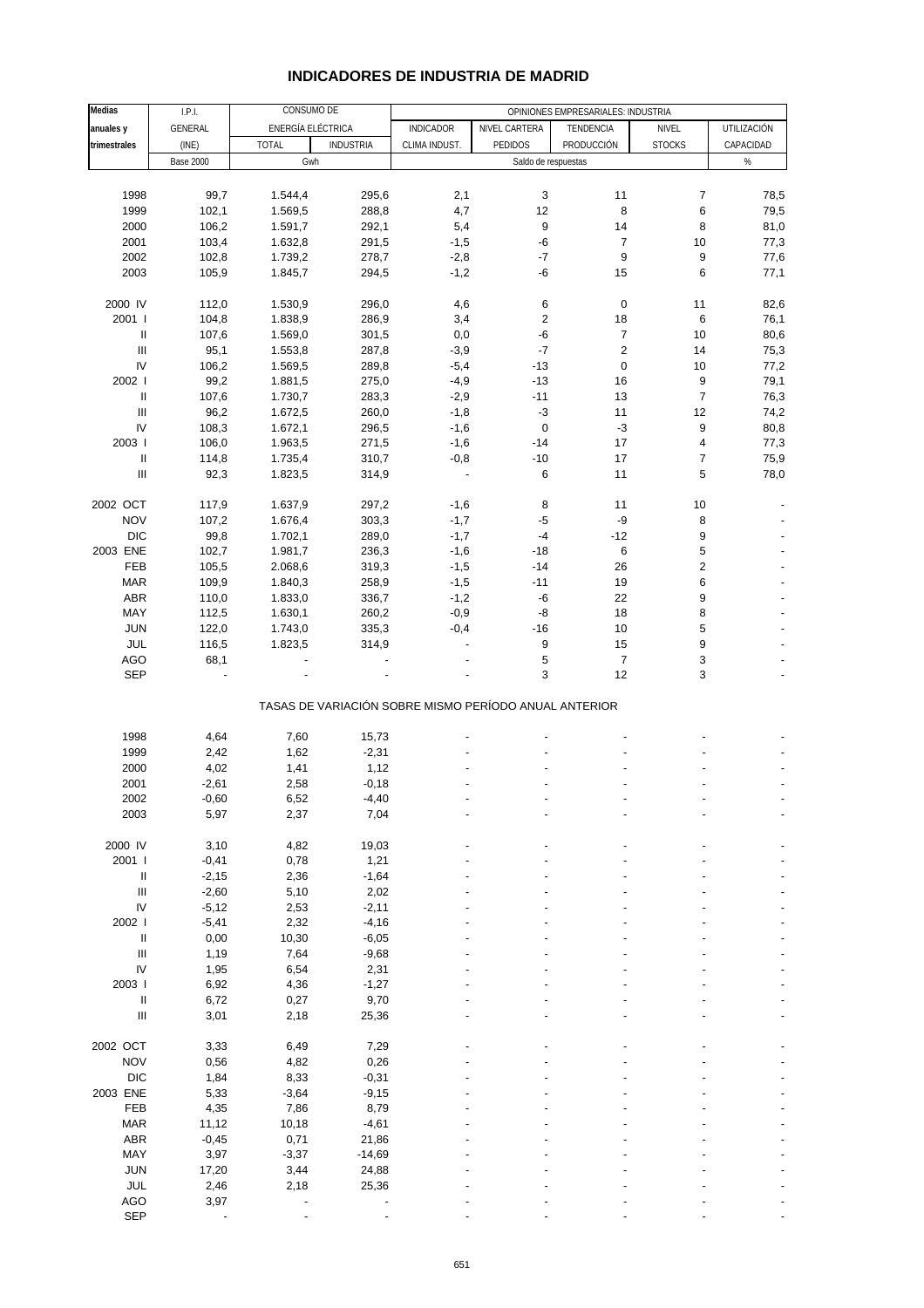## **INDICADORES DE INDUSTRIA DE MADRID**

| Medias                             | I.P.I.           | CONSUMO DE        |                  | OPINIONES EMPRESARIALES: INDUSTRIA                    |                     |                         |                           |                    |  |
|------------------------------------|------------------|-------------------|------------------|-------------------------------------------------------|---------------------|-------------------------|---------------------------|--------------------|--|
| anuales y                          | <b>GENERAL</b>   | ENERGÍA ELÉCTRICA |                  | <b>INDICADOR</b>                                      | NIVEL CARTERA       | TENDENCIA               | NIVEL                     | <b>UTILIZACIÓN</b> |  |
|                                    |                  | <b>TOTAL</b>      | <b>INDUSTRIA</b> | CLIMA INDUST.                                         | PEDIDOS             | PRODUCCIÓN              | <b>STOCKS</b>             | CAPACIDAD          |  |
| trimestrales                       | (INE)            |                   |                  |                                                       |                     |                         |                           |                    |  |
|                                    | <b>Base 2000</b> | Gwh               |                  |                                                       | Saldo de respuestas |                         |                           | $\%$               |  |
|                                    |                  |                   |                  |                                                       |                     |                         |                           |                    |  |
| 1998                               | 99,7             | 1.544,4           | 295,6            | 2,1                                                   | 3                   | 11                      | 7                         | 78,5               |  |
| 1999                               | 102,1            | 1.569,5           | 288,8            | 4,7                                                   | 12                  | 8                       | 6                         | 79,5               |  |
| 2000                               | 106,2            | 1.591,7           | 292,1            | 5,4                                                   | 9                   | 14                      | 8                         | 81,0               |  |
| 2001                               | 103,4            | 1.632,8           | 291,5            | $-1,5$                                                | -6                  | $\overline{7}$          | 10                        | 77,3               |  |
|                                    |                  |                   |                  |                                                       |                     |                         |                           |                    |  |
| 2002                               | 102,8            | 1.739,2           | 278,7            | $-2,8$                                                | $-7$                | 9                       | 9                         | 77,6               |  |
| 2003                               | 105,9            | 1.845,7           | 294,5            | $-1,2$                                                | $-6$                | 15                      | 6                         | 77,1               |  |
|                                    |                  |                   |                  |                                                       |                     |                         |                           |                    |  |
| 2000 IV                            | 112,0            | 1.530,9           | 296,0            | 4,6                                                   | 6                   | 0                       | 11                        | 82,6               |  |
| 2001 l                             | 104,8            | 1.838,9           | 286,9            | 3,4                                                   | $\overline{c}$      | 18                      | 6                         | 76,1               |  |
| $\mathsf{II}$                      | 107,6            | 1.569,0           | 301,5            | 0,0                                                   | -6                  | $\boldsymbol{7}$        | 10                        | 80,6               |  |
| $\mathbf{III}$                     |                  |                   |                  |                                                       | $-7$                | $\overline{\mathbf{c}}$ | 14                        |                    |  |
|                                    | 95,1             | 1.553,8           | 287,8            | $-3,9$                                                |                     |                         |                           | 75,3               |  |
| IV                                 | 106,2            | 1.569,5           | 289,8            | $-5,4$                                                | $-13$               | $\pmb{0}$               | 10                        | 77,2               |  |
| 2002                               | 99,2             | 1.881,5           | 275,0            | $-4,9$                                                | $-13$               | 16                      | 9                         | 79,1               |  |
| Ш                                  | 107,6            | 1.730,7           | 283,3            | $-2,9$                                                | $-11$               | 13                      | $\overline{7}$            | 76,3               |  |
| $\mathbf{III}$                     | 96,2             | 1.672,5           | 260,0            | $-1,8$                                                | $-3$                | 11                      | 12                        | 74,2               |  |
| IV                                 | 108,3            | 1.672,1           | 296,5            | $-1,6$                                                | $\mathsf 0$         | $-3$                    | 9                         | 80,8               |  |
| 2003                               | 106,0            | 1.963,5           | 271,5            | $-1,6$                                                | $-14$               | 17                      | $\overline{\mathbf{4}}$   | 77,3               |  |
|                                    |                  |                   |                  |                                                       |                     |                         |                           |                    |  |
| $\ensuremath{\mathsf{II}}$         | 114,8            | 1.735,4           | 310,7            | $-0,8$                                                | $-10$               | 17                      | 7                         | 75,9               |  |
| $\mathbf{III}$                     | 92,3             | 1.823,5           | 314,9            | $\overline{a}$                                        | 6                   | 11                      | 5                         | 78,0               |  |
|                                    |                  |                   |                  |                                                       |                     |                         |                           |                    |  |
| 2002 OCT                           | 117,9            | 1.637,9           | 297,2            | $-1,6$                                                | 8                   | 11                      | 10                        |                    |  |
| <b>NOV</b>                         | 107,2            | 1.676,4           | 303,3            | $-1,7$                                                | $-5$                | -9                      | $\bf 8$                   |                    |  |
| <b>DIC</b>                         | 99,8             | 1.702,1           | 289,0            | $-1,7$                                                | $-4$                | $-12$                   | 9                         |                    |  |
| 2003 ENE                           | 102,7            | 1.981,7           | 236,3            | $-1,6$                                                | $-18$               | 6                       | 5                         |                    |  |
|                                    |                  |                   |                  |                                                       |                     |                         |                           |                    |  |
| FEB                                | 105,5            | 2.068,6           | 319,3            | $-1,5$                                                | $-14$               | 26                      | $\boldsymbol{2}$          |                    |  |
| <b>MAR</b>                         | 109,9            | 1.840,3           | 258,9            | $-1,5$                                                | $-11$               | 19                      | 6                         |                    |  |
| ABR                                | 110,0            | 1.833,0           | 336,7            | $-1,2$                                                | -6                  | 22                      | 9                         |                    |  |
| MAY                                | 112,5            | 1.630,1           | 260,2            | $-0,9$                                                | -8                  | 18                      | 8                         |                    |  |
| <b>JUN</b>                         | 122,0            | 1.743,0           | 335,3            | $-0,4$                                                | $-16$               | 10                      | 5                         |                    |  |
| JUL                                | 116,5            | 1.823,5           | 314,9            |                                                       | 9                   | 15                      | 9                         |                    |  |
| <b>AGO</b>                         | 68,1             |                   |                  |                                                       | 5                   | $\overline{7}$          | $\ensuremath{\mathsf{3}}$ |                    |  |
|                                    |                  |                   |                  |                                                       |                     |                         |                           |                    |  |
| <b>SEP</b>                         |                  |                   |                  |                                                       | 3                   | 12                      | 3                         |                    |  |
|                                    |                  |                   |                  |                                                       |                     |                         |                           |                    |  |
|                                    |                  |                   |                  | TASAS DE VARIACIÓN SOBRE MISMO PERÍODO ANUAL ANTERIOR |                     |                         |                           |                    |  |
|                                    |                  |                   |                  |                                                       |                     |                         |                           |                    |  |
| 1998                               | 4,64             | 7,60              | 15,73            |                                                       |                     |                         |                           |                    |  |
| 1999                               | 2,42             | 1,62              | $-2,31$          |                                                       |                     |                         |                           |                    |  |
| 2000                               | 4,02             | 1,41              | 1,12             |                                                       |                     |                         |                           |                    |  |
| 2001                               | $-2,61$          | 2,58              | $-0,18$          |                                                       |                     |                         |                           |                    |  |
| 2002                               |                  |                   |                  |                                                       |                     |                         |                           |                    |  |
|                                    | $-0,60$          | 6,52              | $-4,40$          |                                                       |                     |                         |                           |                    |  |
| 2003                               | 5,97             | 2,37              | 7,04             |                                                       |                     |                         |                           |                    |  |
|                                    |                  |                   |                  |                                                       |                     |                         |                           |                    |  |
| 2000 IV                            | 3,10             | 4,82              | 19,03            |                                                       |                     |                         |                           |                    |  |
| 2001 l                             | $-0,41$          | 0,78              | 1,21             |                                                       |                     |                         |                           |                    |  |
| $\, \parallel$                     | $-2,15$          | 2,36              | $-1,64$          |                                                       |                     |                         |                           |                    |  |
| $\ensuremath{\mathsf{III}}\xspace$ | $-2,60$          | 5,10              | 2,02             |                                                       |                     |                         |                           |                    |  |
| IV                                 | $-5,12$          | 2,53              | $-2,11$          |                                                       |                     |                         |                           |                    |  |
|                                    |                  |                   |                  |                                                       |                     |                         |                           |                    |  |
| 2002 l                             | $-5,41$          | 2,32              | $-4,16$          |                                                       |                     |                         |                           |                    |  |
| $\mathsf{II}$                      | 0,00             | 10,30             | $-6,05$          |                                                       |                     |                         |                           |                    |  |
| $\begin{array}{c} \Pi \end{array}$ | 1,19             | 7,64              | $-9,68$          |                                                       |                     |                         |                           |                    |  |
| IV                                 | 1,95             | 6,54              | 2,31             |                                                       |                     |                         |                           |                    |  |
| 2003                               | 6,92             | 4,36              | $-1,27$          |                                                       |                     |                         |                           |                    |  |
| $\sf II$                           | 6,72             | 0,27              | 9,70             |                                                       |                     |                         |                           |                    |  |
| $\ensuremath{\mathsf{III}}\xspace$ | 3,01             | 2,18              | 25,36            |                                                       |                     |                         |                           |                    |  |
|                                    |                  |                   |                  |                                                       |                     |                         |                           |                    |  |
|                                    |                  |                   |                  |                                                       |                     |                         |                           |                    |  |
| 2002 OCT                           | 3,33             | 6,49              | 7,29             |                                                       |                     |                         |                           |                    |  |
| <b>NOV</b>                         | 0,56             | 4,82              | 0,26             |                                                       |                     |                         |                           |                    |  |
| <b>DIC</b>                         | 1,84             | 8,33              | $-0,31$          |                                                       |                     |                         |                           |                    |  |
| 2003 ENE                           | 5,33             | $-3,64$           | $-9,15$          |                                                       |                     |                         |                           |                    |  |
| FEB                                | 4,35             | 7,86              | 8,79             |                                                       |                     |                         |                           |                    |  |
| <b>MAR</b>                         | 11,12            | 10,18             | $-4,61$          |                                                       |                     |                         |                           |                    |  |
| ABR                                | $-0,45$          | 0,71              | 21,86            |                                                       |                     |                         |                           |                    |  |
|                                    |                  |                   |                  |                                                       |                     |                         |                           |                    |  |
| MAY                                | 3,97             | $-3,37$           | $-14,69$         |                                                       |                     |                         |                           |                    |  |
| <b>JUN</b>                         | 17,20            | 3,44              | 24,88            |                                                       |                     |                         |                           |                    |  |
| JUL                                | 2,46             | 2,18              | 25,36            |                                                       |                     |                         |                           |                    |  |
| <b>AGO</b>                         | 3,97             |                   |                  |                                                       |                     |                         |                           |                    |  |
| <b>SEP</b>                         |                  |                   |                  |                                                       |                     |                         |                           |                    |  |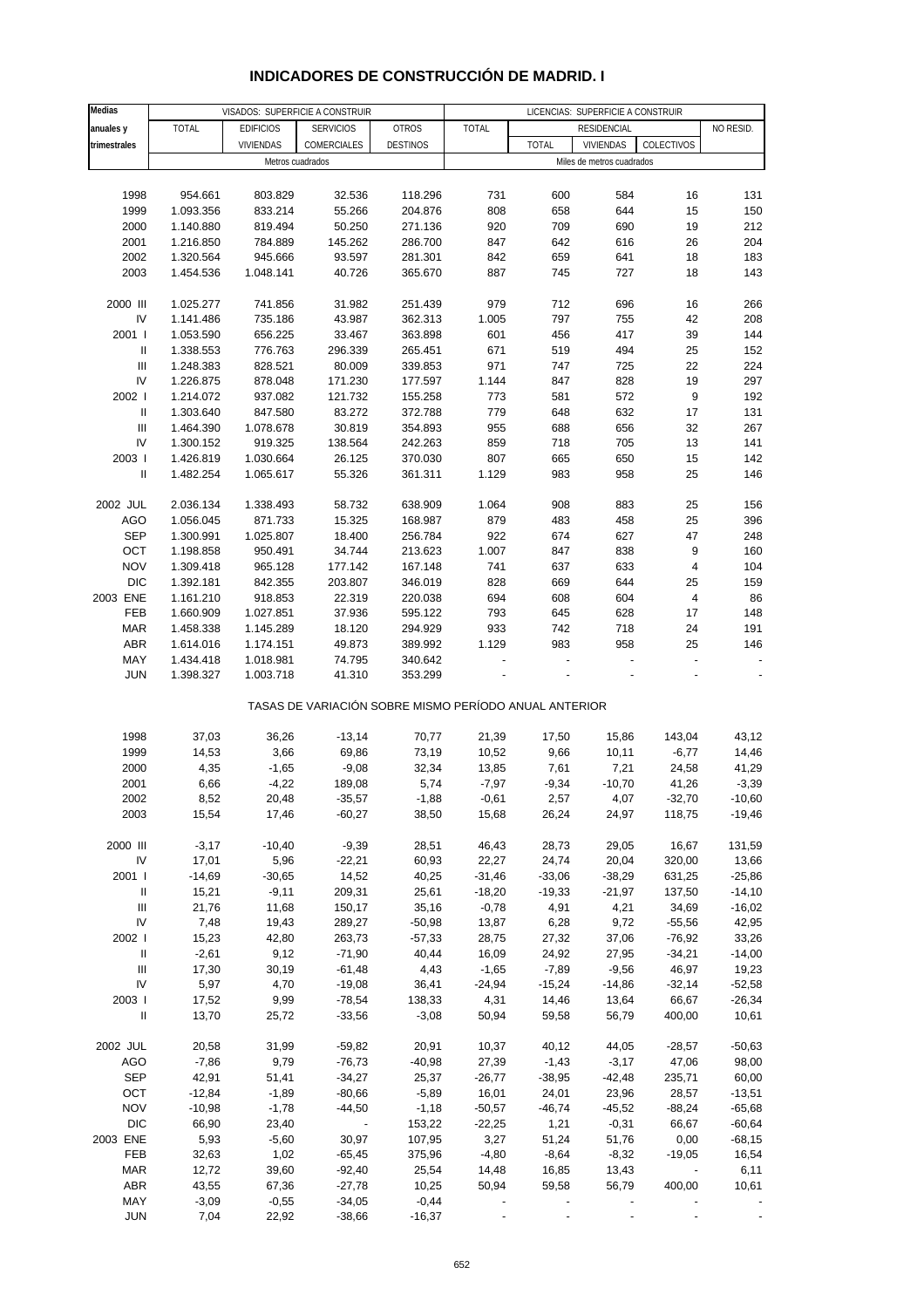| Medias                             |              |                  | VISADOS: SUPERFICIE A CONSTRUIR                       |                 | LICENCIAS: SUPERFICIE A CONSTRUIR |              |                           |                          |           |  |
|------------------------------------|--------------|------------------|-------------------------------------------------------|-----------------|-----------------------------------|--------------|---------------------------|--------------------------|-----------|--|
| anuales y                          | <b>TOTAL</b> | <b>EDIFICIOS</b> | <b>SERVICIOS</b>                                      | <b>OTROS</b>    | <b>TOTAL</b>                      |              | <b>RESIDENCIAL</b>        |                          | NO RESID. |  |
| trimestrales                       |              | <b>VIVIENDAS</b> | COMERCIALES                                           | <b>DESTINOS</b> |                                   | <b>TOTAL</b> | <b>VIVIENDAS</b>          | COLECTIVOS               |           |  |
|                                    |              |                  | Metros cuadrados                                      |                 |                                   |              | Miles de metros cuadrados |                          |           |  |
|                                    |              |                  |                                                       |                 |                                   |              |                           |                          |           |  |
|                                    |              |                  |                                                       |                 |                                   |              |                           |                          |           |  |
| 1998                               | 954.661      | 803.829          | 32.536                                                | 118.296         | 731                               | 600          | 584                       | 16                       | 131       |  |
| 1999                               | 1.093.356    | 833.214          | 55.266                                                | 204.876         | 808                               | 658          | 644                       | 15                       | 150       |  |
| 2000                               | 1.140.880    | 819.494          | 50.250                                                | 271.136         | 920                               | 709          | 690                       | 19                       | 212       |  |
| 2001                               | 1.216.850    | 784.889          | 145.262                                               | 286.700         | 847                               | 642          | 616                       | 26                       | 204       |  |
| 2002                               | 1.320.564    | 945.666          | 93.597                                                | 281.301         | 842                               | 659          | 641                       | 18                       | 183       |  |
| 2003                               | 1.454.536    | 1.048.141        | 40.726                                                | 365.670         | 887                               | 745          | 727                       | 18                       | 143       |  |
|                                    |              |                  |                                                       |                 |                                   |              |                           |                          |           |  |
| 2000 III                           | 1.025.277    | 741.856          | 31.982                                                | 251.439         | 979                               | 712          | 696                       | 16                       | 266       |  |
| IV                                 | 1.141.486    | 735.186          | 43.987                                                | 362.313         | 1.005                             | 797          | 755                       | 42                       | 208       |  |
| 2001 l                             | 1.053.590    | 656.225          | 33.467                                                | 363.898         | 601                               | 456          | 417                       | 39                       | 144       |  |
| Ш                                  | 1.338.553    | 776.763          | 296.339                                               | 265.451         | 671                               | 519          | 494                       | 25                       | 152       |  |
| $\ensuremath{\mathsf{III}}\xspace$ | 1.248.383    | 828.521          | 80.009                                                | 339.853         | 971                               | 747          | 725                       | 22                       | 224       |  |
| IV                                 | 1.226.875    | 878.048          | 171.230                                               | 177.597         | 1.144                             | 847          | 828                       | 19                       | 297       |  |
| 2002 l                             | 1.214.072    | 937.082          | 121.732                                               | 155.258         | 773                               | 581          | 572                       | $\boldsymbol{9}$         | 192       |  |
| $\, \parallel$                     | 1.303.640    | 847.580          | 83.272                                                | 372.788         | 779                               | 648          | 632                       | 17                       | 131       |  |
| Ш                                  | 1.464.390    | 1.078.678        | 30.819                                                | 354.893         | 955                               | 688          | 656                       | 32                       | 267       |  |
| IV                                 | 1.300.152    | 919.325          | 138.564                                               | 242.263         | 859                               | 718          | 705                       | 13                       | 141       |  |
| 2003                               |              |                  | 26.125                                                |                 |                                   |              | 650                       |                          | 142       |  |
|                                    | 1.426.819    | 1.030.664        |                                                       | 370.030         | 807                               | 665          |                           | 15                       |           |  |
| Ш                                  | 1.482.254    | 1.065.617        | 55.326                                                | 361.311         | 1.129                             | 983          | 958                       | 25                       | 146       |  |
|                                    |              |                  |                                                       |                 |                                   |              |                           |                          |           |  |
| 2002 JUL                           | 2.036.134    | 1.338.493        | 58.732                                                | 638.909         | 1.064                             | 908          | 883                       | 25                       | 156       |  |
| AGO                                | 1.056.045    | 871.733          | 15.325                                                | 168.987         | 879                               | 483          | 458                       | 25                       | 396       |  |
| <b>SEP</b>                         | 1.300.991    | 1.025.807        | 18.400                                                | 256.784         | 922                               | 674          | 627                       | 47                       | 248       |  |
| OCT                                | 1.198.858    | 950.491          | 34.744                                                | 213.623         | 1.007                             | 847          | 838                       | 9                        | 160       |  |
| <b>NOV</b>                         | 1.309.418    | 965.128          | 177.142                                               | 167.148         | 741                               | 637          | 633                       | 4                        | 104       |  |
| <b>DIC</b>                         | 1.392.181    | 842.355          | 203.807                                               | 346.019         | 828                               | 669          | 644                       | 25                       | 159       |  |
| 2003 ENE                           | 1.161.210    | 918.853          | 22.319                                                | 220.038         | 694                               | 608          | 604                       | 4                        | 86        |  |
| FEB                                | 1.660.909    | 1.027.851        | 37.936                                                | 595.122         | 793                               | 645          | 628                       | 17                       | 148       |  |
| <b>MAR</b>                         | 1.458.338    | 1.145.289        | 18.120                                                | 294.929         | 933                               | 742          | 718                       | 24                       | 191       |  |
| <b>ABR</b>                         | 1.614.016    | 1.174.151        | 49.873                                                | 389.992         | 1.129                             | 983          | 958                       | 25                       | 146       |  |
| MAY                                | 1.434.418    | 1.018.981        | 74.795                                                | 340.642         |                                   |              |                           |                          |           |  |
| <b>JUN</b>                         | 1.398.327    | 1.003.718        | 41.310                                                | 353.299         |                                   |              |                           |                          |           |  |
|                                    |              |                  |                                                       |                 |                                   |              |                           |                          |           |  |
|                                    |              |                  | TASAS DE VARIACIÓN SOBRE MISMO PERÍODO ANUAL ANTERIOR |                 |                                   |              |                           |                          |           |  |
|                                    |              |                  |                                                       |                 |                                   |              |                           |                          |           |  |
| 1998                               | 37,03        | 36,26            | $-13,14$                                              | 70,77           | 21,39                             | 17,50        | 15,86                     | 143,04                   | 43,12     |  |
| 1999                               | 14,53        | 3,66             |                                                       | 73,19           | 10,52                             | 9,66         | 10,11                     |                          |           |  |
|                                    |              |                  | 69,86                                                 |                 |                                   |              |                           | $-6,77$                  | 14,46     |  |
| 2000                               | 4,35         | $-1,65$          | $-9,08$                                               | 32,34           | 13,85                             | 7,61         | 7,21                      | 24,58                    | 41,29     |  |
| 2001                               | 6,66         | $-4,22$          | 189,08                                                | 5,74            | $-7,97$                           | $-9,34$      | $-10,70$                  | 41,26                    | $-3,39$   |  |
| 2002                               | 8,52         | 20,48            | $-35,57$                                              | $-1,88$         | $-0,61$                           | 2,57         | 4,07                      | $-32,70$                 | $-10,60$  |  |
| 2003                               | 15,54        | 17,46            | $-60,27$                                              | 38,50           | 15,68                             | 26,24        | 24,97                     | 118,75                   | $-19,46$  |  |
|                                    |              |                  |                                                       |                 |                                   |              |                           |                          |           |  |
| 2000 III                           | $-3,17$      | $-10,40$         | $-9,39$                                               | 28,51           | 46,43                             | 28,73        | 29,05                     | 16,67                    | 131,59    |  |
| IV                                 | 17,01        | 5,96             | $-22,21$                                              | 60,93           | 22,27                             | 24,74        | 20,04                     | 320,00                   | 13,66     |  |
| 2001 l                             | $-14,69$     | $-30,65$         | 14,52                                                 | 40,25           | $-31,46$                          | $-33,06$     | $-38,29$                  | 631,25                   | $-25,86$  |  |
| Ш                                  | 15,21        | $-9,11$          | 209,31                                                | 25,61           | $-18,20$                          | $-19,33$     | $-21,97$                  | 137,50                   | $-14,10$  |  |
| Ш                                  | 21,76        | 11,68            | 150,17                                                | 35,16           | $-0,78$                           | 4,91         | 4,21                      | 34,69                    | $-16,02$  |  |
| IV                                 | 7,48         | 19,43            | 289,27                                                | $-50,98$        | 13,87                             | 6,28         | 9,72                      | $-55,56$                 | 42,95     |  |
| 2002 l                             | 15,23        | 42,80            | 263,73                                                | $-57,33$        | 28,75                             | 27,32        | 37,06                     | $-76,92$                 | 33,26     |  |
| $\mathbf{II}$                      | $-2,61$      | 9,12             | $-71,90$                                              | 40,44           | 16,09                             | 24,92        | 27,95                     | $-34,21$                 | $-14,00$  |  |
| $\ensuremath{\mathsf{III}}\xspace$ | 17,30        | 30,19            | $-61,48$                                              | 4,43            | $-1,65$                           | $-7,89$      | $-9,56$                   | 46,97                    | 19,23     |  |
| IV                                 | 5,97         | 4,70             | $-19,08$                                              | 36,41           | $-24,94$                          | $-15,24$     | $-14,86$                  | $-32,14$                 | $-52,58$  |  |
| 2003                               | 17,52        | 9,99             | $-78,54$                                              | 138,33          | 4,31                              | 14,46        | 13,64                     | 66,67                    | $-26,34$  |  |
| $\, \parallel$                     | 13,70        | 25,72            | $-33,56$                                              | $-3,08$         | 50,94                             | 59,58        | 56,79                     | 400,00                   | 10,61     |  |
|                                    |              |                  |                                                       |                 |                                   |              |                           |                          |           |  |
| 2002 JUL                           | 20,58        | 31,99            | $-59,82$                                              | 20,91           | 10,37                             | 40,12        | 44,05                     | $-28,57$                 | $-50,63$  |  |
|                                    |              |                  |                                                       |                 |                                   |              |                           |                          |           |  |
| <b>AGO</b>                         | $-7,86$      | 9,79             | $-76,73$                                              | $-40,98$        | 27,39                             | $-1,43$      | $-3,17$                   | 47,06                    | 98,00     |  |
| <b>SEP</b>                         | 42,91        | 51,41            | $-34,27$                                              | 25,37           | $-26,77$                          | $-38,95$     | $-42,48$                  | 235,71                   | 60,00     |  |
| OCT                                | $-12,84$     | $-1,89$          | $-80,66$                                              | $-5,89$         | 16,01                             | 24,01        | 23,96                     | 28,57                    | $-13,51$  |  |
| <b>NOV</b>                         | $-10,98$     | $-1,78$          | $-44,50$                                              | $-1,18$         | $-50,57$                          | $-46,74$     | $-45,52$                  | $-88,24$                 | $-65,68$  |  |
| <b>DIC</b>                         | 66,90        | 23,40            |                                                       | 153,22          | $-22,25$                          | 1,21         | $-0,31$                   | 66,67                    | $-60,64$  |  |
| 2003 ENE                           | 5,93         | $-5,60$          | 30,97                                                 | 107,95          | 3,27                              | 51,24        | 51,76                     | 0,00                     | $-68,15$  |  |
| FEB                                | 32,63        | 1,02             | $-65,45$                                              | 375,96          | $-4,80$                           | $-8,64$      | $-8,32$                   | $-19,05$                 | 16,54     |  |
| <b>MAR</b>                         | 12,72        | 39,60            | $-92,40$                                              | 25,54           | 14,48                             | 16,85        | 13,43                     | $\overline{\phantom{a}}$ | 6,11      |  |
| <b>ABR</b>                         | 43,55        | 67,36            | $-27,78$                                              | 10,25           | 50,94                             | 59,58        | 56,79                     | 400,00                   | 10,61     |  |
| MAY                                | $-3,09$      | $-0,55$          | $-34,05$                                              | $-0,44$         |                                   |              |                           |                          |           |  |

## **INDICADORES DE CONSTRUCCIÓN DE MADRID. I**

JUN 7,04 22,92 -38,66 -16,37 - - - - -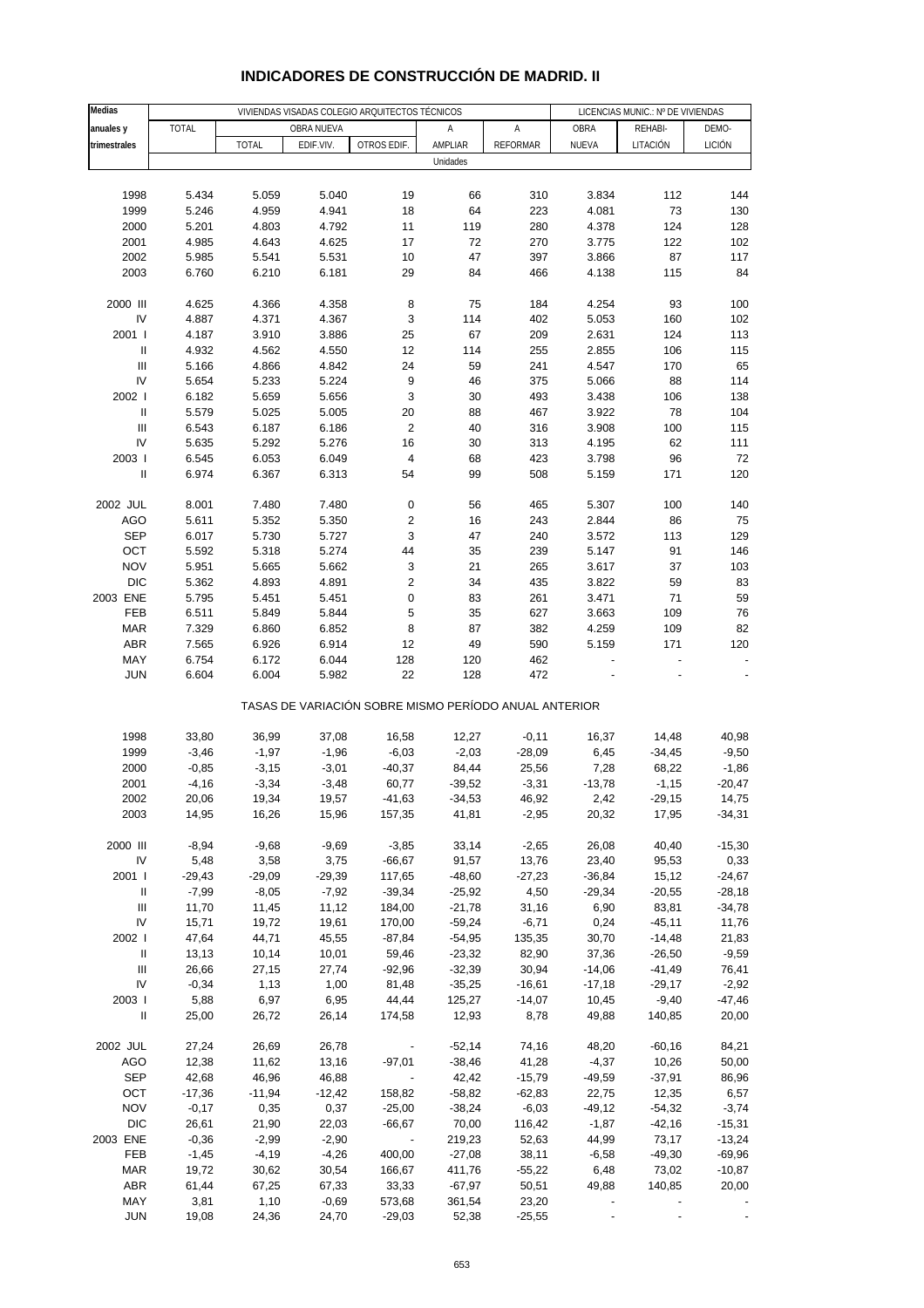| <b>Medias</b>                      |              |              |            | VIVIENDAS VISADAS COLEGIO ARQUITECTOS TÉCNICOS        |          |                 |          | LICENCIAS MUNIC.: Nº DE VIVIENDAS |               |
|------------------------------------|--------------|--------------|------------|-------------------------------------------------------|----------|-----------------|----------|-----------------------------------|---------------|
| anuales y                          | <b>TOTAL</b> |              | OBRA NUEVA |                                                       | Α        | Α               | OBRA     | REHABI-                           | DEMO-         |
| trimestrales                       |              | <b>TOTAL</b> | EDIF.VIV.  | OTROS EDIF.                                           | AMPLIAR  | <b>REFORMAR</b> | NUEVA    | LITACIÓN                          | <b>LICIÓN</b> |
|                                    |              |              |            |                                                       | Unidades |                 |          |                                   |               |
|                                    |              |              |            |                                                       |          |                 |          |                                   |               |
| 1998                               | 5.434        | 5.059        | 5.040      | 19                                                    |          |                 | 3.834    | 112                               | 144           |
| 1999                               | 5.246        | 4.959        | 4.941      | 18                                                    | 66<br>64 | 310<br>223      | 4.081    | 73                                | 130           |
|                                    |              |              |            |                                                       |          |                 |          |                                   |               |
| 2000                               | 5.201        | 4.803        | 4.792      | 11                                                    | 119      | 280             | 4.378    | 124                               | 128           |
| 2001                               | 4.985        | 4.643        | 4.625      | 17                                                    | 72       | 270             | 3.775    | 122                               | 102           |
| 2002                               | 5.985        | 5.541        | 5.531      | 10                                                    | 47       | 397             | 3.866    | 87                                | 117           |
| 2003                               | 6.760        | 6.210        | 6.181      | 29                                                    | 84       | 466             | 4.138    | 115                               | 84            |
| 2000 III                           | 4.625        | 4.366        | 4.358      | 8                                                     | 75       | 184             | 4.254    | 93                                | 100           |
| IV                                 | 4.887        | 4.371        | 4.367      | 3                                                     | 114      | 402             | 5.053    | 160                               | 102           |
| 2001 l                             | 4.187        | 3.910        | 3.886      | 25                                                    | 67       | 209             | 2.631    | 124                               | 113           |
| $\sf II$                           | 4.932        | 4.562        | 4.550      | 12                                                    | 114      | 255             | 2.855    | 106                               | 115           |
| Ш                                  | 5.166        | 4.866        | 4.842      | 24                                                    | 59       | 241             | 4.547    | 170                               | 65            |
| IV                                 | 5.654        | 5.233        | 5.224      | 9                                                     | 46       | 375             | 5.066    | 88                                | 114           |
| 2002                               | 6.182        | 5.659        | 5.656      | 3                                                     | 30       | 493             | 3.438    | 106                               | 138           |
| $\ensuremath{\mathsf{II}}$         |              |              |            |                                                       |          |                 |          | 78                                | 104           |
| $\ensuremath{\mathsf{III}}\xspace$ | 5.579        | 5.025        | 5.005      | 20                                                    | 88       | 467             | 3.922    |                                   |               |
|                                    | 6.543        | 6.187        | 6.186      | $\overline{\mathbf{c}}$                               | 40       | 316             | 3.908    | 100                               | 115           |
| IV                                 | 5.635        | 5.292        | 5.276      | 16                                                    | 30       | 313             | 4.195    | 62                                | 111           |
| 2003                               | 6.545        | 6.053        | 6.049      | $\overline{\mathbf{4}}$                               | 68       | 423             | 3.798    | 96                                | 72            |
| $\sf II$                           | 6.974        | 6.367        | 6.313      | 54                                                    | 99       | 508             | 5.159    | 171                               | 120           |
| 2002 JUL                           | 8.001        | 7.480        | 7.480      | $\pmb{0}$                                             | 56       | 465             | 5.307    | 100                               | 140           |
| <b>AGO</b>                         |              |              |            |                                                       |          |                 |          |                                   |               |
|                                    | 5.611        | 5.352        | 5.350      | $\overline{\mathbf{c}}$                               | 16       | 243             | 2.844    | 86                                | 75            |
| <b>SEP</b>                         | 6.017        | 5.730        | 5.727      | 3                                                     | 47       | 240             | 3.572    | 113                               | 129           |
| OCT                                | 5.592        | 5.318        | 5.274      | 44                                                    | 35       | 239             | 5.147    | 91                                | 146           |
| <b>NOV</b>                         | 5.951        | 5.665        | 5.662      | 3                                                     | 21       | 265             | 3.617    | 37                                | 103           |
| <b>DIC</b>                         | 5.362        | 4.893        | 4.891      | $\overline{\mathbf{c}}$                               | 34       | 435             | 3.822    | 59                                | 83            |
| 2003 ENE                           | 5.795        | 5.451        | 5.451      | 0                                                     | 83       | 261             | 3.471    | 71                                | 59            |
| FEB                                | 6.511        | 5.849        | 5.844      | 5                                                     | 35       | 627             | 3.663    | 109                               | 76            |
| <b>MAR</b>                         | 7.329        | 6.860        | 6.852      | 8                                                     | 87       | 382             | 4.259    | 109                               | 82            |
| <b>ABR</b>                         | 7.565        | 6.926        | 6.914      | 12                                                    | 49       | 590             | 5.159    | 171                               | 120           |
| MAY                                | 6.754        | 6.172        | 6.044      | 128                                                   | 120      | 462             |          |                                   |               |
| <b>JUN</b>                         | 6.604        | 6.004        | 5.982      | 22                                                    | 128      | 472             |          |                                   |               |
|                                    |              |              |            | TASAS DE VARIACIÓN SOBRE MISMO PERÍODO ANUAL ANTERIOR |          |                 |          |                                   |               |
| 1998                               | 33,80        | 36,99        | 37,08      | 16,58                                                 | 12,27    | $-0,11$         | 16,37    | 14,48                             | 40,98         |
| 1999                               | $-3,46$      | $-1,97$      | $-1,96$    | $-6,03$                                               | $-2,03$  | $-28,09$        | 6,45     | $-34,45$                          | $-9,50$       |
|                                    |              |              |            |                                                       |          |                 |          |                                   |               |
| 2000                               | $-0,85$      | $-3,15$      | $-3,01$    | $-40,37$                                              | 84,44    | 25,56           | 7,28     | 68,22                             | $-1,86$       |
| 2001                               | $-4,16$      | $-3,34$      | $-3,48$    | 60,77                                                 | $-39,52$ | $-3,31$         | $-13,78$ | $-1,15$                           | $-20,47$      |
| 2002                               | 20,06        | 19,34        | 19,57      | $-41,63$                                              | $-34,53$ | 46,92           | 2,42     | $-29,15$                          | 14,75         |
| 2003                               | 14,95        | 16,26        | 15,96      | 157,35                                                | 41,81    | $-2,95$         | 20,32    | 17,95                             | $-34,31$      |
| 2000 III                           | $-8,94$      | $-9,68$      | $-9,69$    | $-3,85$                                               | 33,14    | $-2,65$         | 26,08    | 40,40                             | $-15,30$      |
| IV                                 | 5,48         | 3,58         | 3,75       | $-66,67$                                              | 91,57    | 13,76           | 23,40    | 95,53                             | 0,33          |
| 2001 l                             | $-29,43$     | $-29,09$     | $-29,39$   | 117,65                                                | $-48,60$ | $-27,23$        | $-36,84$ | 15,12                             | $-24,67$      |
| Ш                                  | $-7,99$      | $-8,05$      | $-7,92$    | $-39,34$                                              | $-25,92$ | 4,50            | $-29,34$ | $-20,55$                          | $-28,18$      |
| Ш                                  | 11,70        | 11,45        | 11,12      | 184,00                                                | $-21,78$ | 31,16           | 6,90     | 83,81                             | $-34,78$      |
| IV                                 | 15,71        | 19,72        | 19,61      | 170,00                                                | $-59,24$ | $-6,71$         | 0,24     | $-45,11$                          | 11,76         |
| 2002                               | 47,64        | 44,71        | 45,55      | $-87,84$                                              | $-54,95$ | 135,35          | 30,70    | $-14,48$                          | 21,83         |
| $\ensuremath{\mathsf{II}}$         | 13,13        | 10,14        | 10,01      | 59,46                                                 | $-23,32$ | 82,90           | 37,36    | $-26,50$                          | $-9,59$       |
| Ш                                  | 26,66        | 27,15        | 27,74      | $-92,96$                                              | $-32,39$ | 30,94           | $-14,06$ | $-41,49$                          | 76,41         |
| IV                                 | $-0,34$      | 1,13         | 1,00       | 81,48                                                 | $-35,25$ | $-16,61$        | $-17,18$ | $-29,17$                          | $-2,92$       |
| 2003                               | 5,88         | 6,97         | 6,95       | 44,44                                                 | 125,27   | $-14,07$        | 10,45    | $-9,40$                           | $-47,46$      |
| $\ensuremath{\mathsf{II}}$         | 25,00        | 26,72        | 26,14      | 174,58                                                | 12,93    | 8,78            | 49,88    | 140,85                            | 20,00         |
|                                    |              |              |            |                                                       |          |                 |          |                                   |               |
| 2002 JUL                           | 27,24        | 26,69        | 26,78      |                                                       | $-52,14$ | 74,16           | 48,20    | $-60,16$                          | 84,21         |
| <b>AGO</b>                         | 12,38        | 11,62        | 13,16      | $-97,01$                                              | $-38,46$ | 41,28           | $-4,37$  | 10,26                             | 50,00         |
| <b>SEP</b>                         | 42,68        | 46,96        | 46,88      |                                                       | 42,42    | $-15,79$        | $-49,59$ | $-37,91$                          | 86,96         |
| OCT                                | $-17,36$     | $-11,94$     | $-12,42$   | 158,82                                                | $-58,82$ | $-62,83$        | 22,75    | 12,35                             | 6,57          |
| <b>NOV</b>                         | $-0,17$      | 0,35         | 0,37       | $-25,00$                                              | $-38,24$ | $-6,03$         | $-49,12$ | $-54,32$                          | $-3,74$       |
| <b>DIC</b>                         | 26,61        | 21,90        | 22,03      | $-66,67$                                              | 70,00    | 116,42          | $-1,87$  | $-42,16$                          | $-15,31$      |
| 2003 ENE                           | $-0,36$      | $-2,99$      | $-2,90$    |                                                       | 219,23   | 52,63           | 44,99    | 73,17                             | $-13,24$      |
|                                    |              | $-4,19$      |            |                                                       |          |                 |          |                                   | $-69,96$      |
| FEB                                | $-1,45$      |              | $-4,26$    | 400,00                                                | $-27,08$ | 38,11           | $-6,58$  | $-49,30$                          |               |
| <b>MAR</b>                         | 19,72        | 30,62        | 30,54      | 166,67                                                | 411,76   | $-55,22$        | 6,48     | 73,02                             | $-10,87$      |
| ABR                                | 61,44        | 67,25        | 67,33      | 33,33                                                 | $-67,97$ | 50,51           | 49,88    | 140,85                            | 20,00         |
| MAY                                | 3,81         | 1,10         | $-0,69$    | 573,68                                                | 361,54   | 23,20           |          |                                   |               |
| <b>JUN</b>                         | 19,08        | 24,36        | 24,70      | $-29,03$                                              | 52,38    | $-25,55$        |          |                                   |               |

## **INDICADORES DE CONSTRUCCIÓN DE MADRID. II**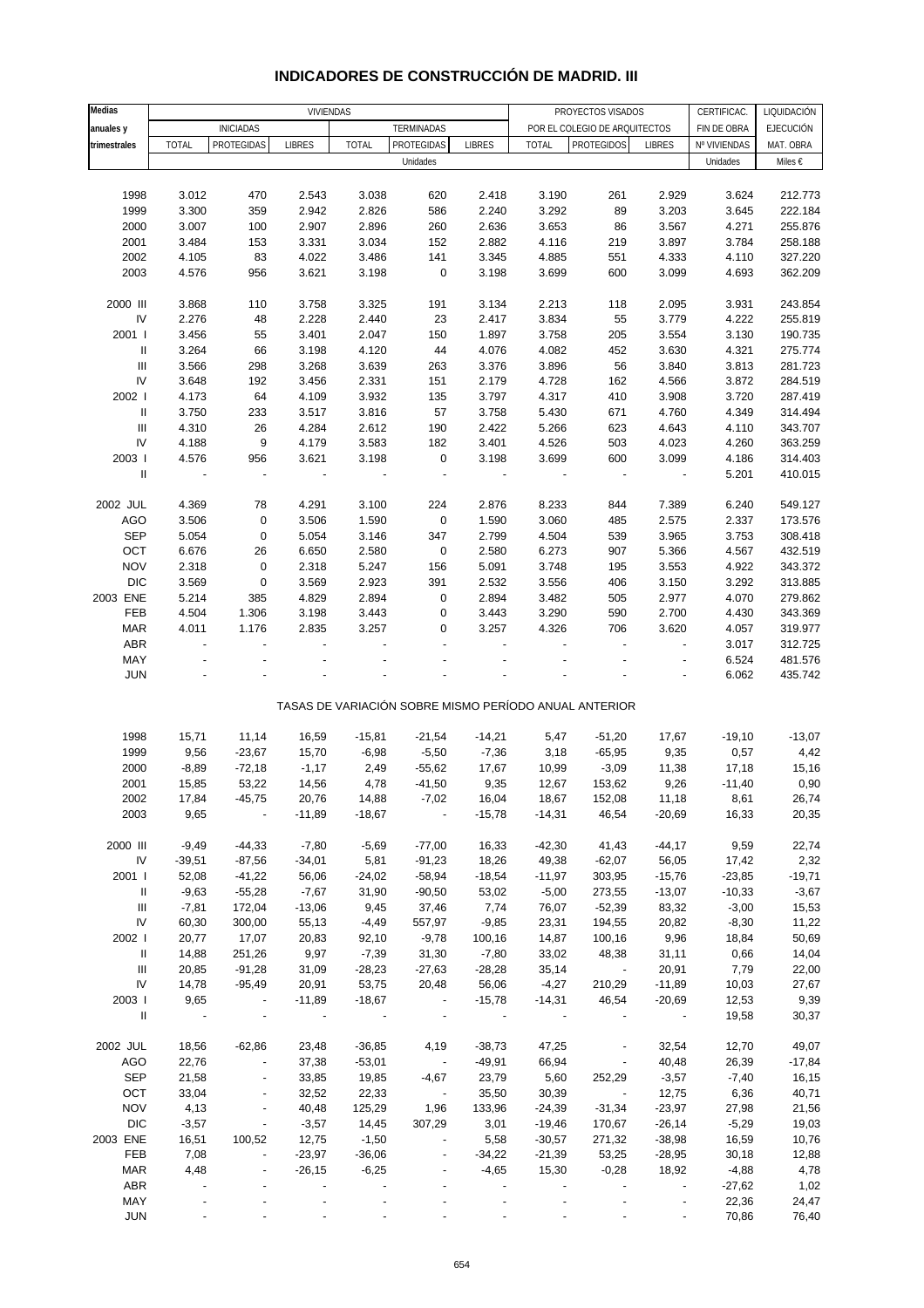| Medias                             |                          | VIVIENDAS                |               |                          |                          |                          |                          | PROYECTOS VISADOS<br>CERTIFICAC.                      |                          |              |                                 |
|------------------------------------|--------------------------|--------------------------|---------------|--------------------------|--------------------------|--------------------------|--------------------------|-------------------------------------------------------|--------------------------|--------------|---------------------------------|
| anuales y                          |                          | <b>INICIADAS</b>         |               |                          | TERMINADAS               |                          |                          | POR EL COLEGIO DE ARQUITECTOS                         |                          | FIN DE OBRA  | LIQUIDACIÓN<br><b>EJECUCIÓN</b> |
|                                    |                          | PROTEGIDAS               |               | <b>TOTAL</b>             | PROTEGIDAS               | <b>LIBRES</b>            | <b>TOTAL</b>             | <b>PROTEGIDOS</b>                                     | <b>LIBRES</b>            |              | MAT. OBRA                       |
| trimestrales                       | <b>TOTAL</b>             |                          | <b>LIBRES</b> |                          | Unidades                 |                          |                          |                                                       |                          | Nº VIVIENDAS |                                 |
|                                    |                          |                          |               |                          |                          |                          |                          |                                                       |                          | Unidades     | Miles €                         |
|                                    |                          |                          |               |                          |                          |                          |                          |                                                       |                          |              |                                 |
| 1998                               | 3.012                    | 470                      | 2.543         | 3.038                    | 620                      | 2.418                    | 3.190                    | 261                                                   | 2.929                    | 3.624        | 212.773                         |
| 1999                               | 3.300                    | 359                      | 2.942         | 2.826                    | 586                      | 2.240                    | 3.292                    | 89                                                    | 3.203                    | 3.645        | 222.184                         |
| 2000                               | 3.007                    | 100                      | 2.907         | 2.896                    | 260                      | 2.636                    | 3.653                    | 86                                                    | 3.567                    | 4.271        | 255.876                         |
| 2001                               | 3.484                    | 153                      | 3.331         | 3.034                    | 152                      | 2.882                    | 4.116                    | 219                                                   | 3.897                    | 3.784        | 258.188                         |
| 2002                               | 4.105                    | 83                       | 4.022         | 3.486                    | 141                      | 3.345                    | 4.885                    | 551                                                   | 4.333                    | 4.110        | 327.220                         |
| 2003                               | 4.576                    | 956                      | 3.621         | 3.198                    | $\pmb{0}$                | 3.198                    | 3.699                    | 600                                                   | 3.099                    | 4.693        | 362.209                         |
|                                    |                          |                          |               |                          |                          |                          |                          |                                                       |                          |              |                                 |
| 2000 III                           | 3.868                    | 110                      | 3.758         | 3.325                    | 191                      | 3.134                    | 2.213                    | 118                                                   | 2.095                    | 3.931        | 243.854                         |
| IV                                 | 2.276                    | 48                       | 2.228         | 2.440                    | 23                       | 2.417                    | 3.834                    | 55                                                    | 3.779                    | 4.222        | 255.819                         |
| 2001 l                             | 3.456                    | 55                       | 3.401         | 2.047                    | 150                      | 1.897                    | 3.758                    | 205                                                   | 3.554                    | 3.130        | 190.735                         |
| Ш                                  | 3.264                    | 66                       | 3.198         | 4.120                    | 44                       | 4.076                    | 4.082                    | 452                                                   | 3.630                    | 4.321        | 275.774                         |
| $\mathbf{III}$                     | 3.566                    | 298                      | 3.268         | 3.639                    | 263                      | 3.376                    | 3.896                    | 56                                                    | 3.840                    | 3.813        | 281.723                         |
| IV                                 | 3.648                    | 192                      | 3.456         | 2.331                    | 151                      | 2.179                    | 4.728                    | 162                                                   | 4.566                    | 3.872        | 284.519                         |
| 2002 l                             | 4.173                    | 64                       | 4.109         | 3.932                    | 135                      | 3.797                    | 4.317                    | 410                                                   | 3.908                    | 3.720        | 287.419                         |
| $\mathbf{I}$                       | 3.750                    | 233                      | 3.517         | 3.816                    | 57                       | 3.758                    | 5.430                    | 671                                                   | 4.760                    | 4.349        | 314.494                         |
| $\ensuremath{\mathsf{III}}\xspace$ | 4.310                    | 26                       | 4.284         | 2.612                    | 190                      | 2.422                    | 5.266                    | 623                                                   | 4.643                    | 4.110        | 343.707                         |
| IV                                 | 4.188                    | 9                        | 4.179         | 3.583                    | 182                      | 3.401                    | 4.526                    | 503                                                   | 4.023                    | 4.260        | 363.259                         |
|                                    |                          |                          |               |                          |                          |                          |                          |                                                       |                          |              |                                 |
| 2003                               | 4.576                    | 956                      | 3.621         | 3.198                    | $\pmb{0}$                | 3.198                    | 3.699                    | 600                                                   | 3.099                    | 4.186        | 314.403                         |
| $\sf II$                           | $\overline{\phantom{a}}$ | $\overline{\phantom{a}}$ | $\frac{1}{2}$ | $\overline{\phantom{a}}$ |                          | $\overline{\phantom{a}}$ | $\overline{\phantom{a}}$ | $\overline{\phantom{a}}$                              | $\overline{\phantom{a}}$ | 5.201        | 410.015                         |
|                                    |                          |                          |               |                          |                          |                          |                          |                                                       |                          |              |                                 |
| 2002 JUL                           | 4.369                    | 78                       | 4.291         | 3.100                    | 224                      | 2.876                    | 8.233                    | 844                                                   | 7.389                    | 6.240        | 549.127                         |
| AGO                                | 3.506                    | $\pmb{0}$                | 3.506         | 1.590                    | $\pmb{0}$                | 1.590                    | 3.060                    | 485                                                   | 2.575                    | 2.337        | 173.576                         |
| <b>SEP</b>                         | 5.054                    | $\pmb{0}$                | 5.054         | 3.146                    | 347                      | 2.799                    | 4.504                    | 539                                                   | 3.965                    | 3.753        | 308.418                         |
| OCT                                | 6.676                    | 26                       | 6.650         | 2.580                    | $\pmb{0}$                | 2.580                    | 6.273                    | 907                                                   | 5.366                    | 4.567        | 432.519                         |
| <b>NOV</b>                         | 2.318                    | $\pmb{0}$                | 2.318         | 5.247                    | 156                      | 5.091                    | 3.748                    | 195                                                   | 3.553                    | 4.922        | 343.372                         |
| <b>DIC</b>                         | 3.569                    | $\pmb{0}$                | 3.569         | 2.923                    | 391                      | 2.532                    | 3.556                    | 406                                                   | 3.150                    | 3.292        | 313.885                         |
| 2003 ENE                           | 5.214                    | 385                      | 4.829         | 2.894                    | $\pmb{0}$                | 2.894                    | 3.482                    | 505                                                   | 2.977                    | 4.070        | 279.862                         |
| FEB                                | 4.504                    | 1.306                    | 3.198         | 3.443                    | 0                        | 3.443                    | 3.290                    | 590                                                   | 2.700                    | 4.430        | 343.369                         |
| <b>MAR</b>                         | 4.011                    | 1.176                    | 2.835         | 3.257                    | 0                        | 3.257                    | 4.326                    | 706                                                   | 3.620                    | 4.057        | 319.977                         |
| ABR                                | $\overline{a}$           |                          |               |                          |                          |                          |                          |                                                       | $\blacksquare$           | 3.017        | 312.725                         |
| MAY                                |                          |                          |               |                          |                          |                          |                          |                                                       | $\overline{a}$           | 6.524        | 481.576                         |
| <b>JUN</b>                         |                          |                          |               |                          |                          |                          |                          |                                                       |                          | 6.062        | 435.742                         |
|                                    |                          |                          |               |                          |                          |                          |                          |                                                       |                          |              |                                 |
|                                    |                          |                          |               |                          |                          |                          |                          | TASAS DE VARIACIÓN SOBRE MISMO PERÍODO ANUAL ANTERIOR |                          |              |                                 |
|                                    |                          |                          |               |                          |                          |                          |                          |                                                       |                          |              |                                 |
| 1998                               | 15,71                    | 11,14                    | 16,59         | $-15,81$                 | $-21,54$                 | $-14,21$                 | 5,47                     | $-51,20$                                              | 17,67                    | $-19,10$     | $-13,07$                        |
| 1999                               | 9,56                     | $-23,67$                 | 15,70         | $-6,98$                  | $-5,50$                  | $-7,36$                  | 3,18                     | $-65,95$                                              | 9,35                     | 0,57         | 4,42                            |
| 2000                               | $-8,89$                  | $-72,18$                 | $-1,17$       | 2,49                     | $-55,62$                 | 17,67                    | 10,99                    | $-3,09$                                               | 11,38                    | 17,18        | 15,16                           |
| 2001                               | 15,85                    | 53,22                    | 14,56         | 4,78                     | $-41,50$                 | 9,35                     | 12,67                    | 153,62                                                | 9,26                     | $-11,40$     | 0,90                            |
| 2002                               | 17,84                    | $-45,75$                 | 20,76         | 14,88                    | $-7,02$                  | 16,04                    | 18,67                    | 152,08                                                | 11,18                    | 8,61         | 26,74                           |
| 2003                               | 9,65                     |                          | $-11,89$      | $-18,67$                 | $\overline{\phantom{a}}$ | $-15,78$                 | $-14,31$                 | 46,54                                                 | $-20,69$                 | 16,33        | 20,35                           |
|                                    |                          |                          |               |                          |                          |                          |                          |                                                       |                          |              |                                 |
| 2000 III                           | $-9,49$                  | $-44,33$                 | $-7,80$       | $-5,69$                  | $-77,00$                 | 16,33                    | $-42,30$                 | 41,43                                                 | $-44, 17$                | 9,59         | 22,74                           |
| ${\sf IV}$                         | $-39,51$                 | $-87,56$                 | $-34,01$      | 5,81                     | $-91,23$                 | 18,26                    | 49,38                    | $-62,07$                                              | 56,05                    | 17,42        | 2,32                            |
| 2001 l                             | 52,08                    | $-41,22$                 | 56,06         | $-24,02$                 | $-58,94$                 | $-18,54$                 | $-11,97$                 | 303,95                                                | $-15,76$                 | $-23,85$     | $-19,71$                        |
| Ш                                  | $-9,63$                  | $-55,28$                 | $-7,67$       | 31,90                    | $-90,50$                 | 53,02                    | $-5,00$                  | 273,55                                                | $-13,07$                 | $-10,33$     | $-3,67$                         |
| $\ensuremath{\mathsf{III}}\xspace$ | $-7,81$                  | 172,04                   | $-13,06$      | 9,45                     | 37,46                    | 7,74                     | 76,07                    | $-52,39$                                              | 83,32                    | $-3,00$      | 15,53                           |
| IV                                 | 60,30                    | 300,00                   | 55,13         | $-4,49$                  | 557,97                   | $-9,85$                  | 23,31                    | 194,55                                                | 20,82                    | $-8,30$      | 11,22                           |
|                                    |                          |                          |               |                          |                          |                          |                          |                                                       |                          |              |                                 |
| 2002                               | 20,77                    | 17,07                    | 20,83         | 92,10                    | $-9,78$                  | 100,16                   | 14,87                    | 100,16                                                | 9,96                     | 18,84        | 50,69                           |
| $\parallel$                        | 14,88                    | 251,26                   | 9,97          | $-7,39$                  | 31,30                    | $-7,80$                  | 33,02                    | 48,38                                                 | 31,11                    | 0,66         | 14,04                           |
| Ш                                  | 20,85                    | $-91,28$                 | 31,09         | $-28,23$                 | $-27,63$                 | $-28,28$                 | 35,14                    | $\sim 100$ km $^{-1}$                                 | 20,91                    | 7,79         | 22,00                           |
| IV                                 | 14,78                    | $-95,49$                 | 20,91         | 53,75                    | 20,48                    | 56,06                    | $-4,27$                  | 210,29                                                | $-11,89$                 | 10,03        | 27,67                           |
| 2003 l                             | 9,65                     | $\overline{\phantom{a}}$ | $-11,89$      | $-18,67$                 | $\overline{\phantom{a}}$ | $-15,78$                 | $-14,31$                 | 46,54                                                 | $-20,69$                 | 12,53        | 9,39                            |
| Ш                                  | $\sim$ $-$               | $\sim$                   | $\sim$ $-$    | $\sim 100$               | $\overline{\phantom{a}}$ | $\sim$ $-$               | $\sim$                   |                                                       | $\sim$ $-$               | 19,58        | 30,37                           |
|                                    |                          |                          |               |                          |                          |                          |                          |                                                       |                          |              |                                 |
| 2002 JUL                           | 18,56                    | $-62,86$                 | 23,48         | $-36,85$                 | 4,19                     | $-38,73$                 | 47,25                    | $\overline{\phantom{a}}$                              | 32,54                    | 12,70        | 49,07                           |
| <b>AGO</b>                         | 22,76                    | $\overline{\phantom{a}}$ | 37,38         | $-53,01$                 | $\sim$ $-$               | $-49,91$                 | 66,94                    | $\overline{\phantom{a}}$                              | 40,48                    | 26,39        | $-17,84$                        |
| <b>SEP</b>                         | 21,58                    | $\overline{\phantom{a}}$ | 33,85         | 19,85                    | $-4,67$                  | 23,79                    | 5,60                     | 252,29                                                | $-3,57$                  | $-7,40$      | 16,15                           |
| OCT                                | 33,04                    | $\blacksquare$           | 32,52         | 22,33                    | $\sim$ $-$               | 35,50                    | 30,39                    | $\overline{\phantom{a}}$                              | 12,75                    | 6,36         | 40,71                           |
| <b>NOV</b>                         | 4,13                     | $\overline{\phantom{a}}$ | 40,48         | 125,29                   | 1,96                     | 133,96                   | $-24,39$                 | $-31,34$                                              | $-23,97$                 | 27,98        | 21,56                           |
| <b>DIC</b>                         | $-3,57$                  | $\overline{\phantom{a}}$ | $-3,57$       | 14,45                    | 307,29                   | 3,01                     | $-19,46$                 | 170,67                                                | $-26,14$                 | $-5,29$      | 19,03                           |
| 2003 ENE                           | 16,51                    | 100,52                   | 12,75         | $-1,50$                  |                          | 5,58                     | $-30,57$                 | 271,32                                                | $-38,98$                 | 16,59        | 10,76                           |
| FEB                                | 7,08                     | $\blacksquare$           | $-23,97$      | $-36,06$                 | $\overline{\phantom{a}}$ | $-34,22$                 | $-21,39$                 | 53,25                                                 | $-28,95$                 | 30,18        | 12,88                           |
| <b>MAR</b>                         | 4,48                     |                          | $-26,15$      | $-6,25$                  |                          | $-4,65$                  | 15,30                    | $-0,28$                                               | 18,92                    | $-4,88$      | 4,78                            |
| ABR                                |                          |                          |               |                          |                          |                          |                          |                                                       |                          | $-27,62$     | 1,02                            |
| MAY                                | $\blacksquare$           |                          |               |                          |                          |                          |                          |                                                       | $\overline{\phantom{a}}$ | 22,36        | 24,47                           |

### **INDICADORES DE CONSTRUCCIÓN DE MADRID. III**

JUN - - - - - - - - - 70,86 76,40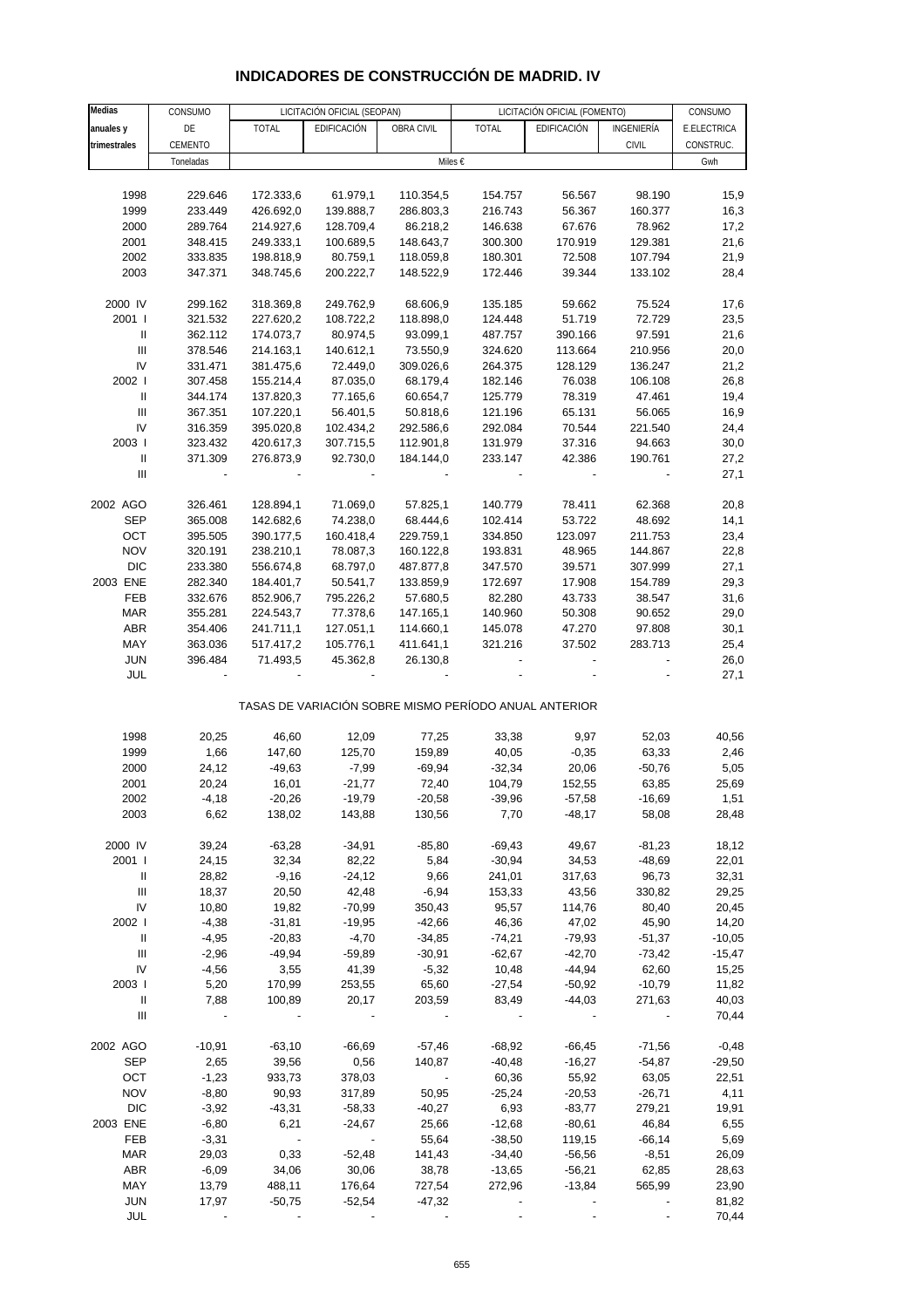## **INDICADORES DE CONSTRUCCIÓN DE MADRID. IV**

| <b>Medias</b>                      | CONSUMO   | LICITACIÓN OFICIAL (SEOPAN) |             |                       | LICITACIÓN OFICIAL (FOMENTO)                          |             | CONSUMO      |             |
|------------------------------------|-----------|-----------------------------|-------------|-----------------------|-------------------------------------------------------|-------------|--------------|-------------|
| anuales y                          | DE        | <b>TOTAL</b>                | EDIFICACIÓN | OBRA CIVIL            | <b>TOTAL</b>                                          | EDIFICACIÓN | INGENIERÍA   | E.ELECTRICA |
| trimestrales                       | CEMENTO   |                             |             |                       |                                                       |             | <b>CIVIL</b> | CONSTRUC.   |
|                                    | Toneladas |                             |             |                       | Miles €                                               |             |              | Gwh         |
|                                    |           |                             |             |                       |                                                       |             |              |             |
| 1998                               | 229.646   | 172.333,6                   | 61.979,1    | 110.354,5             | 154.757                                               | 56.567      | 98.190       | 15,9        |
| 1999                               | 233.449   | 426.692,0                   | 139.888,7   | 286.803,3             | 216.743                                               | 56.367      | 160.377      | 16,3        |
| 2000                               | 289.764   | 214.927,6                   | 128.709,4   | 86.218,2              | 146.638                                               | 67.676      | 78.962       | 17,2        |
| 2001                               | 348.415   | 249.333,1                   | 100.689,5   | 148.643,7             | 300.300                                               | 170.919     | 129.381      | 21,6        |
| 2002                               | 333.835   | 198.818,9                   | 80.759,1    | 118.059,8             | 180.301                                               | 72.508      | 107.794      | 21,9        |
| 2003                               | 347.371   | 348.745,6                   | 200.222,7   | 148.522,9             | 172.446                                               | 39.344      | 133.102      | 28,4        |
|                                    |           |                             |             |                       |                                                       |             |              |             |
| 2000 IV                            | 299.162   | 318.369,8                   | 249.762,9   | 68.606,9              | 135.185                                               | 59.662      | 75.524       | 17,6        |
| 2001 l                             | 321.532   | 227.620,2                   | 108.722,2   | 118.898,0             | 124.448                                               | 51.719      | 72.729       | 23,5        |
| $\ensuremath{\mathsf{II}}$         | 362.112   | 174.073,7                   | 80.974,5    | 93.099,1              | 487.757                                               | 390.166     | 97.591       | 21,6        |
| $\ensuremath{\mathsf{III}}\xspace$ | 378.546   | 214.163,1                   | 140.612,1   | 73.550,9              | 324.620                                               | 113.664     | 210.956      | 20,0        |
| IV                                 | 331.471   | 381.475,6                   | 72.449,0    | 309.026,6             | 264.375                                               | 128.129     | 136.247      | 21,2        |
| 2002                               | 307.458   | 155.214,4                   | 87.035,0    | 68.179,4              | 182.146                                               | 76.038      | 106.108      | 26,8        |
| Ш                                  | 344.174   | 137.820,3                   | 77.165,6    | 60.654,7              | 125.779                                               | 78.319      | 47.461       | 19,4        |
|                                    |           |                             |             |                       |                                                       |             |              |             |
| Ш<br>IV                            | 367.351   | 107.220,1                   | 56.401,5    | 50.818,6              | 121.196                                               | 65.131      | 56.065       | 16,9        |
|                                    | 316.359   | 395.020,8                   | 102.434,2   | 292.586,6             | 292.084                                               | 70.544      | 221.540      | 24,4        |
| 2003                               | 323.432   | 420.617,3                   | 307.715,5   | 112.901,8             | 131.979                                               | 37.316      | 94.663       | 30,0        |
| Ш                                  | 371.309   | 276.873,9                   | 92.730,0    | 184.144,0             | 233.147                                               | 42.386      | 190.761      | 27,2        |
| $\ensuremath{\mathsf{III}}\xspace$ |           |                             |             |                       |                                                       |             |              | 27,1        |
|                                    |           |                             |             |                       |                                                       |             |              |             |
| 2002 AGO                           | 326.461   | 128.894,1                   | 71.069,0    | 57.825,1              | 140.779                                               | 78.411      | 62.368       | 20,8        |
| <b>SEP</b>                         | 365.008   | 142.682,6                   | 74.238,0    | 68.444,6              | 102.414                                               | 53.722      | 48.692       | 14,1        |
| OCT                                | 395.505   | 390.177,5                   | 160.418,4   | 229.759,1             | 334.850                                               | 123.097     | 211.753      | 23,4        |
| <b>NOV</b>                         | 320.191   | 238.210,1                   | 78.087,3    | 160.122,8             | 193.831                                               | 48.965      | 144.867      | 22,8        |
| <b>DIC</b>                         | 233.380   | 556.674,8                   | 68.797,0    | 487.877,8             | 347.570                                               | 39.571      | 307.999      | 27,1        |
| 2003 ENE                           | 282.340   | 184.401,7                   | 50.541,7    | 133.859,9             | 172.697                                               | 17.908      | 154.789      | 29,3        |
| FEB                                | 332.676   | 852.906,7                   | 795.226,2   | 57.680,5              | 82.280                                                | 43.733      | 38.547       | 31,6        |
| MAR                                | 355.281   | 224.543,7                   | 77.378,6    | 147.165,1             | 140.960                                               | 50.308      | 90.652       | 29,0        |
| ABR                                | 354.406   | 241.711,1                   | 127.051,1   | 114.660,1             | 145.078                                               | 47.270      | 97.808       | 30,1        |
| MAY                                | 363.036   | 517.417,2                   | 105.776,1   | 411.641,1             | 321.216                                               | 37.502      | 283.713      | 25,4        |
| <b>JUN</b>                         | 396.484   | 71.493,5                    | 45.362,8    | 26.130,8              |                                                       |             |              | 26,0        |
| JUL                                |           |                             |             |                       |                                                       |             |              | 27,1        |
|                                    |           |                             |             |                       | TASAS DE VARIACIÓN SOBRE MISMO PERÍODO ANUAL ANTERIOR |             |              |             |
| 1998                               | 20,25     | 46,60                       | 12,09       | 77,25                 | 33,38                                                 | 9,97        | 52,03        | 40,56       |
| 1999                               | 1,66      | 147,60                      | 125,70      | 159,89                | 40,05                                                 | $-0,35$     | 63,33        | 2,46        |
| 2000                               | 24,12     | $-49,63$                    | $-7,99$     | $-69,94$              | $-32,34$                                              | 20,06       | $-50,76$     | 5,05        |
| 2001                               | 20,24     | 16,01                       | $-21,77$    | 72,40                 | 104,79                                                | 152,55      | 63,85        | 25,69       |
| 2002                               | $-4,18$   | $-20,26$                    | $-19,79$    | $-20,58$              | $-39,96$                                              | $-57,58$    | $-16,69$     | 1,51        |
| 2003                               | 6,62      | 138,02                      | 143,88      | 130,56                | 7,70                                                  | -48,17      | 58,08        | 28,48       |
|                                    |           |                             |             |                       |                                                       |             |              |             |
| 2000 IV                            | 39,24     | $-63,28$                    | $-34,91$    | $-85,80$              | $-69,43$                                              | 49,67       | $-81,23$     | 18,12       |
| 2001 l                             | 24,15     | 32,34                       | 82,22       | 5,84                  | $-30,94$                                              | 34,53       | $-48,69$     | 22,01       |
| Ш                                  | 28,82     | $-9,16$                     | $-24,12$    | 9,66                  | 241,01                                                | 317,63      | 96,73        | 32,31       |
| $\mathop{\mathrm{III}}\nolimits$   | 18,37     | 20,50                       | 42,48       | $-6,94$               | 153,33                                                | 43,56       | 330,82       | 29,25       |
| IV                                 | 10,80     | 19,82                       | $-70,99$    | 350,43                | 95,57                                                 | 114,76      | 80,40        | 20,45       |
| 2002                               | $-4,38$   | $-31,81$                    | $-19,95$    | $-42,66$              | 46,36                                                 | 47,02       | 45,90        | 14,20       |
| $\parallel$                        | $-4,95$   | $-20,83$                    | $-4,70$     | $-34,85$              | $-74,21$                                              | $-79,93$    | $-51,37$     | $-10,05$    |
| Ш                                  | $-2,96$   | $-49,94$                    | $-59,89$    | $-30,91$              | $-62,67$                                              | $-42,70$    | $-73,42$     | $-15,47$    |
| IV                                 | $-4,56$   | 3,55                        | 41,39       | $-5,32$               | 10,48                                                 | $-44,94$    | 62,60        | 15,25       |
| 2003                               | 5,20      | 170,99                      | 253,55      | 65,60                 | $-27,54$                                              | $-50,92$    | $-10,79$     | 11,82       |
| Ш                                  | 7,88      | 100,89                      | 20,17       | 203,59                | 83,49                                                 | $-44,03$    | 271,63       | 40,03       |
| $\ensuremath{\mathsf{III}}\xspace$ |           |                             |             |                       |                                                       |             |              | 70,44       |
|                                    |           |                             |             |                       |                                                       |             |              |             |
| 2002 AGO                           | $-10,91$  | $-63,10$                    | $-66,69$    | $-57,46$              | $-68,92$                                              | $-66,45$    | $-71,56$     | $-0,48$     |
| <b>SEP</b>                         | 2,65      | 39,56                       | 0,56        | 140,87                | $-40,48$                                              | $-16,27$    | $-54,87$     | $-29,50$    |
| OCT                                | $-1,23$   | 933,73                      | 378,03      | $\sim 100$ km $^{-1}$ | 60,36                                                 | 55,92       | 63,05        | 22,51       |
| <b>NOV</b>                         | $-8,80$   | 90,93                       | 317,89      | 50,95                 | $-25,24$                                              | $-20,53$    | $-26,71$     | 4,11        |
| <b>DIC</b>                         | $-3,92$   | $-43,31$                    | $-58,33$    | $-40,27$              | 6,93                                                  | $-83,77$    | 279,21       | 19,91       |
| 2003 ENE                           | $-6,80$   | 6,21                        | $-24,67$    | 25,66                 | $-12,68$                                              | $-80,61$    | 46,84        | 6,55        |
| FEB                                | $-3,31$   |                             |             | 55,64                 | $-38,50$                                              | 119,15      | $-66,14$     | 5,69        |
| <b>MAR</b>                         | 29,03     | 0,33                        | $-52,48$    | 141,43                | $-34,40$                                              | $-56,56$    | $-8,51$      | 26,09       |
| <b>ABR</b>                         | $-6,09$   | 34,06                       | 30,06       | 38,78                 | $-13,65$                                              | $-56,21$    | 62,85        | 28,63       |
| MAY                                | 13,79     | 488,11                      | 176,64      | 727,54                | 272,96                                                | $-13,84$    | 565,99       | 23,90       |
| <b>JUN</b>                         | 17,97     | $-50,75$                    | $-52,54$    | $-47,32$              |                                                       |             |              | 81,82       |
| JUL                                |           |                             |             |                       |                                                       |             |              | 70,44       |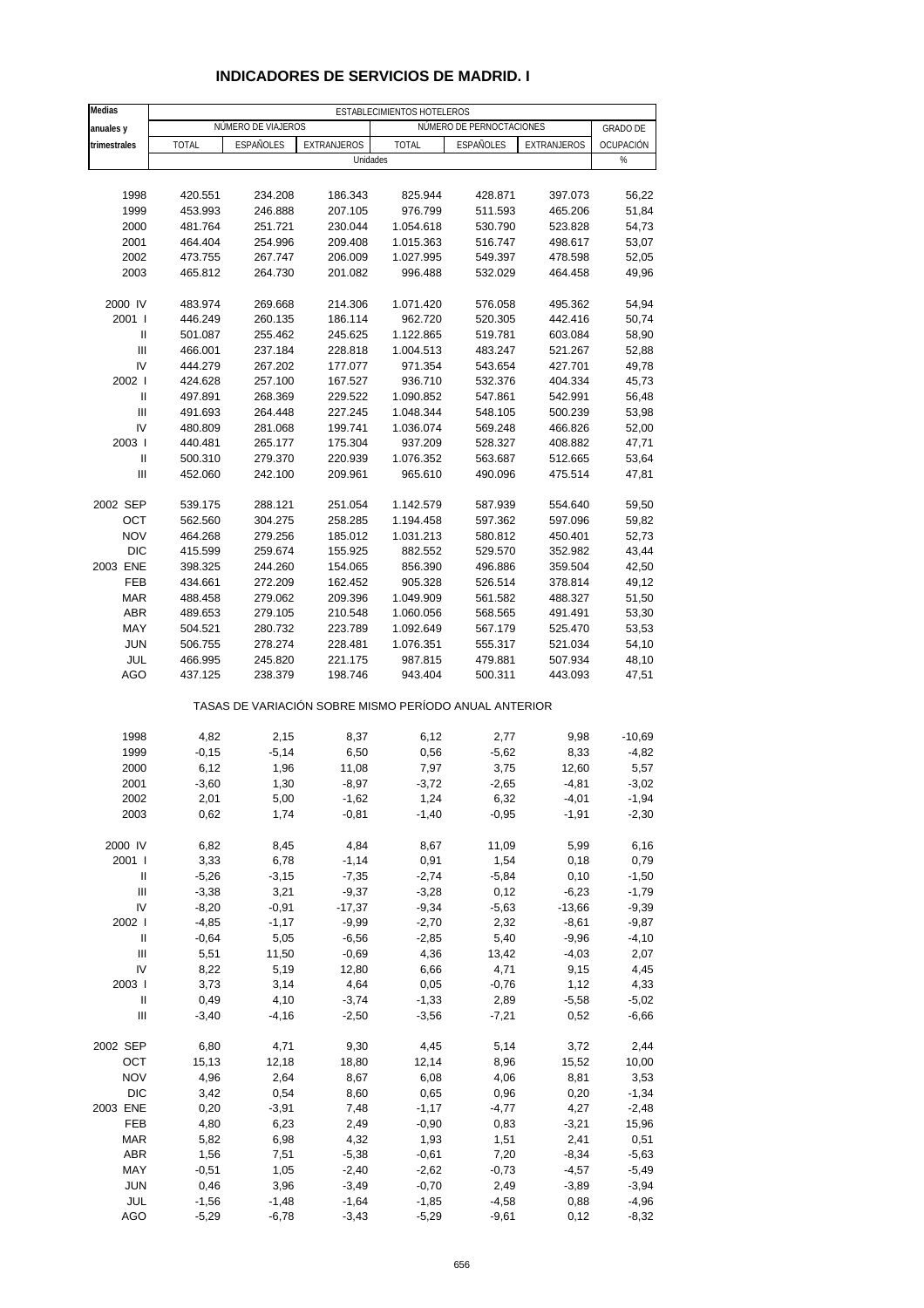| Medias                             |                    |                    |                    | ESTABLECIMIENTOS HOTELEROS                            |                          |                    |                 |
|------------------------------------|--------------------|--------------------|--------------------|-------------------------------------------------------|--------------------------|--------------------|-----------------|
| anuales y                          |                    | NÚMERO DE VIAJEROS |                    |                                                       | NÚMERO DE PERNOCTACIONES |                    | <b>GRADO DE</b> |
| trimestrales                       | <b>TOTAL</b>       | ESPAÑOLES          | <b>EXTRANJEROS</b> | TOTAL                                                 | ESPAÑOLES                | EXTRANJEROS        | OCUPACIÓN       |
|                                    |                    |                    | Unidades           |                                                       |                          |                    | %               |
|                                    |                    |                    |                    |                                                       |                          |                    |                 |
| 1998                               |                    |                    |                    | 825.944                                               |                          |                    | 56,22           |
| 1999                               | 420.551<br>453.993 | 234.208<br>246.888 | 186.343<br>207.105 | 976.799                                               | 428.871<br>511.593       | 397.073<br>465.206 | 51,84           |
|                                    |                    |                    |                    |                                                       |                          |                    |                 |
| 2000<br>2001                       | 481.764<br>464.404 | 251.721<br>254.996 | 230.044<br>209.408 | 1.054.618<br>1.015.363                                | 530.790<br>516.747       | 523.828<br>498.617 | 54,73<br>53,07  |
|                                    |                    |                    |                    |                                                       |                          |                    |                 |
| 2002<br>2003                       | 473.755<br>465.812 | 267.747<br>264.730 | 206.009<br>201.082 | 1.027.995<br>996.488                                  | 549.397<br>532.029       | 478.598<br>464.458 | 52,05<br>49,96  |
|                                    |                    |                    |                    |                                                       |                          |                    |                 |
| 2000 IV                            | 483.974            | 269.668            | 214.306            | 1.071.420                                             | 576.058                  | 495.362            | 54,94           |
| 2001 l                             | 446.249            | 260.135            | 186.114            | 962.720                                               | 520.305                  | 442.416            | 50,74           |
| $\mathbf{I}$                       | 501.087            | 255.462            | 245.625            | 1.122.865                                             | 519.781                  | 603.084            | 58,90           |
| $\ensuremath{\mathsf{III}}\xspace$ | 466.001            | 237.184            | 228.818            | 1.004.513                                             | 483.247                  | 521.267            | 52,88           |
| IV                                 | 444.279            | 267.202            | 177.077            | 971.354                                               | 543.654                  | 427.701            | 49,78           |
| 2002 l                             | 424.628            | 257.100            | 167.527            | 936.710                                               | 532.376                  | 404.334            | 45,73           |
| $\ensuremath{\mathsf{II}}$         | 497.891            | 268.369            | 229.522            | 1.090.852                                             | 547.861                  | 542.991            | 56,48           |
| Ш                                  | 491.693            | 264.448            | 227.245            | 1.048.344                                             | 548.105                  | 500.239            | 53,98           |
| IV                                 | 480.809            | 281.068            | 199.741            | 1.036.074                                             | 569.248                  | 466.826            | 52,00           |
| 2003                               | 440.481            | 265.177            | 175.304            | 937.209                                               | 528.327                  | 408.882            | 47,71           |
| $\ensuremath{\mathsf{II}}$         | 500.310            | 279.370            | 220.939            | 1.076.352                                             | 563.687                  | 512.665            | 53,64           |
| Ш                                  | 452.060            | 242.100            | 209.961            | 965.610                                               | 490.096                  | 475.514            | 47,81           |
|                                    |                    |                    |                    |                                                       |                          |                    |                 |
| 2002 SEP                           | 539.175            | 288.121            | 251.054            | 1.142.579                                             | 587.939                  | 554.640            | 59,50           |
| OCT                                | 562.560            | 304.275            | 258.285            | 1.194.458                                             | 597.362                  | 597.096            | 59,82           |
| <b>NOV</b>                         | 464.268            | 279.256            | 185.012            | 1.031.213                                             | 580.812                  | 450.401            | 52,73           |
| <b>DIC</b>                         | 415.599            | 259.674            | 155.925            | 882.552                                               | 529.570                  | 352.982            | 43,44           |
| 2003 ENE                           | 398.325            | 244.260            | 154.065            | 856.390                                               | 496.886                  | 359.504            | 42,50           |
| FEB                                | 434.661            | 272.209            | 162.452            | 905.328                                               | 526.514                  | 378.814            | 49,12           |
| <b>MAR</b>                         | 488.458            | 279.062            | 209.396            | 1.049.909                                             | 561.582                  | 488.327            | 51,50           |
| <b>ABR</b>                         | 489.653            | 279.105            | 210.548            | 1.060.056                                             | 568.565                  | 491.491            | 53,30           |
| MAY                                | 504.521            | 280.732            | 223.789            | 1.092.649                                             | 567.179                  | 525.470            | 53,53           |
| <b>JUN</b>                         | 506.755            | 278.274            | 228.481            | 1.076.351                                             | 555.317                  | 521.034            | 54,10           |
| JUL                                | 466.995            | 245.820            | 221.175            | 987.815                                               | 479.881                  | 507.934            | 48,10           |
| AGO                                | 437.125            | 238.379            | 198.746            | 943.404                                               | 500.311                  | 443.093            | 47,51           |
|                                    |                    |                    |                    | TASAS DE VARIACIÓN SOBRE MISMO PERÍODO ANUAL ANTERIOR |                          |                    |                 |
| 1998                               | 4,82               | 2,15               | 8,37               | 6,12                                                  | 2,77                     | 9,98               | $-10,69$        |
| 1999                               | $-0,15$            | $-5,14$            | 6,50               | 0,56                                                  | $-5,62$                  | 8,33               | $-4,82$         |
| 2000                               | 6,12               | 1,96               | 11,08              | 7,97                                                  | 3,75                     | 12,60              | 5,57            |
| 2001                               | $-3,60$            | 1,30               | $-8,97$            | $-3,72$                                               | $-2,65$                  | $-4,81$            | $-3,02$         |
| 2002                               | 2,01               | 5,00               | $-1,62$            | 1,24                                                  | 6,32                     | -4,01              | -1,94           |
| 2003                               | 0,62               | 1,74               | $-0,81$            | $-1,40$                                               | $-0,95$                  | $-1,91$            | $-2,30$         |
|                                    |                    |                    |                    |                                                       |                          |                    |                 |
| 2000 IV                            | 6,82               | 8,45               | 4,84               | 8,67                                                  | 11,09                    | 5,99               | 6,16            |
| 2001 l                             | 3,33               | 6,78               | $-1,14$            | 0,91                                                  | 1,54                     | 0,18               | 0,79            |
| Ш                                  | $-5,26$            | $-3,15$            | $-7,35$            | $-2,74$                                               | $-5,84$                  | 0,10               | $-1,50$         |
| $\ensuremath{\mathsf{III}}\xspace$ | $-3,38$            | 3,21               | $-9,37$            | $-3,28$                                               | 0,12                     | $-6,23$            | $-1,79$         |
| IV                                 | $-8,20$            | $-0,91$            | $-17,37$           | $-9,34$                                               | $-5,63$                  | $-13,66$           | $-9,39$         |
| 2002                               | $-4,85$            | $-1,17$            | $-9,99$            | $-2,70$                                               | 2,32                     | $-8,61$            | $-9,87$         |
| Ш                                  | $-0,64$            | 5,05               | $-6,56$            | $-2,85$                                               | 5,40                     | $-9,96$            | -4,10           |
| Ш                                  | 5,51               | 11,50              | $-0,69$            | 4,36                                                  | 13,42                    | $-4,03$            | 2,07            |
| IV                                 | 8,22               | 5,19               | 12,80              | 6,66                                                  | 4,71                     | 9,15               | 4,45            |
| 2003                               | 3,73               | 3,14               | 4,64               | 0,05                                                  | $-0,76$                  | 1,12               | 4,33            |
| Ш                                  | 0,49               | 4,10               | $-3,74$            | $-1,33$                                               | 2,89                     | $-5,58$            | $-5,02$         |
| $\ensuremath{\mathsf{III}}\xspace$ | $-3,40$            | $-4,16$            | $-2,50$            | $-3,56$                                               | $-7,21$                  | 0,52               | $-6,66$         |
| 2002 SEP                           | 6,80               | 4,71               | 9,30               | 4,45                                                  | 5,14                     | 3,72               | 2,44            |
| OCT                                | 15,13              | 12,18              | 18,80              | 12,14                                                 | 8,96                     | 15,52              | 10,00           |
| <b>NOV</b>                         | 4,96               | 2,64               | 8,67               | 6,08                                                  | 4,06                     | 8,81               | 3,53            |
| <b>DIC</b>                         | 3,42               | 0,54               | 8,60               | 0,65                                                  | 0,96                     | 0,20               | $-1,34$         |
| 2003 ENE                           | 0,20               | $-3,91$            | 7,48               | $-1,17$                                               | $-4,77$                  | 4,27               | $-2,48$         |
| FEB                                | 4,80               | 6,23               | 2,49               | $-0,90$                                               | 0,83                     | $-3,21$            | 15,96           |
| <b>MAR</b>                         | 5,82               | 6,98               | 4,32               | 1,93                                                  | 1,51                     | 2,41               | 0,51            |
| ABR                                | 1,56               | 7,51               | $-5,38$            | $-0,61$                                               | 7,20                     | $-8,34$            | $-5,63$         |
| MAY                                | $-0,51$            | 1,05               | $-2,40$            | $-2,62$                                               | $-0,73$                  | $-4,57$            | $-5,49$         |
| <b>JUN</b>                         | 0,46               | 3,96               | $-3,49$            | $-0,70$                                               | 2,49                     | $-3,89$            | $-3,94$         |
| JUL                                | $-1,56$            | $-1,48$            | $-1,64$            | $-1,85$                                               | $-4,58$                  | 0,88               | $-4,96$         |
| AGO                                | $-5,29$            | $-6,78$            | $-3,43$            | $-5,29$                                               | $-9,61$                  | 0,12               | $-8,32$         |

## **INDICADORES DE SERVICIOS DE MADRID. I**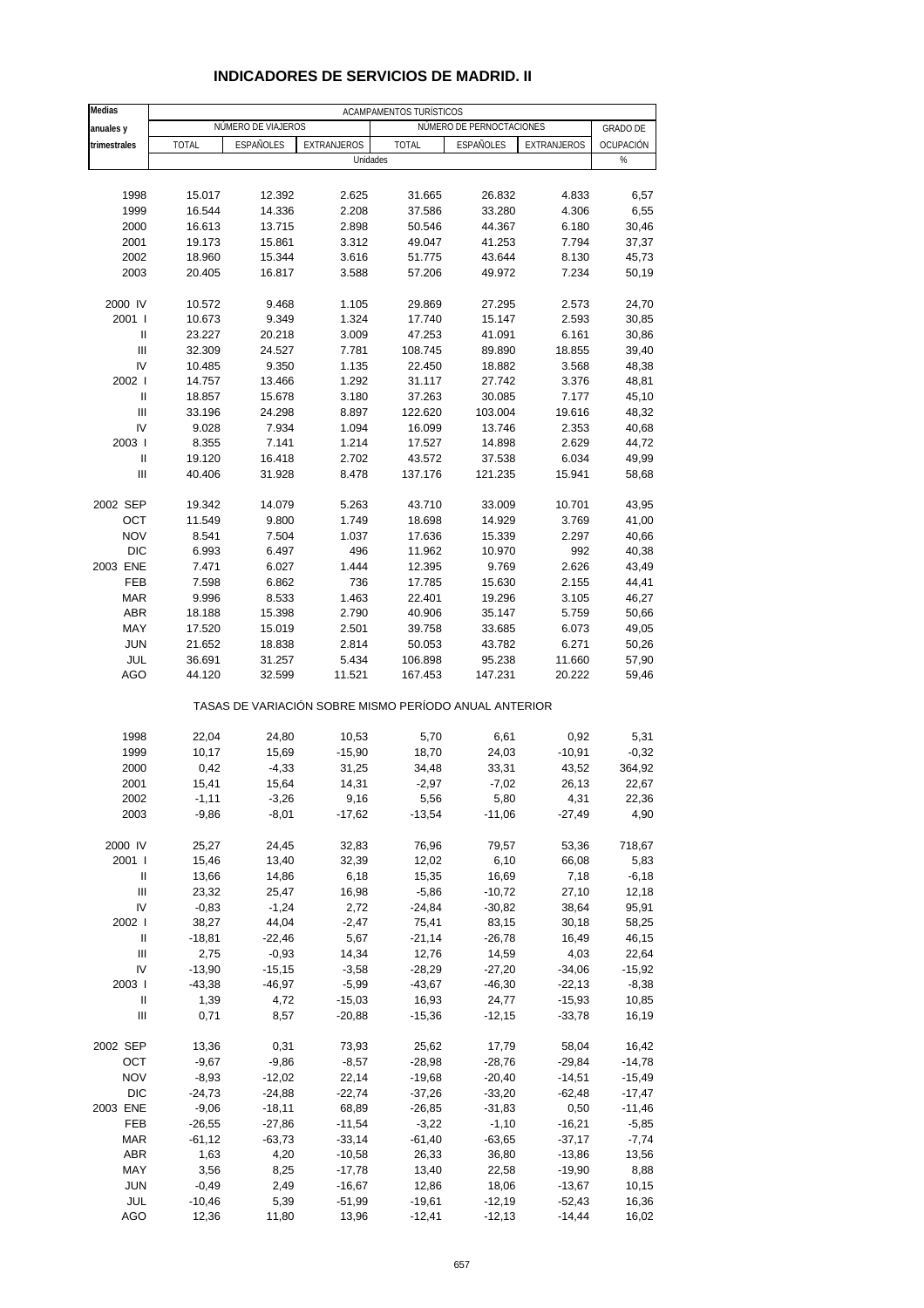| Medias                                   |                  |                    |                                                       | ACAMPAMENTOS TURÍSTICOS |                          |                      |                 |
|------------------------------------------|------------------|--------------------|-------------------------------------------------------|-------------------------|--------------------------|----------------------|-----------------|
| anuales y                                |                  | NÚMERO DE VIAJEROS |                                                       |                         | NÚMERO DE PERNOCTACIONES |                      | <b>GRADO DE</b> |
| trimestrales                             | <b>TOTAL</b>     | <b>ESPAÑOLES</b>   | EXTRANJEROS                                           | <b>TOTAL</b>            | <b>ESPAÑOLES</b>         | EXTRANJEROS          | OCUPACIÓN       |
|                                          |                  |                    | Unidades                                              |                         |                          |                      | $\%$            |
|                                          |                  |                    |                                                       |                         |                          |                      |                 |
| 1998                                     | 15.017           | 12.392             | 2.625                                                 | 31.665                  | 26.832                   | 4.833                | 6,57            |
| 1999                                     | 16.544           | 14.336             | 2.208                                                 | 37.586                  | 33.280                   | 4.306                | 6,55            |
| 2000                                     | 16.613           | 13.715             | 2.898                                                 | 50.546                  | 44.367                   | 6.180                | 30,46           |
| 2001                                     | 19.173           | 15.861             | 3.312                                                 | 49.047                  | 41.253                   | 7.794                | 37,37           |
| 2002                                     | 18.960           | 15.344             | 3.616                                                 | 51.775                  | 43.644                   | 8.130                | 45,73           |
| 2003                                     | 20.405           | 16.817             | 3.588                                                 | 57.206                  | 49.972                   | 7.234                | 50,19           |
|                                          |                  |                    |                                                       |                         |                          |                      |                 |
| 2000 IV                                  | 10.572           | 9.468              | 1.105                                                 | 29.869                  | 27.295                   | 2.573                | 24,70           |
| 2001 l<br>Ш                              | 10.673<br>23.227 | 9.349<br>20.218    | 1.324<br>3.009                                        | 17.740<br>47.253        | 15.147<br>41.091         | 2.593<br>6.161       | 30,85<br>30,86  |
| $\ensuremath{\mathsf{III}}\xspace$       | 32.309           | 24.527             | 7.781                                                 | 108.745                 | 89.890                   | 18.855               | 39,40           |
| IV                                       | 10.485           | 9.350              | 1.135                                                 | 22.450                  | 18.882                   | 3.568                | 48,38           |
| 2002 l                                   | 14.757           | 13.466             | 1.292                                                 | 31.117                  | 27.742                   | 3.376                | 48,81           |
| Ш                                        | 18.857           | 15.678             | 3.180                                                 | 37.263                  | 30.085                   | 7.177                | 45,10           |
| Ш                                        | 33.196           | 24.298             | 8.897                                                 | 122.620                 | 103.004                  | 19.616               | 48,32           |
| IV                                       | 9.028            | 7.934              | 1.094                                                 | 16.099                  | 13.746                   | 2.353                | 40,68           |
| 2003                                     | 8.355            | 7.141              | 1.214                                                 | 17.527                  | 14.898                   | 2.629                | 44,72           |
| Ш                                        | 19.120           | 16.418             | 2.702                                                 | 43.572                  | 37.538                   | 6.034                | 49,99           |
| Ш                                        | 40.406           | 31.928             | 8.478                                                 | 137.176                 | 121.235                  | 15.941               | 58,68           |
|                                          |                  |                    |                                                       |                         |                          |                      |                 |
| 2002 SEP                                 | 19.342           | 14.079             | 5.263                                                 | 43.710                  | 33.009                   | 10.701               | 43,95           |
| OCT                                      | 11.549           | 9.800              | 1.749                                                 | 18.698                  | 14.929                   | 3.769                | 41,00           |
| <b>NOV</b>                               | 8.541            | 7.504              | 1.037                                                 | 17.636                  | 15.339                   | 2.297                | 40,66           |
| <b>DIC</b><br>2003 ENE                   | 6.993<br>7.471   | 6.497<br>6.027     | 496<br>1.444                                          | 11.962<br>12.395        | 10.970<br>9.769          | 992<br>2.626         | 40,38<br>43,49  |
| <b>FEB</b>                               | 7.598            | 6.862              | 736                                                   | 17.785                  | 15.630                   | 2.155                | 44,41           |
| <b>MAR</b>                               | 9.996            | 8.533              | 1.463                                                 | 22.401                  | 19.296                   | 3.105                | 46,27           |
| <b>ABR</b>                               | 18.188           | 15.398             | 2.790                                                 | 40.906                  | 35.147                   | 5.759                | 50,66           |
| MAY                                      | 17.520           | 15.019             | 2.501                                                 | 39.758                  | 33.685                   | 6.073                | 49,05           |
| <b>JUN</b>                               | 21.652           | 18.838             | 2.814                                                 | 50.053                  | 43.782                   | 6.271                | 50,26           |
| JUL                                      | 36.691           | 31.257             | 5.434                                                 | 106.898                 | 95.238                   | 11.660               | 57,90           |
| <b>AGO</b>                               | 44.120           | 32.599             | 11.521                                                | 167.453                 | 147.231                  | 20.222               | 59,46           |
|                                          |                  |                    | TASAS DE VARIACIÓN SOBRE MISMO PERÍODO ANUAL ANTERIOR |                         |                          |                      |                 |
| 1998                                     | 22,04            | 24,80              | 10,53                                                 | 5,70                    | 6,61                     | 0,92                 | 5,31            |
| 1999                                     | 10,17            | 15,69              | $-15,90$                                              | 18,70                   | 24,03                    | $-10,91$             | $-0,32$         |
| 2000                                     | 0,42             | $-4,33$            | 31,25                                                 | 34,48                   | 33,31                    | 43,52                | 364,92          |
| 2001                                     | 15,41            | 15,64              | 14,31                                                 | $-2,97$                 | $-7,02$                  | 26,13                | 22,67           |
| 2002                                     | -1,11            | $-3,26$            | 9,16                                                  | 5,56                    | 5,80                     | 4,31                 | 22,36           |
| 2003                                     | $-9,86$          | $-8,01$            | $-17,62$                                              | $-13,54$                | $-11,06$                 | $-27,49$             | 4,90            |
|                                          |                  |                    |                                                       |                         |                          |                      |                 |
| 2000 IV                                  | 25,27            | 24,45              | 32,83                                                 | 76,96                   | 79,57                    | 53,36                | 718,67          |
| 2001 l                                   | 15,46            | 13,40              | 32,39                                                 | 12,02                   | 6,10                     | 66,08                | 5,83            |
| Ш                                        | 13,66            | 14,86              | 6,18                                                  | 15,35                   | 16,69                    | 7,18                 | $-6,18$         |
| $\ensuremath{\mathsf{III}}\xspace$<br>IV | 23,32            | 25,47              | 16,98                                                 | $-5,86$                 | $-10,72$                 | 27,10                | 12,18           |
| 2002 l                                   | $-0,83$<br>38,27 | $-1,24$<br>44,04   | 2,72<br>$-2,47$                                       | $-24,84$<br>75,41       | $-30,82$<br>83,15        | 38,64<br>30,18       | 95,91<br>58,25  |
| Ш                                        | $-18,81$         | $-22,46$           | 5,67                                                  | $-21,14$                | $-26,78$                 | 16,49                | 46,15           |
| $\mathbf{III}$                           | 2,75             | $-0,93$            | 14,34                                                 | 12,76                   | 14,59                    | 4,03                 | 22,64           |
| IV                                       | $-13,90$         | $-15,15$           | $-3,58$                                               | $-28,29$                | $-27,20$                 | $-34,06$             | $-15,92$        |
| 2003                                     | $-43,38$         | $-46,97$           | $-5,99$                                               | $-43,67$                | $-46,30$                 | $-22,13$             | $-8,38$         |
| Ш                                        | 1,39             | 4,72               | $-15,03$                                              | 16,93                   | 24,77                    | $-15,93$             | 10,85           |
| $\ensuremath{\mathsf{III}}\xspace$       | 0,71             | 8,57               | $-20,88$                                              | $-15,36$                | $-12,15$                 | $-33,78$             | 16,19           |
|                                          |                  |                    |                                                       |                         |                          |                      |                 |
| 2002 SEP                                 | 13,36            | 0,31               | 73,93                                                 | 25,62                   | 17,79                    | 58,04                | 16,42           |
| OCT                                      | $-9,67$          | $-9,86$            | $-8,57$                                               | $-28,98$                | $-28,76$                 | $-29,84$             | $-14,78$        |
| <b>NOV</b>                               | $-8,93$          | $-12,02$           | 22,14                                                 | $-19,68$                | $-20,40$                 | $-14,51$             | $-15,49$        |
| <b>DIC</b>                               | $-24,73$         | $-24,88$           | $-22,74$                                              | $-37,26$                | $-33,20$                 | $-62,48$             | $-17,47$        |
| 2003 ENE                                 | $-9,06$          | $-18,11$           | 68,89                                                 | $-26,85$                | -31,83                   | 0,50                 | $-11,46$        |
| FEB                                      | $-26,55$         | $-27,86$           | $-11,54$                                              | $-3,22$                 | $-1,10$                  | $-16,21$             | $-5,85$         |
| <b>MAR</b>                               | $-61, 12$        | $-63,73$           | $-33,14$                                              | $-61,40$                | $-63,65$                 | $-37,17$<br>$-13,86$ | $-7,74$         |
| <b>ABR</b><br>MAY                        | 1,63<br>3,56     | 4,20<br>8,25       | $-10,58$<br>$-17,78$                                  | 26,33<br>13,40          | 36,80<br>22,58           | $-19,90$             | 13,56<br>8,88   |
| <b>JUN</b>                               | $-0,49$          | 2,49               | $-16,67$                                              | 12,86                   | 18,06                    | $-13,67$             | 10,15           |
| JUL                                      | $-10,46$         | 5,39               | $-51,99$                                              | $-19,61$                | $-12,19$                 | $-52,43$             | 16,36           |
| AGO                                      | 12,36            | 11,80              | 13,96                                                 | $-12,41$                | $-12,13$                 | $-14,44$             | 16,02           |

### **INDICADORES DE SERVICIOS DE MADRID. II**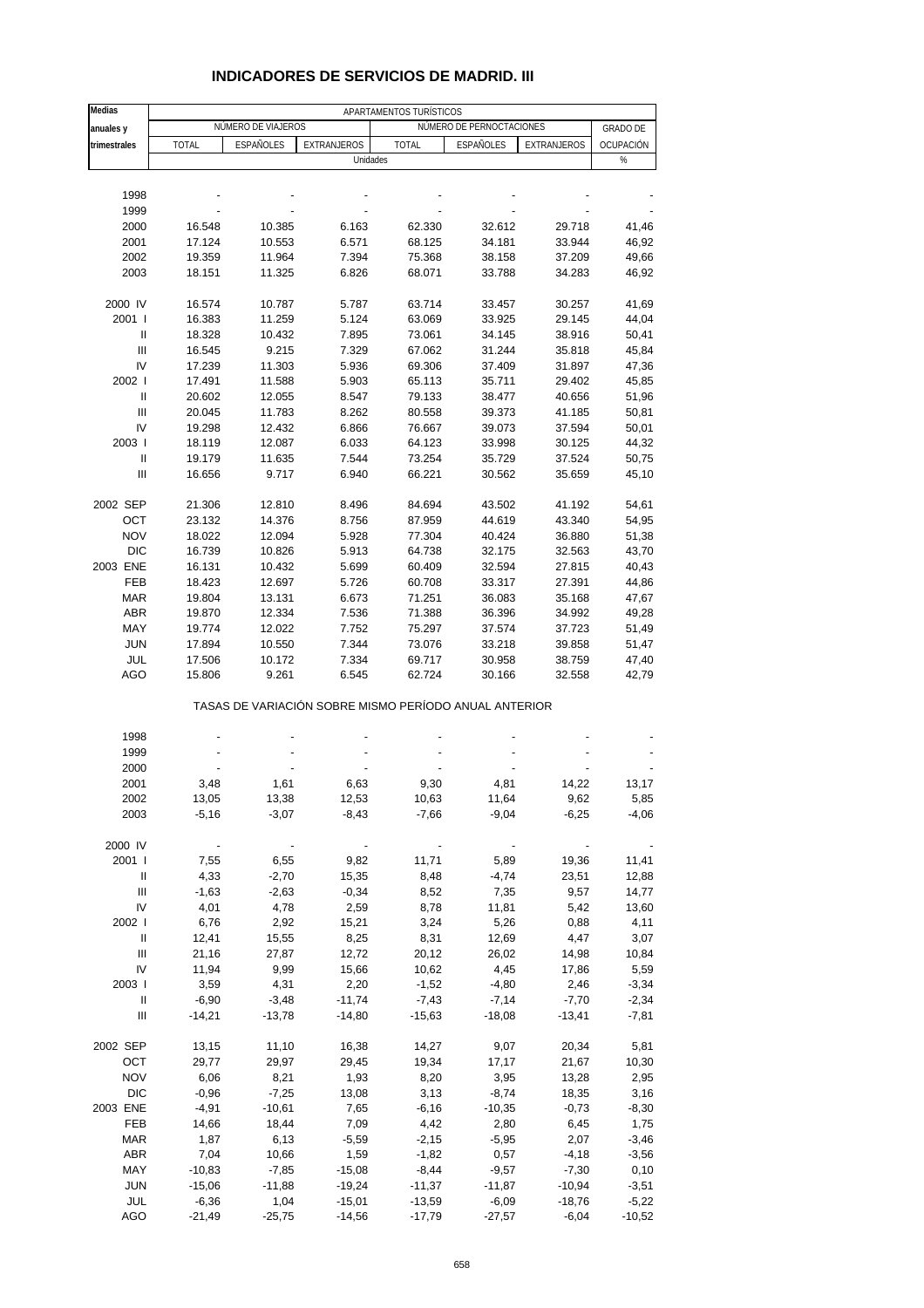| Medias                             | APARTAMENTOS TURÍSTICOS |                          |             |              |                                                       |             |                          |  |  |
|------------------------------------|-------------------------|--------------------------|-------------|--------------|-------------------------------------------------------|-------------|--------------------------|--|--|
| anuales y                          |                         | NÚMERO DE VIAJEROS       |             |              | NÚMERO DE PERNOCTACIONES                              |             | <b>GRADO DE</b>          |  |  |
| trimestrales                       | <b>TOTAL</b>            | ESPAÑOLES                | EXTRANJEROS | <b>TOTAL</b> | ESPAÑOLES                                             | EXTRANJEROS | OCUPACIÓN                |  |  |
|                                    |                         |                          | Unidades    |              |                                                       |             | $\%$                     |  |  |
|                                    |                         |                          |             |              |                                                       |             |                          |  |  |
| 1998                               |                         |                          |             |              |                                                       |             |                          |  |  |
| 1999                               |                         |                          |             |              |                                                       |             |                          |  |  |
| 2000                               | 16.548                  | 10.385                   | 6.163       | 62.330       | 32.612                                                | 29.718      | 41,46                    |  |  |
| 2001                               | 17.124                  | 10.553                   | 6.571       | 68.125       | 34.181                                                | 33.944      | 46,92                    |  |  |
| 2002                               | 19.359                  | 11.964                   | 7.394       | 75.368       | 38.158                                                | 37.209      | 49,66                    |  |  |
| 2003                               | 18.151                  | 11.325                   | 6.826       | 68.071       | 33.788                                                | 34.283      | 46,92                    |  |  |
|                                    |                         |                          |             |              |                                                       |             |                          |  |  |
| 2000 IV                            | 16.574                  | 10.787                   | 5.787       | 63.714       | 33.457                                                | 30.257      | 41,69                    |  |  |
| 2001 l                             | 16.383                  | 11.259                   | 5.124       | 63.069       | 33.925                                                | 29.145      | 44,04                    |  |  |
| Ш                                  | 18.328                  | 10.432                   | 7.895       | 73.061       | 34.145                                                | 38.916      | 50,41                    |  |  |
| Ш                                  | 16.545                  | 9.215                    | 7.329       | 67.062       | 31.244                                                | 35.818      | 45,84                    |  |  |
| IV                                 | 17.239                  | 11.303                   | 5.936       | 69.306       | 37.409                                                | 31.897      | 47,36                    |  |  |
| 2002                               | 17.491                  | 11.588                   | 5.903       | 65.113       | 35.711                                                | 29.402      | 45,85                    |  |  |
| Ш                                  | 20.602                  | 12.055                   | 8.547       | 79.133       | 38.477                                                | 40.656      | 51,96                    |  |  |
| Ш                                  | 20.045                  | 11.783                   | 8.262       | 80.558       | 39.373                                                | 41.185      | 50,81                    |  |  |
| IV                                 | 19.298                  | 12.432                   | 6.866       | 76.667       | 39.073                                                | 37.594      | 50,01                    |  |  |
| 2003                               | 18.119                  | 12.087                   | 6.033       | 64.123       | 33.998                                                | 30.125      | 44,32                    |  |  |
| Ш                                  | 19.179                  | 11.635                   | 7.544       | 73.254       | 35.729                                                | 37.524      | 50,75                    |  |  |
| $\ensuremath{\mathsf{III}}\xspace$ |                         |                          |             | 66.221       |                                                       |             | 45,10                    |  |  |
|                                    | 16.656                  | 9.717                    | 6.940       |              | 30.562                                                | 35.659      |                          |  |  |
| 2002 SEP                           | 21.306                  | 12.810                   | 8.496       | 84.694       | 43.502                                                | 41.192      | 54,61                    |  |  |
| OCT                                | 23.132                  | 14.376                   | 8.756       | 87.959       | 44.619                                                | 43.340      | 54,95                    |  |  |
| <b>NOV</b>                         | 18.022                  | 12.094                   | 5.928       | 77.304       | 40.424                                                | 36.880      | 51,38                    |  |  |
| <b>DIC</b>                         | 16.739                  | 10.826                   | 5.913       | 64.738       | 32.175                                                | 32.563      | 43,70                    |  |  |
| 2003 ENE                           | 16.131                  | 10.432                   | 5.699       | 60.409       | 32.594                                                | 27.815      | 40,43                    |  |  |
| FEB                                | 18.423                  | 12.697                   | 5.726       | 60.708       | 33.317                                                | 27.391      | 44,86                    |  |  |
| <b>MAR</b>                         | 19.804                  | 13.131                   | 6.673       | 71.251       | 36.083                                                | 35.168      | 47,67                    |  |  |
| ABR                                |                         | 12.334                   | 7.536       | 71.388       | 36.396                                                | 34.992      |                          |  |  |
| MAY                                | 19.870                  |                          |             |              |                                                       |             | 49,28                    |  |  |
|                                    | 19.774                  | 12.022                   | 7.752       | 75.297       | 37.574                                                | 37.723      | 51,49                    |  |  |
| <b>JUN</b>                         | 17.894                  | 10.550                   | 7.344       | 73.076       | 33.218                                                | 39.858      | 51,47                    |  |  |
| JUL                                | 17.506                  | 10.172                   | 7.334       | 69.717       | 30.958                                                | 38.759      | 47,40                    |  |  |
| AGO                                | 15.806                  | 9.261                    | 6.545       | 62.724       | 30.166                                                | 32.558      | 42,79                    |  |  |
|                                    |                         |                          |             |              | TASAS DE VARIACIÓN SOBRE MISMO PERÍODO ANUAL ANTERIOR |             |                          |  |  |
| 1998                               |                         |                          |             |              |                                                       |             |                          |  |  |
| 1999                               |                         |                          |             |              |                                                       |             |                          |  |  |
| 2000                               |                         |                          |             |              |                                                       |             |                          |  |  |
| 2001                               | 3,48                    | 1,61                     | 6,63        | 9,30         | 4,81                                                  | 14,22       | 13,17                    |  |  |
| 2002                               | 13,05                   | 13,38                    | 12,53       | 10,63        | 11,64                                                 | 9,62        | 5,85                     |  |  |
| 2003                               | $-5,16$                 | $-3,07$                  | $-8,43$     | $-7,66$      | $-9,04$                                               | $-6,25$     | $-4,06$                  |  |  |
|                                    |                         |                          |             |              |                                                       |             |                          |  |  |
| 2000 IV                            |                         | $\overline{\phantom{a}}$ |             |              |                                                       |             | $\overline{\phantom{a}}$ |  |  |
| 2001 l                             | 7,55                    | 6,55                     | 9,82        | 11,71        | 5,89                                                  | 19,36       | 11,41                    |  |  |
| Ш                                  | 4,33                    | $-2,70$                  | 15,35       | 8,48         | $-4,74$                                               | 23,51       | 12,88                    |  |  |
| Ш                                  | $-1,63$                 | $-2,63$                  | $-0,34$     | 8,52         | 7,35                                                  | 9,57        | 14,77                    |  |  |
| IV                                 | 4,01                    | 4,78                     | 2,59        | 8,78         | 11,81                                                 | 5,42        | 13,60                    |  |  |
| 2002                               | 6,76                    | 2,92                     | 15,21       | 3,24         | 5,26                                                  | 0,88        | 4,11                     |  |  |
| Ш                                  | 12,41                   | 15,55                    | 8,25        | 8,31         | 12,69                                                 | 4,47        | 3,07                     |  |  |
| Ш                                  | 21,16                   | 27,87                    | 12,72       | 20,12        | 26,02                                                 | 14,98       | 10,84                    |  |  |
| IV                                 | 11,94                   | 9,99                     | 15,66       | 10,62        | 4,45                                                  | 17,86       | 5,59                     |  |  |
| 2003                               | 3,59                    | 4,31                     | 2,20        | $-1,52$      | $-4,80$                                               | 2,46        | $-3,34$                  |  |  |
| Ш                                  | $-6,90$                 | $-3,48$                  | $-11,74$    | $-7,43$      | $-7,14$                                               | $-7,70$     | $-2,34$                  |  |  |
| Ш                                  | $-14,21$                | $-13,78$                 | $-14,80$    | $-15,63$     | $-18,08$                                              | $-13,41$    | $-7,81$                  |  |  |
|                                    |                         |                          |             |              |                                                       |             |                          |  |  |
| 2002 SEP                           | 13,15                   | 11,10                    | 16,38       | 14,27        | 9,07                                                  | 20,34       | 5,81                     |  |  |
| OCT                                | 29,77                   | 29,97                    | 29,45       | 19,34        | 17,17                                                 | 21,67       | 10,30                    |  |  |
| <b>NOV</b>                         | 6,06                    | 8,21                     | 1,93        | 8,20         | 3,95                                                  | 13,28       | 2,95                     |  |  |
| DIC                                | $-0,96$                 | $-7,25$                  | 13,08       | 3,13         | $-8,74$                                               | 18,35       | 3,16                     |  |  |
| 2003 ENE                           | $-4,91$                 | $-10,61$                 | 7,65        | $-6,16$      | $-10,35$                                              | $-0,73$     | $-8,30$                  |  |  |
| FEB                                | 14,66                   | 18,44                    | 7,09        | 4,42         | 2,80                                                  | 6,45        | 1,75                     |  |  |
| <b>MAR</b>                         | 1,87                    | 6,13                     | $-5,59$     | $-2,15$      | $-5,95$                                               | 2,07        | $-3,46$                  |  |  |
| ABR                                | 7,04                    | 10,66                    | 1,59        | $-1,82$      | 0,57                                                  | $-4,18$     | $-3,56$                  |  |  |
| MAY                                | $-10,83$                | $-7,85$                  | $-15,08$    | $-8,44$      | $-9,57$                                               | $-7,30$     | 0,10                     |  |  |
| <b>JUN</b>                         | $-15,06$                | $-11,88$                 | $-19,24$    | $-11,37$     | $-11,87$                                              | $-10,94$    | $-3,51$                  |  |  |
| <b>JUL</b>                         | $-6,36$                 | 1,04                     | $-15,01$    | $-13,59$     | $-6,09$                                               | $-18,76$    | $-5,22$                  |  |  |

#### **INDICADORES DE SERVICIOS DE MADRID. III**

AGO -21,49 -25,75 -14,56 -17,79 -27,57 -6,04 -10,52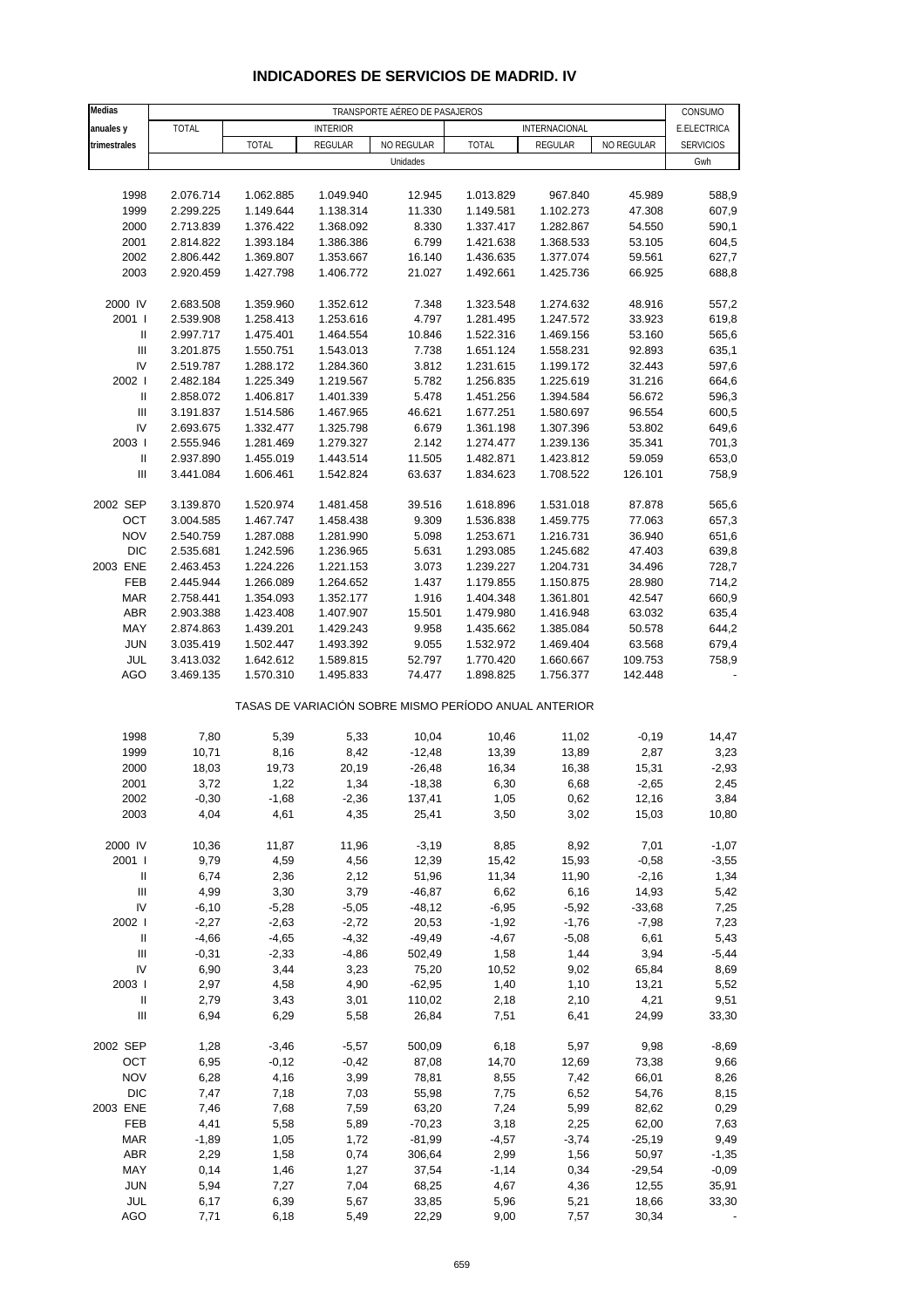| Medias                             | TRANSPORTE AÉREO DE PASAJEROS |                        |                        |                   |                                                       |                        |                  |                        |  |  |
|------------------------------------|-------------------------------|------------------------|------------------------|-------------------|-------------------------------------------------------|------------------------|------------------|------------------------|--|--|
| anuales y                          | <b>TOTAL</b>                  |                        | <b>INTERIOR</b>        |                   |                                                       | INTERNACIONAL          |                  | CONSUMO<br>E.ELECTRICA |  |  |
| trimestrales                       |                               | <b>TOTAL</b>           | REGULAR                | NO REGULAR        | <b>TOTAL</b>                                          | REGULAR                | NO REGULAR       | <b>SERVICIOS</b>       |  |  |
|                                    |                               |                        |                        | Unidades          |                                                       |                        |                  | Gwh                    |  |  |
|                                    |                               |                        |                        |                   |                                                       |                        |                  |                        |  |  |
| 1998                               | 2.076.714                     | 1.062.885              | 1.049.940              | 12.945            | 1.013.829                                             | 967.840                | 45.989           | 588,9                  |  |  |
| 1999                               | 2.299.225                     | 1.149.644              | 1.138.314              | 11.330            | 1.149.581                                             | 1.102.273              | 47.308           | 607,9                  |  |  |
| 2000                               | 2.713.839                     | 1.376.422              | 1.368.092              | 8.330             | 1.337.417                                             | 1.282.867              | 54.550           | 590,1                  |  |  |
| 2001                               | 2.814.822                     | 1.393.184              | 1.386.386              | 6.799             | 1.421.638                                             | 1.368.533              | 53.105           | 604,5                  |  |  |
| 2002                               | 2.806.442                     | 1.369.807              | 1.353.667              | 16.140            | 1.436.635                                             | 1.377.074              | 59.561           | 627,7                  |  |  |
| 2003                               | 2.920.459                     | 1.427.798              | 1.406.772              | 21.027            | 1.492.661                                             | 1.425.736              | 66.925           | 688,8                  |  |  |
|                                    |                               |                        |                        |                   |                                                       |                        |                  |                        |  |  |
| 2000 IV                            | 2.683.508                     | 1.359.960              | 1.352.612              | 7.348             | 1.323.548                                             | 1.274.632              | 48.916           | 557,2                  |  |  |
| 2001 l                             | 2.539.908                     | 1.258.413              | 1.253.616              | 4.797             | 1.281.495                                             | 1.247.572              | 33.923           | 619,8                  |  |  |
| Ш                                  | 2.997.717                     | 1.475.401              | 1.464.554              | 10.846            | 1.522.316                                             | 1.469.156              | 53.160           | 565,6                  |  |  |
| Ш                                  | 3.201.875                     | 1.550.751              | 1.543.013              | 7.738             | 1.651.124                                             | 1.558.231              | 92.893           | 635,1                  |  |  |
| IV                                 | 2.519.787                     | 1.288.172              | 1.284.360              | 3.812             | 1.231.615                                             | 1.199.172              | 32.443           | 597,6                  |  |  |
| 2002 l<br>Ш                        | 2.482.184<br>2.858.072        | 1.225.349<br>1.406.817 | 1.219.567<br>1.401.339 | 5.782<br>5.478    | 1.256.835<br>1.451.256                                | 1.225.619<br>1.394.584 | 31.216<br>56.672 | 664,6<br>596,3         |  |  |
| $\mathbf{III}$                     | 3.191.837                     | 1.514.586              | 1.467.965              | 46.621            |                                                       | 1.580.697              | 96.554           | 600,5                  |  |  |
| IV                                 | 2.693.675                     | 1.332.477              | 1.325.798              | 6.679             | 1.677.251<br>1.361.198                                | 1.307.396              | 53.802           | 649,6                  |  |  |
| 2003                               | 2.555.946                     | 1.281.469              | 1.279.327              | 2.142             | 1.274.477                                             | 1.239.136              | 35.341           | 701,3                  |  |  |
| $\ensuremath{\mathsf{II}}$         | 2.937.890                     | 1.455.019              | 1.443.514              | 11.505            | 1.482.871                                             | 1.423.812              | 59.059           | 653,0                  |  |  |
| Ш                                  | 3.441.084                     | 1.606.461              | 1.542.824              | 63.637            | 1.834.623                                             | 1.708.522              | 126.101          | 758,9                  |  |  |
|                                    |                               |                        |                        |                   |                                                       |                        |                  |                        |  |  |
| 2002 SEP                           | 3.139.870                     | 1.520.974              | 1.481.458              | 39.516            | 1.618.896                                             | 1.531.018              | 87.878           | 565,6                  |  |  |
| OCT                                | 3.004.585                     | 1.467.747              | 1.458.438              | 9.309             | 1.536.838                                             | 1.459.775              | 77.063           | 657,3                  |  |  |
| <b>NOV</b>                         | 2.540.759                     | 1.287.088              | 1.281.990              | 5.098             | 1.253.671                                             | 1.216.731              | 36.940           | 651,6                  |  |  |
| <b>DIC</b>                         | 2.535.681                     | 1.242.596              | 1.236.965              | 5.631             | 1.293.085                                             | 1.245.682              | 47.403           | 639,8                  |  |  |
| 2003 ENE                           | 2.463.453                     | 1.224.226              | 1.221.153              | 3.073             | 1.239.227                                             | 1.204.731              | 34.496           | 728,7                  |  |  |
| FEB                                | 2.445.944                     | 1.266.089              | 1.264.652              | 1.437             | 1.179.855                                             | 1.150.875              | 28.980           | 714,2                  |  |  |
| <b>MAR</b>                         | 2.758.441                     | 1.354.093              | 1.352.177              | 1.916             | 1.404.348                                             | 1.361.801              | 42.547           | 660,9                  |  |  |
| <b>ABR</b>                         | 2.903.388                     | 1.423.408              | 1.407.907              | 15.501            | 1.479.980                                             | 1.416.948              | 63.032           | 635,4                  |  |  |
| MAY                                | 2.874.863                     | 1.439.201              | 1.429.243              | 9.958             | 1.435.662                                             | 1.385.084              | 50.578           | 644,2                  |  |  |
| <b>JUN</b>                         | 3.035.419                     | 1.502.447              | 1.493.392              | 9.055             | 1.532.972                                             | 1.469.404              | 63.568           | 679,4                  |  |  |
| JUL                                | 3.413.032                     | 1.642.612              | 1.589.815              | 52.797            | 1.770.420                                             | 1.660.667              | 109.753          | 758,9                  |  |  |
| AGO                                | 3.469.135                     | 1.570.310              | 1.495.833              | 74.477            | 1.898.825                                             | 1.756.377              | 142.448          |                        |  |  |
|                                    |                               |                        |                        |                   | TASAS DE VARIACIÓN SOBRE MISMO PERÍODO ANUAL ANTERIOR |                        |                  |                        |  |  |
|                                    |                               |                        |                        |                   |                                                       |                        |                  |                        |  |  |
| 1998<br>1999                       | 7,80<br>10,71                 | 5,39<br>8,16           | 5,33                   | 10,04<br>$-12,48$ | 10,46<br>13,39                                        | 11,02<br>13,89         | $-0,19$<br>2,87  | 14,47<br>3,23          |  |  |
| 2000                               | 18,03                         | 19,73                  | 8,42<br>20,19          | $-26,48$          | 16,34                                                 | 16,38                  | 15,31            | $-2,93$                |  |  |
| 2001                               | 3,72                          | 1,22                   | 1,34                   | $-18,38$          | 6,30                                                  | 6,68                   | $-2,65$          | 2,45                   |  |  |
| 2002                               | $-0,30$                       | $-1,68$                | $-2,36$                | 137,41            | 1,05                                                  | 0,62                   | 12,16            | 3,84                   |  |  |
| 2003                               | 4,04                          | 4,61                   | 4,35                   | 25,41             | 3,50                                                  | 3,02                   | 15,03            | 10,80                  |  |  |
|                                    |                               |                        |                        |                   |                                                       |                        |                  |                        |  |  |
| 2000 IV                            | 10,36                         | 11,87                  | 11,96                  | $-3,19$           | 8,85                                                  | 8,92                   | 7,01             | $-1,07$                |  |  |
| 2001 l                             | 9,79                          | 4,59                   | 4,56                   | 12,39             | 15,42                                                 | 15,93                  | $-0,58$          | $-3,55$                |  |  |
| $\, \parallel$                     | 6,74                          | 2,36                   | 2,12                   | 51,96             | 11,34                                                 | 11,90                  | $-2,16$          | 1,34                   |  |  |
| $\ensuremath{\mathsf{III}}\xspace$ | 4,99                          | 3,30                   | 3,79                   | $-46,87$          | 6,62                                                  | 6,16                   | 14,93            | 5,42                   |  |  |
| IV                                 | $-6,10$                       | $-5,28$                | $-5,05$                | $-48,12$          | $-6,95$                                               | $-5,92$                | $-33,68$         | 7,25                   |  |  |
| 2002                               | $-2,27$                       | $-2,63$                | $-2,72$                | 20,53             | $-1,92$                                               | $-1,76$                | $-7,98$          | 7,23                   |  |  |
| $\, \parallel$                     | $-4,66$                       | $-4,65$                | $-4,32$                | $-49,49$          | $-4,67$                                               | $-5,08$                | 6,61             | 5,43                   |  |  |
| Ш                                  | $-0,31$                       | $-2,33$                | $-4,86$                | 502,49            | 1,58                                                  | 1,44                   | 3,94             | $-5,44$                |  |  |
| IV                                 | 6,90                          | 3,44                   | 3,23                   | 75,20             | 10,52                                                 | 9,02                   | 65,84            | 8,69                   |  |  |
| 2003                               | 2,97                          | 4,58                   | 4,90                   | $-62,95$          | 1,40                                                  | 1,10                   | 13,21            | 5,52                   |  |  |
| $\ensuremath{\mathsf{II}}$         | 2,79                          | 3,43                   | 3,01                   | 110,02            | 2,18                                                  | 2,10                   | 4,21             | 9,51                   |  |  |
| $\ensuremath{\mathsf{III}}\xspace$ | 6,94                          | 6,29                   | 5,58                   | 26,84             | 7,51                                                  | 6,41                   | 24,99            | 33,30                  |  |  |
| 2002 SEP                           | 1,28                          | $-3,46$                | $-5,57$                | 500,09            | 6,18                                                  | 5,97                   | 9,98             | $-8,69$                |  |  |
| OCT                                | 6,95                          | $-0,12$                | $-0,42$                | 87,08             | 14,70                                                 | 12,69                  | 73,38            | 9,66                   |  |  |
| <b>NOV</b>                         | 6,28                          | 4,16                   | 3,99                   | 78,81             | 8,55                                                  | 7,42                   | 66,01            | 8,26                   |  |  |
| <b>DIC</b>                         | 7,47                          | 7,18                   | 7,03                   | 55,98             | 7,75                                                  | 6,52                   | 54,76            | 8,15                   |  |  |
| 2003 ENE                           | 7,46                          | 7,68                   | 7,59                   | 63,20             | 7,24                                                  | 5,99                   | 82,62            | 0,29                   |  |  |
| FEB                                | 4,41                          | 5,58                   | 5,89                   | $-70,23$          | 3,18                                                  | 2,25                   | 62,00            | 7,63                   |  |  |
| <b>MAR</b>                         | $-1,89$                       | 1,05                   | 1,72                   | $-81,99$          | $-4,57$                                               | $-3,74$                | $-25,19$         | 9,49                   |  |  |
| <b>ABR</b>                         | 2,29                          | 1,58                   | 0,74                   | 306,64            | 2,99                                                  | 1,56                   | 50,97            | $-1,35$                |  |  |
| MAY                                | 0,14                          | 1,46                   | 1,27                   | 37,54             | $-1,14$                                               | 0,34                   | $-29,54$         | $-0,09$                |  |  |
| <b>JUN</b><br>JUL                  | 5,94<br>6,17                  | 7,27<br>6,39           | 7,04<br>5,67           | 68,25<br>33,85    | 4,67<br>5,96                                          | 4,36<br>5,21           | 12,55<br>18,66   | 35,91<br>33,30         |  |  |
| <b>AGO</b>                         | 7,71                          | 6,18                   | 5,49                   | 22,29             | 9,00                                                  | 7,57                   | 30,34            |                        |  |  |
|                                    |                               |                        |                        |                   |                                                       |                        |                  |                        |  |  |

## **INDICADORES DE SERVICIOS DE MADRID. IV**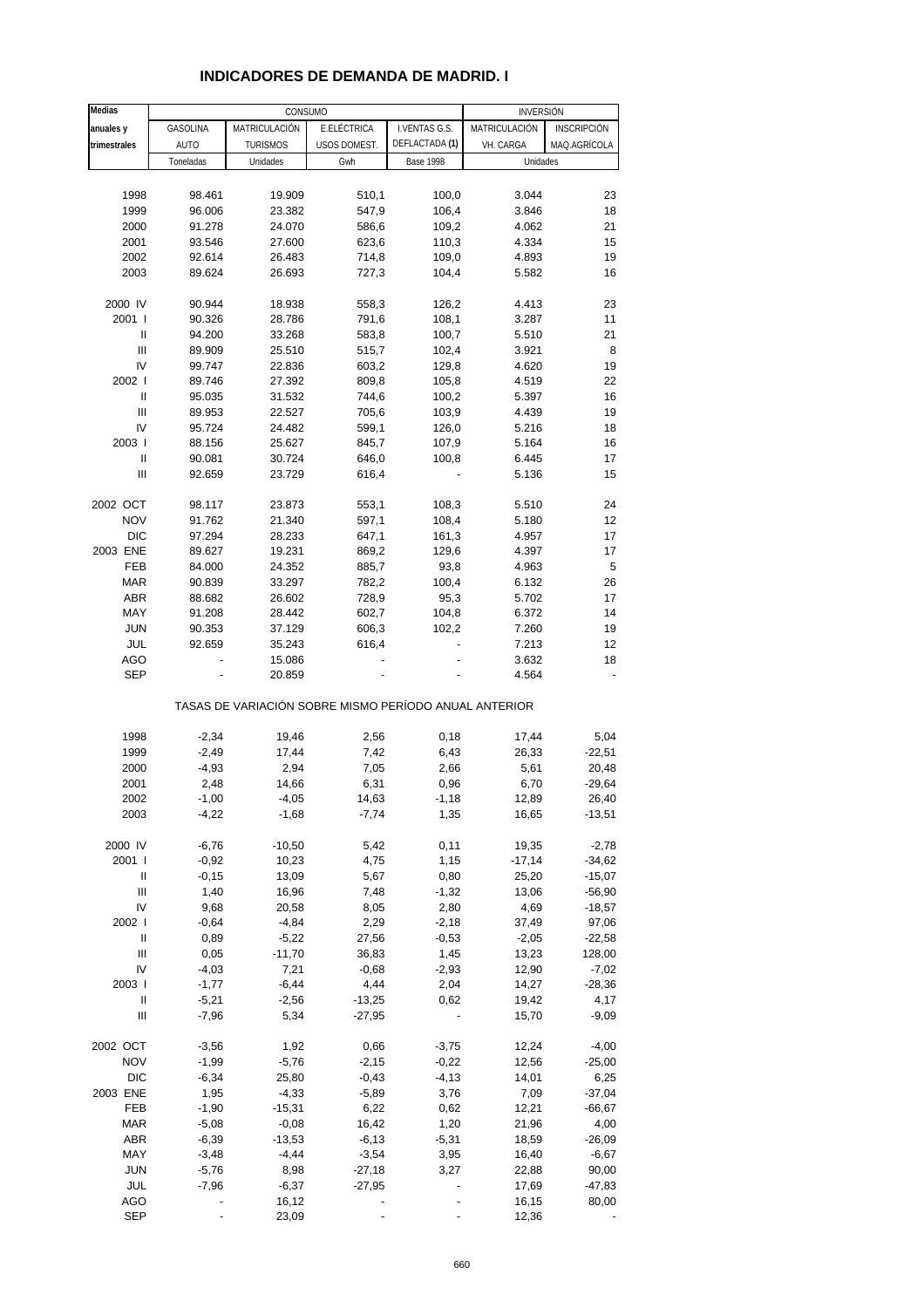| Medias                             | CONSUMO            |                                                       |                  |                  | <b>INVERSIÓN</b> |                    |  |  |
|------------------------------------|--------------------|-------------------------------------------------------|------------------|------------------|------------------|--------------------|--|--|
| anuales y                          | GASOLINA           | MATRICULACIÓN                                         | E.ELÉCTRICA      | I.VENTAS G.S.    | MATRICULACIÓN    | <b>INSCRIPCIÓN</b> |  |  |
| trimestrales                       | <b>AUTO</b>        | <b>TURISMOS</b>                                       | USOS DOMEST.     | DEFLACTADA (1)   | VH. CARGA        | MAQ.AGRÍCOLA       |  |  |
|                                    | Toneladas          | Unidades                                              | Gwh              | <b>Base 1998</b> | Unidades         |                    |  |  |
|                                    |                    |                                                       |                  |                  |                  |                    |  |  |
| 1998                               | 98.461             | 19.909                                                | 510,1            | 100,0            | 3.044            | 23                 |  |  |
| 1999                               | 96.006             | 23.382                                                | 547,9            | 106,4            | 3.846            | 18                 |  |  |
| 2000                               | 91.278             | 24.070                                                | 586,6            | 109,2            | 4.062            | 21                 |  |  |
| 2001                               | 93.546             | 27.600                                                | 623,6            | 110,3            | 4.334            | 15                 |  |  |
| 2002                               | 92.614             | 26.483                                                | 714,8            | 109,0            | 4.893            | 19                 |  |  |
| 2003                               | 89.624             | 26.693                                                | 727,3            | 104,4            | 5.582            | 16                 |  |  |
|                                    |                    |                                                       |                  |                  |                  |                    |  |  |
| 2000 IV                            | 90.944             | 18.938                                                | 558,3            | 126,2            | 4.413            | 23                 |  |  |
| 2001 l                             | 90.326             | 28.786                                                | 791,6            | 108,1            | 3.287            | 11                 |  |  |
| Ш                                  | 94.200             | 33.268                                                | 583,8            | 100,7            | 5.510            | 21                 |  |  |
| $\ensuremath{\mathsf{III}}\xspace$ | 89.909             | 25.510                                                | 515,7            | 102,4            | 3.921            | 8                  |  |  |
| IV                                 | 99.747             | 22.836                                                | 603,2            | 129,8            | 4.620            | 19                 |  |  |
| 2002                               | 89.746             | 27.392                                                | 809,8            | 105,8            | 4.519            | 22                 |  |  |
| Ш                                  | 95.035             | 31.532                                                | 744,6            | 100,2            | 5.397            | 16                 |  |  |
| Ш                                  | 89.953             | 22.527                                                | 705,6            | 103,9            | 4.439            | 19                 |  |  |
| IV                                 | 95.724             | 24.482                                                | 599,1            | 126,0            | 5.216            | 18                 |  |  |
| 2003                               | 88.156             | 25.627                                                | 845,7            | 107,9            | 5.164            | 16                 |  |  |
| $\sf II$                           | 90.081             | 30.724                                                | 646,0            | 100,8            | 6.445            | 17                 |  |  |
| Ш                                  | 92.659             | 23.729                                                | 616,4            |                  | 5.136            | 15                 |  |  |
| 2002 OCT                           | 98.117             | 23.873                                                |                  | 108,3            | 5.510            | 24                 |  |  |
| <b>NOV</b>                         | 91.762             | 21.340                                                | 553,1<br>597,1   | 108,4            | 5.180            | 12                 |  |  |
| DIC                                | 97.294             | 28.233                                                | 647,1            | 161,3            | 4.957            | 17                 |  |  |
| 2003 ENE                           | 89.627             | 19.231                                                | 869,2            | 129,6            | 4.397            | 17                 |  |  |
| FEB                                | 84.000             | 24.352                                                | 885,7            | 93,8             | 4.963            | 5                  |  |  |
| <b>MAR</b>                         | 90.839             | 33.297                                                | 782,2            | 100,4            | 6.132            | 26                 |  |  |
| <b>ABR</b>                         | 88.682             | 26.602                                                | 728,9            | 95,3             | 5.702            | 17                 |  |  |
| MAY                                | 91.208             | 28.442                                                | 602,7            | 104,8            | 6.372            | 14                 |  |  |
| <b>JUN</b>                         | 90.353             | 37.129                                                | 606,3            | 102,2            | 7.260            | 19                 |  |  |
| JUL                                | 92.659             | 35.243                                                | 616,4            |                  | 7.213            | 12                 |  |  |
| AGO                                | -                  | 15.086                                                |                  |                  | 3.632            | 18                 |  |  |
| <b>SEP</b>                         |                    | 20.859                                                |                  |                  | 4.564            |                    |  |  |
|                                    |                    | TASAS DE VARIACIÓN SOBRE MISMO PERÍODO ANUAL ANTERIOR |                  |                  |                  |                    |  |  |
|                                    |                    |                                                       |                  |                  |                  |                    |  |  |
| 1998                               | $-2,34$            | 19,46<br>17,44                                        | 2,56             | 0,18             | 17,44            | 5,04               |  |  |
| 1999                               | $-2,49$            |                                                       | 7,42             | 6,43             | 26,33            | $-22,51$           |  |  |
| 2000<br>2001                       | $-4,93$            | 2,94                                                  | 7,05             | 2,66             | 5,61             | 20,48<br>$-29,64$  |  |  |
|                                    | 2,48               | 14,66                                                 | 6,31             | 0,96             | 6,70             |                    |  |  |
| 2002<br>2003                       | $-1,00$<br>$-4,22$ | -4,05<br>$-1,68$                                      | 14,63<br>$-7,74$ | -1,18<br>1,35    | 12,89<br>16,65   | 26,40<br>$-13,51$  |  |  |
|                                    |                    |                                                       |                  |                  |                  |                    |  |  |
| 2000 IV                            | $-6,76$            | $-10,50$                                              | 5,42             | 0,11             | 19,35            | $-2,78$            |  |  |
| 2001 l                             | $-0,92$            | 10,23                                                 | 4,75             | 1,15             | $-17,14$         | $-34,62$           |  |  |
| $\label{eq:1} \mathsf{II}$         | $-0,15$            | 13,09                                                 | 5,67             | 0,80             | 25,20            | $-15,07$           |  |  |
| $\ensuremath{\mathsf{III}}\xspace$ | 1,40               | 16,96                                                 | 7,48             | $-1,32$          | 13,06            | $-56,90$           |  |  |
| IV                                 | 9,68               | 20,58                                                 | 8,05             | 2,80             | 4,69             | $-18,57$           |  |  |
| 2002                               | $-0,64$            | $-4,84$                                               | 2,29             | $-2,18$          | 37,49            | 97,06              |  |  |
| $\sf II$                           | 0,89               | $-5,22$                                               | 27,56            | $-0,53$          | $-2,05$          | $-22,58$           |  |  |
| Ш                                  | 0,05               | $-11,70$                                              | 36,83            | 1,45             | 13,23            | 128,00             |  |  |
| IV                                 | $-4,03$            | 7,21                                                  | $-0,68$          | $-2,93$          | 12,90            | $-7,02$            |  |  |
| 2003 l                             | $-1,77$            | $-6,44$                                               | 4,44             | 2,04             | 14,27            | $-28,36$           |  |  |
| Ш                                  | $-5,21$            | $-2,56$                                               | $-13,25$         | 0,62             | 19,42            | 4,17               |  |  |
| $\ensuremath{\mathsf{III}}\xspace$ | $-7,96$            | 5,34                                                  | $-27,95$         |                  | 15,70            | $-9,09$            |  |  |
| 2002 OCT                           | $-3,56$            | 1,92                                                  | 0,66             | $-3,75$          | 12,24            | $-4,00$            |  |  |
| <b>NOV</b>                         | $-1,99$            | $-5,76$                                               | $-2,15$          | $-0,22$          | 12,56            | $-25,00$           |  |  |
| <b>DIC</b>                         | $-6,34$            | 25,80                                                 | $-0,43$          | $-4, 13$         | 14,01            | 6,25               |  |  |
| 2003 ENE                           | 1,95               | $-4,33$                                               | $-5,89$          | 3,76             | 7,09             | $-37,04$           |  |  |
| FEB                                | $-1,90$            | $-15,31$                                              | 6,22             | 0,62             | 12,21            | $-66,67$           |  |  |
| <b>MAR</b>                         | $-5,08$            | $-0,08$                                               | 16,42            | 1,20             | 21,96            | 4,00               |  |  |
| ABR                                | $-6,39$            | $-13,53$                                              | $-6, 13$         | $-5,31$          | 18,59            | $-26,09$           |  |  |
| MAY                                | $-3,48$            | $-4,44$                                               | $-3,54$          | 3,95             | 16,40            | $-6,67$            |  |  |
| <b>JUN</b>                         | $-5,76$            | 8,98                                                  | $-27,18$         | 3,27             | 22,88            | 90,00              |  |  |
| JUL                                | $-7,96$            | $-6,37$                                               | $-27,95$         |                  | 17,69            | -47,83             |  |  |
| <b>AGO</b>                         |                    | 16,12                                                 |                  |                  | 16,15            | 80,00              |  |  |
| <b>SEP</b>                         |                    | 23,09                                                 |                  |                  | 12,36            |                    |  |  |

#### **INDICADORES DE DEMANDA DE MADRID. I**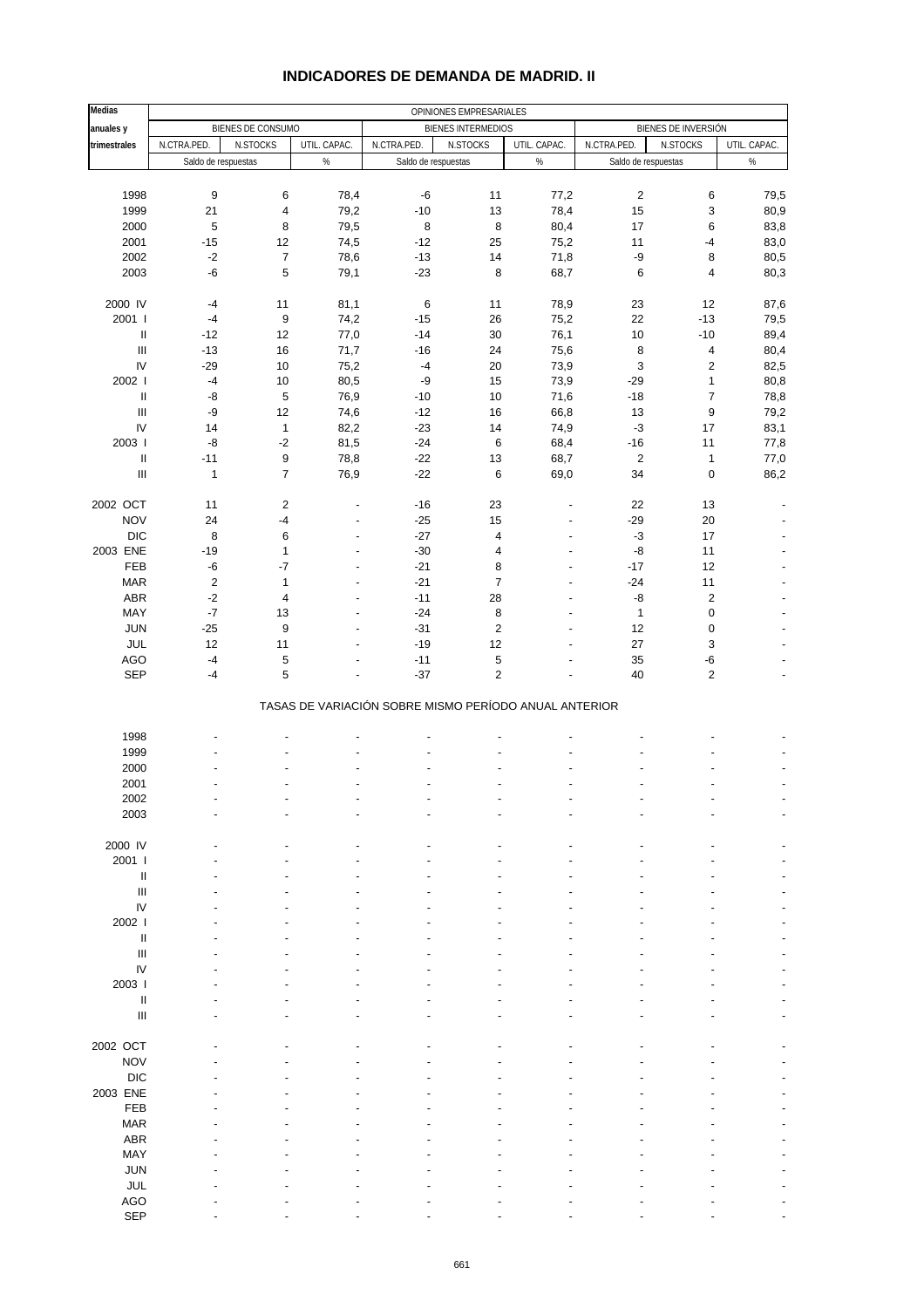| <b>Medias</b>                      | OPINIONES EMPRESARIALES |                        |                                  |                                                       |                           |                          |                     |                           |                          |  |
|------------------------------------|-------------------------|------------------------|----------------------------------|-------------------------------------------------------|---------------------------|--------------------------|---------------------|---------------------------|--------------------------|--|
| anuales y                          |                         | BIENES DE CONSUMO      |                                  |                                                       | <b>BIENES INTERMEDIOS</b> |                          |                     | BIENES DE INVERSIÓN       |                          |  |
| trimestrales                       | N.CTRA.PED.             | N.STOCKS               | UTIL. CAPAC.                     | N.CTRA.PED.                                           | N.STOCKS                  | UTIL. CAPAC.             | N.CTRA.PED.         | N.STOCKS                  | UTIL. CAPAC.             |  |
|                                    | Saldo de respuestas     |                        | %                                | Saldo de respuestas                                   |                           | $\%$                     | Saldo de respuestas |                           | $\%$                     |  |
|                                    |                         |                        |                                  |                                                       |                           |                          |                     |                           |                          |  |
| 1998                               | $\boldsymbol{9}$        | 6                      | 78,4                             | $-6$                                                  | 11                        | 77,2                     | $\sqrt{2}$          | $\,6\,$                   | 79,5                     |  |
| 1999                               | 21                      | $\overline{4}$         | 79,2                             | $-10$                                                 | 13                        | 78,4                     | 15                  | 3                         | 80,9                     |  |
| 2000                               | 5                       | 8                      | 79,5                             | 8                                                     | 8                         | 80,4                     | 17                  | 6                         | 83,8                     |  |
| 2001                               | $-15$                   | 12                     | 74,5                             | $-12$                                                 | 25                        | 75,2                     | 11                  | $-4$                      | 83,0                     |  |
| 2002                               | $-2$                    | $\boldsymbol{7}$       | 78,6                             | $-13$                                                 | 14                        | 71,8                     | -9                  | 8                         | 80,5                     |  |
| 2003                               | -6                      | 5                      | 79,1                             | $-23$                                                 | 8                         | 68,7                     | $\,6$               | 4                         | 80,3                     |  |
|                                    |                         |                        |                                  |                                                       |                           |                          |                     |                           |                          |  |
| 2000 IV<br>2001 l                  | $-4$<br>$-4$            | 11<br>$\boldsymbol{9}$ | 81,1<br>74,2                     | $\,6\,$<br>$-15$                                      | 11<br>26                  | 78,9<br>75,2             | 23<br>22            | 12<br>$-13$               | 87,6<br>79,5             |  |
| Ш                                  | $-12$                   | 12                     | 77,0                             | $-14$                                                 | 30                        | 76,1                     | 10                  | $-10$                     | 89,4                     |  |
| $\ensuremath{\mathsf{III}}\xspace$ | $-13$                   | 16                     | 71,7                             | $-16$                                                 | 24                        | 75,6                     | 8                   | $\overline{\mathbf{4}}$   | 80,4                     |  |
| IV                                 | $-29$                   | 10                     | 75,2                             | $-4$                                                  | 20                        | 73,9                     | 3                   | $\boldsymbol{2}$          | 82,5                     |  |
| 2002                               | $-4$                    | 10                     | 80,5                             | -9                                                    | 15                        | 73,9                     | $-29$               | $\mathbf{1}$              | 80,8                     |  |
| $\ensuremath{\mathsf{II}}$         | -8                      | 5                      | 76,9                             | $-10$                                                 | 10                        | 71,6                     | $-18$               | $\boldsymbol{7}$          | 78,8                     |  |
| $\mathbf{III}$                     | -9                      | 12                     | 74,6                             | $-12$                                                 | 16                        | 66,8                     | 13                  | 9                         | 79,2                     |  |
| IV                                 | 14                      | $\mathbf{1}$           | 82,2                             | $-23$                                                 | 14                        | 74,9                     | $-3$                | 17                        | 83,1                     |  |
| 2003                               | -8                      | $-2$                   | 81,5                             | $-24$                                                 | 6                         | 68,4                     | $-16$               | 11                        | 77,8                     |  |
| Ш                                  | $-11$                   | 9                      | 78,8                             | $-22$                                                 | 13                        | 68,7                     | $\sqrt{2}$          | $\mathbf{1}$              | 77,0                     |  |
| $\ensuremath{\mathsf{III}}\xspace$ | $\mathbf{1}$            | $\overline{7}$         | 76,9                             | $-22$                                                 | 6                         | 69,0                     | 34                  | $\mathbf 0$               | 86,2                     |  |
|                                    |                         |                        |                                  |                                                       |                           |                          |                     |                           |                          |  |
| 2002 OCT                           | 11                      | $\overline{c}$         | $\overline{a}$                   | $-16$                                                 | 23                        |                          | 22                  | 13                        |                          |  |
| <b>NOV</b>                         | 24                      | -4                     | $\overline{a}$                   | $-25$                                                 | 15                        | $\overline{a}$           | $-29$               | 20                        |                          |  |
| <b>DIC</b>                         | 8                       | 6                      | ٠                                | $-27$                                                 | $\overline{\mathbf{4}}$   | ÷,                       | $-3$                | 17                        | $\overline{a}$           |  |
| 2003 ENE                           | $-19$                   | $\mathbf{1}$           | ÷,                               | $-30$                                                 | $\overline{\mathbf{4}}$   | $\overline{\phantom{a}}$ | $-8$                | 11                        | $\overline{a}$           |  |
| FEB                                | $\mbox{-}6$             | $-7$                   | $\overline{a}$                   | $-21$                                                 | 8                         |                          | $-17$               | 12                        |                          |  |
| <b>MAR</b>                         | $\sqrt{2}$              | $\mathbf{1}$           | $\overline{a}$                   | $-21$                                                 | $\overline{7}$            | ÷,                       | $-24$               | 11                        |                          |  |
| ABR                                | $-2$                    | 4                      | $\overline{a}$                   | $-11$                                                 | 28                        | $\overline{a}$           | -8                  | $\sqrt{2}$                |                          |  |
| MAY<br>JUN                         | $\mathbf{-7}$<br>$-25$  | 13<br>$\boldsymbol{9}$ | $\overline{a}$<br>$\overline{a}$ | $-24$<br>$-31$                                        | 8<br>$\sqrt{2}$           | ÷,                       | $\mathbf{1}$<br>12  | $\pmb{0}$<br>$\pmb{0}$    | $\overline{\phantom{a}}$ |  |
| JUL                                | 12                      | 11                     | $\overline{a}$                   | $-19$                                                 | 12                        |                          | 27                  | $\ensuremath{\mathsf{3}}$ |                          |  |
| <b>AGO</b>                         | $-4$                    | 5                      |                                  | $-11$                                                 | 5                         |                          | 35                  | $\mbox{-}6$               |                          |  |
| <b>SEP</b>                         | $-4$                    | 5                      |                                  | $-37$                                                 | $\overline{c}$            |                          | 40                  | $\overline{2}$            | $\overline{a}$           |  |
|                                    |                         |                        |                                  |                                                       |                           |                          |                     |                           |                          |  |
|                                    |                         |                        |                                  | TASAS DE VARIACIÓN SOBRE MISMO PERÍODO ANUAL ANTERIOR |                           |                          |                     |                           |                          |  |
|                                    |                         |                        |                                  |                                                       |                           |                          |                     |                           |                          |  |
| 1998                               |                         |                        |                                  |                                                       |                           |                          |                     |                           |                          |  |
| 1999                               |                         |                        |                                  |                                                       |                           |                          |                     |                           |                          |  |
| 2000                               |                         |                        |                                  |                                                       |                           |                          |                     |                           |                          |  |
| 2001                               |                         |                        |                                  |                                                       |                           |                          |                     |                           |                          |  |
| 2002                               |                         |                        |                                  |                                                       |                           |                          |                     |                           |                          |  |
| 2003                               |                         |                        |                                  |                                                       |                           |                          |                     |                           |                          |  |
|                                    |                         |                        |                                  |                                                       |                           |                          |                     |                           |                          |  |
| 2000 IV<br>2001 l                  |                         |                        |                                  |                                                       |                           |                          |                     |                           |                          |  |
| $\ensuremath{\mathsf{II}}$         |                         |                        |                                  |                                                       |                           |                          |                     |                           |                          |  |
| III                                |                         |                        |                                  |                                                       |                           |                          |                     |                           |                          |  |
| IV                                 |                         |                        |                                  |                                                       |                           |                          |                     |                           |                          |  |
| 2002 l                             |                         |                        |                                  |                                                       |                           |                          |                     |                           |                          |  |
| Ш                                  |                         |                        |                                  |                                                       |                           |                          |                     |                           |                          |  |
| $\ensuremath{\mathsf{III}}\xspace$ |                         |                        |                                  |                                                       |                           |                          |                     |                           |                          |  |
| IV                                 |                         |                        |                                  |                                                       |                           |                          |                     |                           |                          |  |
| 2003                               |                         |                        |                                  |                                                       |                           |                          |                     |                           |                          |  |
| $\ensuremath{\mathsf{II}}$         |                         |                        |                                  |                                                       |                           |                          |                     |                           |                          |  |
| $\ensuremath{\mathsf{III}}\xspace$ |                         |                        |                                  |                                                       |                           |                          |                     |                           |                          |  |
|                                    |                         |                        |                                  |                                                       |                           |                          |                     |                           |                          |  |
| 2002 OCT                           |                         |                        |                                  |                                                       |                           |                          |                     |                           |                          |  |
| <b>NOV</b>                         |                         |                        |                                  |                                                       |                           |                          |                     |                           |                          |  |
| <b>DIC</b>                         |                         |                        |                                  |                                                       |                           |                          |                     |                           |                          |  |
| 2003 ENE                           |                         |                        |                                  |                                                       |                           |                          |                     |                           |                          |  |
| FEB                                |                         |                        |                                  |                                                       |                           |                          |                     |                           |                          |  |
| <b>MAR</b>                         |                         |                        |                                  |                                                       |                           |                          |                     |                           |                          |  |
| ABR                                |                         |                        |                                  |                                                       |                           |                          |                     |                           |                          |  |
| MAY<br><b>JUN</b>                  |                         |                        |                                  |                                                       |                           |                          |                     |                           |                          |  |
| JUL                                |                         |                        |                                  |                                                       |                           |                          |                     |                           |                          |  |
| <b>AGO</b>                         |                         |                        |                                  |                                                       |                           |                          |                     |                           |                          |  |
|                                    |                         |                        |                                  |                                                       |                           |                          |                     |                           |                          |  |

#### **INDICADORES DE DEMANDA DE MADRID. II**

SEP - - - - - - - - -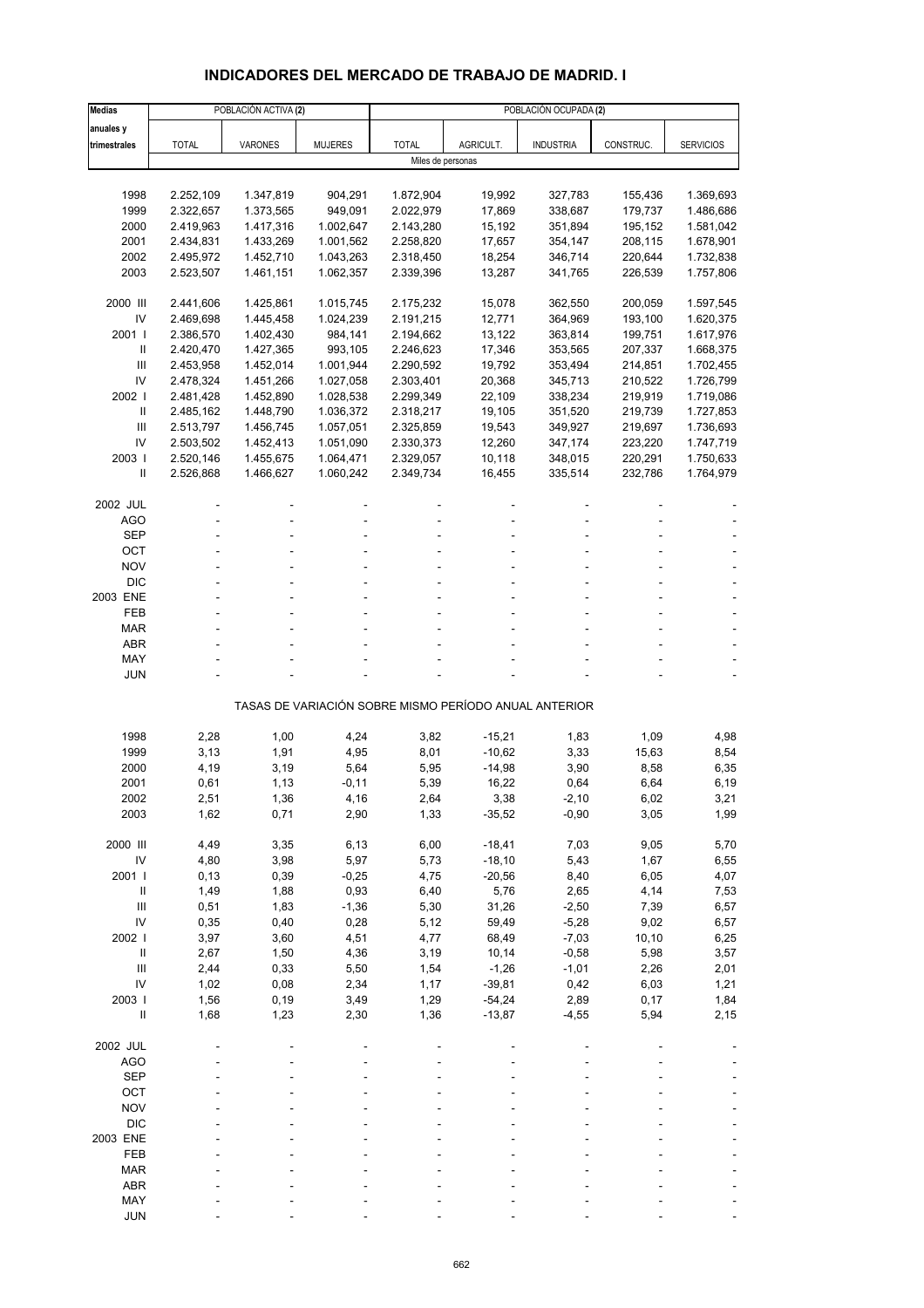## **INDICADORES DEL MERCADO DE TRABAJO DE MADRID. I**

| <b>Medias</b>            |                        | POBLACIÓN ACTIVA (2)   |                      | POBLACIÓN OCUPADA (2)  |                      |                                                       |                    |                        |  |  |
|--------------------------|------------------------|------------------------|----------------------|------------------------|----------------------|-------------------------------------------------------|--------------------|------------------------|--|--|
| anuales y                |                        |                        |                      |                        |                      |                                                       |                    |                        |  |  |
| trimestrales             | <b>TOTAL</b>           | VARONES                | <b>MUJERES</b>       | <b>TOTAL</b>           | AGRICULT.            | <b>INDUSTRIA</b>                                      | CONSTRUC.          | <b>SERVICIOS</b>       |  |  |
|                          |                        |                        |                      | Miles de personas      |                      |                                                       |                    |                        |  |  |
|                          |                        |                        |                      |                        |                      |                                                       |                    |                        |  |  |
| 1998                     | 2.252,109              | 1.347,819              | 904,291              | 1.872,904              | 19,992               | 327,783                                               | 155,436            | 1.369,693              |  |  |
| 1999                     | 2.322,657              | 1.373,565              | 949,091              | 2.022,979              | 17,869               | 338,687                                               | 179,737            | 1.486,686              |  |  |
| 2000                     | 2.419,963              | 1.417,316              | 1.002,647            | 2.143,280              | 15,192               | 351,894                                               | 195,152            | 1.581,042              |  |  |
| 2001                     | 2.434,831              | 1.433,269              | 1.001,562            | 2.258,820              | 17,657               | 354,147                                               | 208,115            | 1.678,901              |  |  |
| 2002                     | 2.495,972              | 1.452,710              | 1.043,263            | 2.318,450              | 18,254               | 346,714                                               | 220,644            | 1.732,838              |  |  |
| 2003                     | 2.523,507              | 1.461,151              | 1.062,357            | 2.339,396              | 13,287               | 341,765                                               | 226,539            | 1.757,806              |  |  |
|                          |                        |                        |                      |                        |                      |                                                       |                    |                        |  |  |
| 2000 III<br>IV           | 2.441,606              | 1.425,861              | 1.015,745            | 2.175,232              | 15,078               | 362,550                                               | 200,059            | 1.597,545              |  |  |
| 2001 l                   | 2.469,698<br>2.386,570 | 1.445,458<br>1.402,430 | 1.024,239<br>984,141 | 2.191,215<br>2.194,662 | 12,771<br>13,122     | 364,969<br>363,814                                    | 193,100<br>199,751 | 1.620,375<br>1.617,976 |  |  |
| Ш                        | 2.420,470              | 1.427,365              | 993,105              | 2.246,623              | 17,346               | 353,565                                               | 207,337            | 1.668,375              |  |  |
| Ш                        | 2.453,958              | 1.452,014              | 1.001,944            | 2.290,592              | 19,792               | 353,494                                               | 214,851            | 1.702,455              |  |  |
| IV                       | 2.478,324              | 1.451,266              | 1.027,058            | 2.303,401              | 20,368               | 345,713                                               | 210,522            | 1.726,799              |  |  |
| 2002                     | 2.481,428              | 1.452,890              | 1.028,538            | 2.299,349              | 22,109               | 338,234                                               | 219,919            | 1.719,086              |  |  |
| $\mathbf{II}$            | 2.485,162              | 1.448,790              | 1.036,372            | 2.318,217              | 19,105               | 351,520                                               | 219,739            | 1.727,853              |  |  |
| Ш                        | 2.513,797              | 1.456,745              | 1.057,051            | 2.325,859              | 19,543               | 349,927                                               | 219,697            | 1.736,693              |  |  |
| IV                       | 2.503,502              | 1.452,413              | 1.051,090            | 2.330,373              | 12,260               | 347,174                                               | 223,220            | 1.747,719              |  |  |
| 2003                     | 2.520,146              | 1.455,675              | 1.064,471            | 2.329,057              | 10,118               | 348,015                                               | 220,291            | 1.750,633              |  |  |
| $\mathbf{I}$             | 2.526,868              | 1.466,627              | 1.060,242            | 2.349,734              | 16,455               | 335,514                                               | 232,786            | 1.764,979              |  |  |
|                          |                        |                        |                      |                        |                      |                                                       |                    |                        |  |  |
| 2002 JUL                 |                        |                        |                      |                        |                      |                                                       |                    |                        |  |  |
| <b>AGO</b>               |                        |                        |                      |                        |                      |                                                       |                    |                        |  |  |
| <b>SEP</b>               |                        |                        |                      |                        |                      |                                                       |                    |                        |  |  |
| ОСТ                      |                        |                        |                      |                        |                      |                                                       |                    |                        |  |  |
| <b>NOV</b><br><b>DIC</b> |                        |                        |                      |                        |                      |                                                       |                    |                        |  |  |
| 2003 ENE                 |                        |                        |                      |                        |                      |                                                       |                    |                        |  |  |
| FEB                      |                        |                        |                      |                        |                      |                                                       |                    |                        |  |  |
| MAR                      |                        |                        |                      |                        |                      |                                                       |                    |                        |  |  |
| <b>ABR</b>               |                        |                        |                      |                        |                      |                                                       |                    |                        |  |  |
| MAY                      |                        |                        |                      |                        |                      |                                                       |                    |                        |  |  |
| <b>JUN</b>               |                        |                        |                      |                        |                      |                                                       |                    |                        |  |  |
|                          |                        |                        |                      |                        |                      |                                                       |                    |                        |  |  |
|                          |                        |                        |                      |                        |                      | TASAS DE VARIACIÓN SOBRE MISMO PERÍODO ANUAL ANTERIOR |                    |                        |  |  |
| 1998                     |                        |                        |                      |                        |                      |                                                       |                    |                        |  |  |
| 1999                     | 2,28<br>3,13           | 1,00<br>1,91           | 4,24<br>4,95         | 3,82<br>8,01           | $-15,21$<br>$-10,62$ | 1,83<br>3,33                                          | 1,09<br>15,63      | 4,98<br>8,54           |  |  |
| 2000                     | 4,19                   | 3,19                   | 5,64                 | 5,95                   | $-14,98$             | 3,90                                                  | 8,58               | 6,35                   |  |  |
| 2001                     | 0,61                   | 1,13                   | $-0,11$              | 5,39                   | 16,22                | 0,64                                                  | 6,64               | 6,19                   |  |  |
| 2002                     | 2,51                   | 1,36                   | 4,16                 | 2,64                   | 3,38                 | $-2,10$                                               | 6,02               | 3,21                   |  |  |
| 2003                     | 1,62                   | 0,71                   | 2,90                 | 1,33                   | $-35,52$             | $-0,90$                                               | 3,05               | 1,99                   |  |  |
|                          |                        |                        |                      |                        |                      |                                                       |                    |                        |  |  |
| 2000 III                 | 4,49                   | 3,35                   | 6,13                 | 6,00                   | $-18,41$             | 7,03                                                  | 9,05               | 5,70                   |  |  |
| IV                       | 4,80                   | 3,98                   | 5,97                 | 5,73                   | $-18,10$             | 5,43                                                  | 1,67               | 6,55                   |  |  |
| 2001 l                   | 0, 13                  | 0,39                   | $-0,25$              | 4,75                   | $-20,56$             | 8,40                                                  | 6,05               | 4,07                   |  |  |
| $\, \parallel$           | 1,49                   | 1,88                   | 0,93                 | 6,40                   | 5,76                 | 2,65                                                  | 4,14               | 7,53                   |  |  |
| Ш                        | 0,51                   | 1,83                   | $-1,36$              | 5,30                   | 31,26                | $-2,50$                                               | 7,39               | 6,57                   |  |  |
| IV                       | 0,35                   | 0,40                   | 0,28                 | 5,12                   | 59,49                | $-5,28$                                               | 9,02               | 6,57                   |  |  |
| 2002                     | 3,97                   | 3,60                   | 4,51                 | 4,77                   | 68,49                | $-7,03$                                               | 10, 10             | 6,25                   |  |  |
| $\mathbf{II}$            | 2,67                   | 1,50                   | 4,36                 | 3,19                   | 10,14                | $-0,58$                                               | 5,98               | 3,57                   |  |  |
| III                      | 2,44                   | 0,33                   | 5,50                 | 1,54                   | $-1,26$              | $-1,01$                                               | 2,26               | 2,01                   |  |  |
| IV                       | 1,02                   | 0,08                   | 2,34                 | 1,17                   | $-39,81$             | 0,42                                                  | 6,03               | 1,21                   |  |  |
| 2003                     | 1,56                   | 0, 19                  | 3,49                 | 1,29                   | $-54,24$             | 2,89                                                  | 0,17               | 1,84                   |  |  |
| $\sf II$                 | 1,68                   | 1,23                   | 2,30                 | 1,36                   | $-13,87$             | $-4,55$                                               | 5,94               | 2,15                   |  |  |
| 2002 JUL                 |                        |                        |                      |                        |                      |                                                       |                    |                        |  |  |
| <b>AGO</b>               |                        |                        |                      |                        |                      |                                                       |                    |                        |  |  |
| <b>SEP</b>               |                        |                        |                      |                        |                      |                                                       |                    |                        |  |  |
| OCT                      |                        |                        |                      |                        |                      |                                                       |                    |                        |  |  |
| <b>NOV</b>               |                        |                        |                      |                        |                      |                                                       |                    |                        |  |  |
| <b>DIC</b>               |                        |                        |                      |                        |                      |                                                       |                    |                        |  |  |
| 2003 ENE                 |                        |                        |                      |                        |                      |                                                       |                    |                        |  |  |
| FEB                      |                        |                        |                      |                        |                      |                                                       |                    |                        |  |  |
| <b>MAR</b>               |                        |                        |                      |                        |                      |                                                       |                    |                        |  |  |
| <b>ABR</b>               |                        |                        |                      |                        |                      |                                                       |                    |                        |  |  |
| MAY                      |                        |                        |                      |                        |                      |                                                       |                    |                        |  |  |
| <b>JUN</b>               |                        |                        |                      |                        |                      |                                                       |                    |                        |  |  |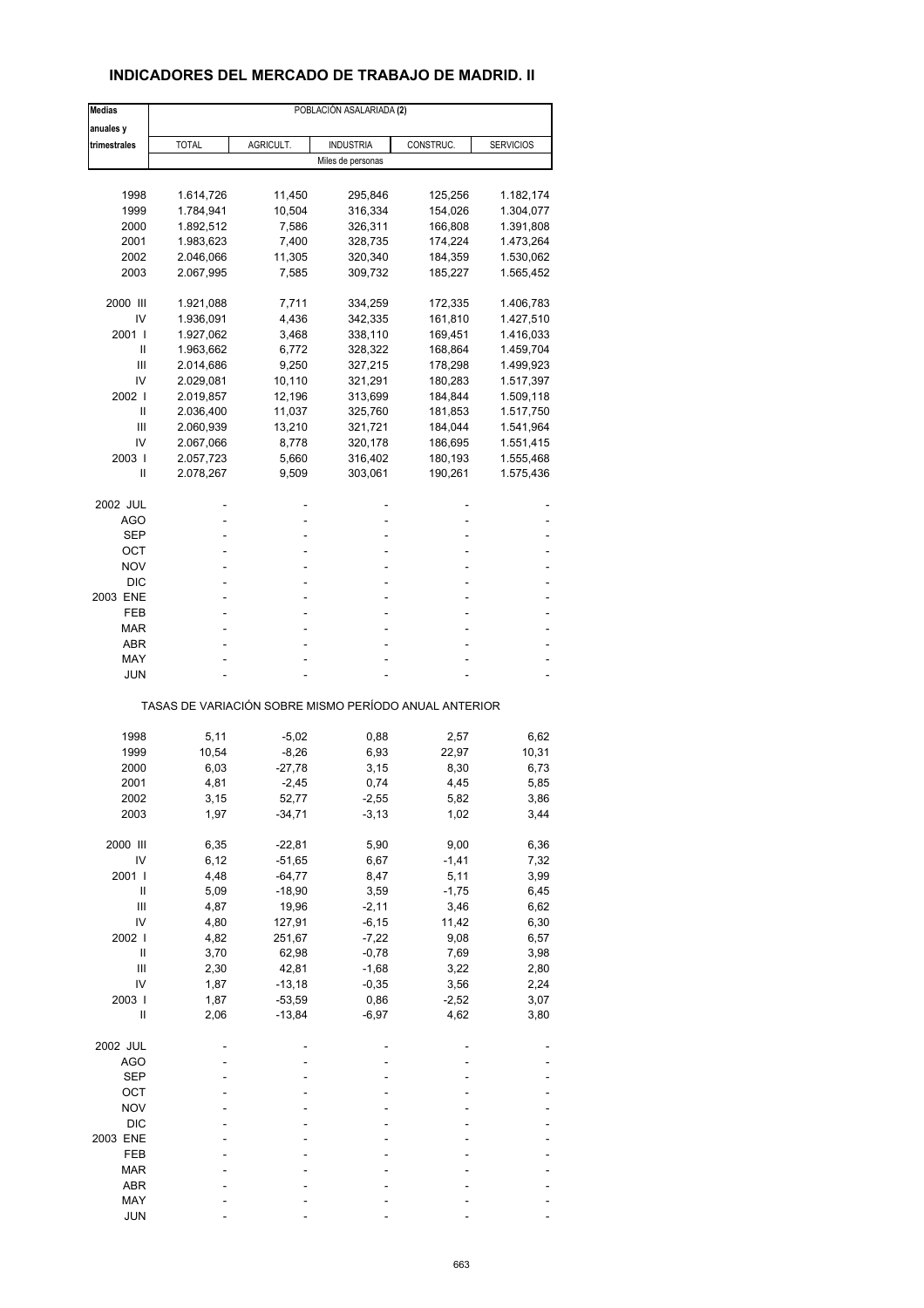## **INDICADORES DEL MERCADO DE TRABAJO DE MADRID. II**

| <b>Medias</b> | POBLACIÓN ASALARIADA (2)                              |           |                   |           |                  |  |
|---------------|-------------------------------------------------------|-----------|-------------------|-----------|------------------|--|
| anuales y     |                                                       |           |                   |           |                  |  |
| trimestrales  | <b>TOTAL</b>                                          | AGRICULT. | <b>INDUSTRIA</b>  | CONSTRUC. | <b>SERVICIOS</b> |  |
|               |                                                       |           | Miles de personas |           |                  |  |
|               |                                                       |           |                   |           |                  |  |
| 1998          | 1.614,726                                             | 11,450    | 295,846           | 125,256   | 1.182,174        |  |
| 1999          | 1.784,941                                             | 10,504    | 316,334           | 154,026   | 1.304,077        |  |
| 2000          | 1.892,512                                             | 7,586     | 326,311           | 166,808   | 1.391,808        |  |
| 2001          | 1.983,623                                             | 7,400     | 328,735           | 174,224   | 1.473,264        |  |
| 2002          | 2.046,066                                             | 11,305    | 320,340           | 184,359   | 1.530,062        |  |
| 2003          | 2.067,995                                             | 7,585     | 309,732           | 185,227   | 1.565,452        |  |
| 2000 III      | 1.921,088                                             | 7,711     | 334,259           | 172,335   | 1.406,783        |  |
| IV            | 1.936,091                                             | 4,436     | 342,335           | 161,810   | 1.427,510        |  |
| 2001 l        | 1.927,062                                             | 3,468     | 338,110           | 169,451   | 1.416,033        |  |
| Ш             | 1.963,662                                             | 6,772     | 328,322           | 168,864   | 1.459,704        |  |
| Ш             | 2.014,686                                             | 9,250     | 327,215           | 178,298   | 1.499,923        |  |
| IV            | 2.029,081                                             | 10,110    | 321,291           | 180,283   | 1.517,397        |  |
| 2002 l        | 2.019,857                                             | 12,196    | 313,699           | 184,844   | 1.509,118        |  |
| Ш             | 2.036,400                                             | 11,037    | 325,760           | 181,853   | 1.517,750        |  |
| Ш             | 2.060,939                                             | 13,210    | 321,721           | 184,044   | 1.541,964        |  |
| IV            | 2.067,066                                             | 8,778     | 320,178           | 186,695   | 1.551,415        |  |
| 2003          |                                                       |           | 316,402           |           |                  |  |
|               | 2.057,723                                             | 5,660     |                   | 180,193   | 1.555,468        |  |
| Ш             | 2.078,267                                             | 9,509     | 303,061           | 190,261   | 1.575,436        |  |
| 2002 JUL      |                                                       |           |                   |           |                  |  |
| AGO           |                                                       |           | ٠                 |           |                  |  |
| SEP           |                                                       |           |                   |           |                  |  |
| OCT           | ä,                                                    |           | ٠                 |           |                  |  |
| NOV           |                                                       |           | ä,                |           |                  |  |
| <b>DIC</b>    |                                                       |           |                   |           |                  |  |
| 2003 ENE      | ä,                                                    | ۰         | ٠                 |           |                  |  |
| FEB           |                                                       |           | ٠                 |           |                  |  |
| MAR           |                                                       |           |                   |           |                  |  |
| ABR           |                                                       |           | ٠                 |           |                  |  |
| MAY           |                                                       |           |                   |           |                  |  |
| JUN           |                                                       |           |                   |           |                  |  |
|               | TASAS DE VARIACIÓN SOBRE MISMO PERÍODO ANUAL ANTERIOR |           |                   |           |                  |  |
|               |                                                       |           |                   |           |                  |  |
| 1998          | 5,11                                                  | $-5,02$   | 0,88              | 2,57      | 6,62             |  |
| 1999          | 10,54                                                 | -8,26     | 6,93              | 22,97     | 10,31            |  |
| 2000          | 6,03                                                  | $-27,78$  | 3,15              | 8,30      | 6,73             |  |
| 2001          | 4,81                                                  | $-2,45$   | 0,74              | 4,45      | 5,85             |  |
| 2002          | 3,15                                                  | 52,77     | -2,55             | 5,82      | 3,86             |  |
| 2003          | 1,97                                                  | $-34,71$  | $-3, 13$          | 1,02      | 3,44             |  |
| 2000 III      | 6,35                                                  | $-22,81$  | 5,90              | 9,00      | 6,36             |  |
| IV            | 6,12                                                  | $-51,65$  | 6,67              | $-1,41$   | 7,32             |  |
| 2001 l        | 4,48                                                  | $-64,77$  | 8,47              | 5,11      | 3,99             |  |
| Ш             | 5,09                                                  | $-18,90$  | 3,59              | $-1,75$   |                  |  |
|               |                                                       |           |                   |           | 6,45             |  |
| Ш             | 4,87                                                  | 19,96     | $-2,11$           | 3,46      | 6,62             |  |
| IV            | 4,80                                                  | 127,91    | $-6, 15$          | 11,42     | 6,30             |  |
| 2002          | 4,82                                                  | 251,67    | $-7,22$           | 9,08      | 6,57             |  |
| $\sf II$      | 3,70                                                  | 62,98     | $-0,78$           | 7,69      | 3,98             |  |
| Ш             | 2,30                                                  | 42,81     | $-1,68$           | 3,22      | 2,80             |  |
| IV            | 1,87                                                  | $-13,18$  | $-0,35$           | 3,56      | 2,24             |  |
| 2003          | 1,87                                                  | $-53,59$  | 0,86              | $-2,52$   | 3,07             |  |
| Ш             | 2,06                                                  | $-13,84$  | $-6,97$           | 4,62      | 3,80             |  |
| 2002 JUL      |                                                       |           |                   |           |                  |  |
| AGO           |                                                       |           |                   |           |                  |  |
| <b>SEP</b>    |                                                       |           |                   |           |                  |  |
| ОСТ           |                                                       |           |                   |           |                  |  |
| <b>NOV</b>    |                                                       |           |                   |           |                  |  |
| <b>DIC</b>    |                                                       |           |                   |           |                  |  |
|               |                                                       |           |                   |           |                  |  |
| 2003 ENE      |                                                       |           |                   |           |                  |  |
| FEB           |                                                       |           |                   |           |                  |  |
| MAR           |                                                       |           |                   |           |                  |  |
| ABR           |                                                       |           |                   |           |                  |  |
| MAY           |                                                       |           |                   |           |                  |  |
| <b>JUN</b>    |                                                       |           |                   |           |                  |  |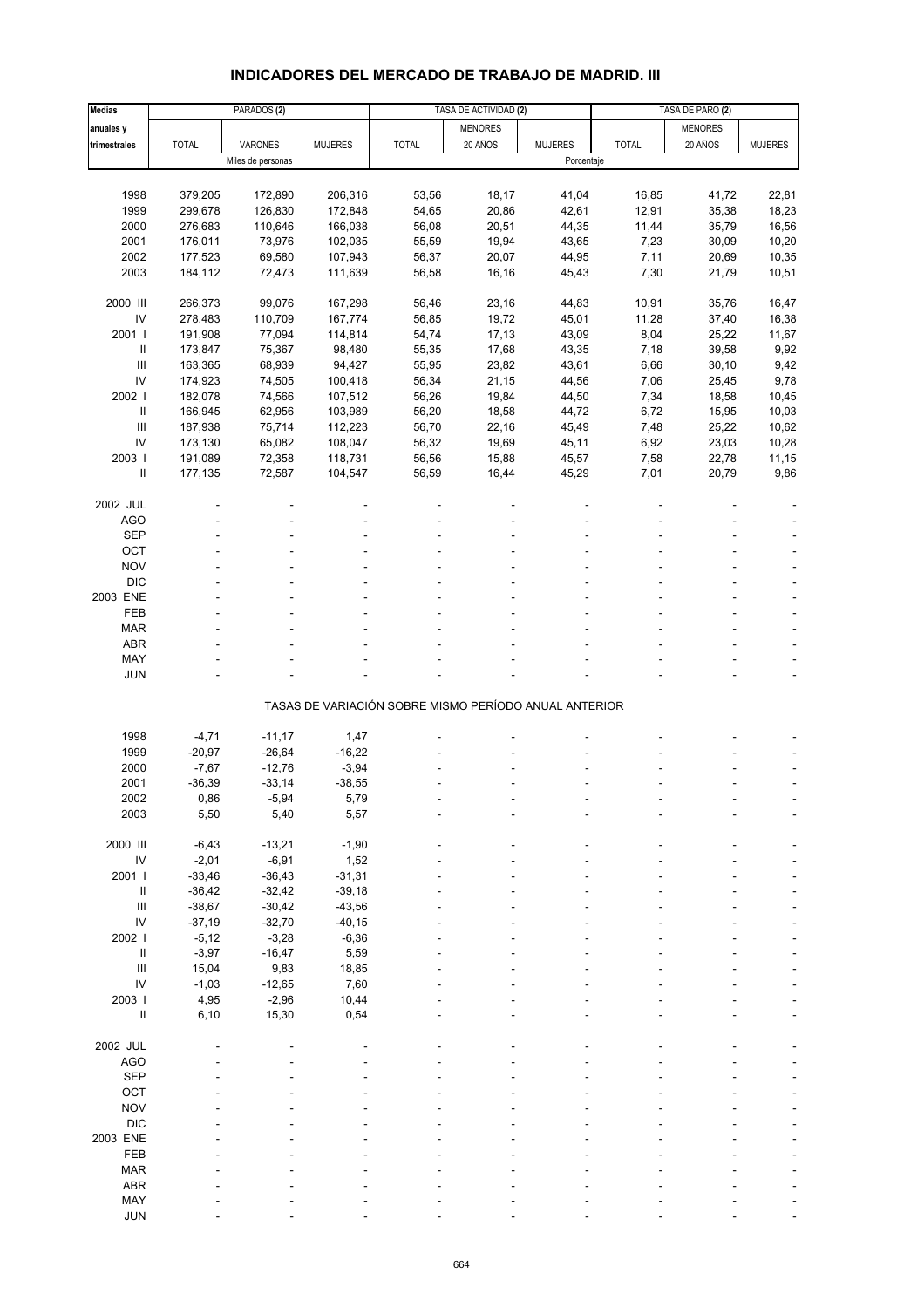# **INDICADORES DEL MERCADO DE TRABAJO DE MADRID. III**

| Medias                     |                      | PARADOS <sub>(2)</sub> |                |                                                       | TASA DE ACTIVIDAD (2) |                | TASA DE PARO (2) |                |                |
|----------------------------|----------------------|------------------------|----------------|-------------------------------------------------------|-----------------------|----------------|------------------|----------------|----------------|
| anuales y                  |                      |                        |                |                                                       | <b>MENORES</b>        |                |                  | <b>MENORES</b> |                |
| trimestrales               | <b>TOTAL</b>         | VARONES                | <b>MUJERES</b> | <b>TOTAL</b>                                          | 20 AÑOS               | <b>MUJERES</b> | <b>TOTAL</b>     | 20 AÑOS        | <b>MUJERES</b> |
|                            |                      | Miles de personas      |                |                                                       |                       | Porcentaje     |                  |                |                |
|                            |                      |                        |                |                                                       |                       |                |                  |                |                |
| 1998                       | 379,205              | 172,890                | 206,316        | 53,56                                                 | 18,17                 | 41,04          | 16,85            | 41,72          | 22,81          |
| 1999                       | 299,678              | 126,830                | 172,848        | 54,65                                                 | 20,86                 | 42,61          | 12,91            | 35,38          | 18,23          |
| 2000                       | 276,683              | 110,646                | 166,038        | 56,08                                                 | 20,51                 | 44,35          | 11,44            | 35,79          | 16,56          |
| 2001                       | 176,011              | 73,976                 | 102,035        | 55,59                                                 | 19,94                 | 43,65          | 7,23             | 30,09          | 10,20          |
| 2002                       | 177,523              | 69,580                 | 107,943        | 56,37                                                 | 20,07                 | 44,95          | 7,11             | 20,69          | 10,35          |
| 2003                       | 184,112              | 72,473                 | 111,639        | 56,58                                                 | 16,16                 | 45,43          | 7,30             | 21,79          | 10,51          |
|                            |                      |                        |                |                                                       |                       |                |                  |                |                |
| 2000 III                   | 266,373              | 99,076                 | 167,298        | 56,46                                                 | 23,16                 | 44,83          | 10,91            | 35,76          | 16,47          |
| IV                         | 278,483              | 110,709                | 167,774        | 56,85                                                 | 19,72                 | 45,01          | 11,28            | 37,40          | 16,38          |
| 2001 l                     | 191,908              | 77,094                 | 114,814        | 54,74                                                 | 17,13                 | 43,09          | 8,04             | 25,22          | 11,67          |
| $\sf II$                   | 173,847              | 75,367                 | 98,480         | 55,35                                                 | 17,68                 | 43,35          | 7,18             | 39,58          | 9,92           |
| $\mathbf{III}$             | 163,365              | 68,939                 | 94,427         | 55,95                                                 | 23,82                 | 43,61          | 6,66             | 30, 10         | 9,42           |
| IV                         | 174,923              | 74,505                 | 100,418        | 56,34                                                 | 21,15                 | 44,56          | 7,06             | 25,45          | 9,78           |
| 2002                       | 182,078              | 74,566                 | 107,512        | 56,26                                                 | 19,84                 | 44,50          | 7,34             | 18,58          | 10,45          |
| $\ensuremath{\mathsf{II}}$ | 166,945              | 62,956                 | 103,989        | 56,20                                                 | 18,58                 | 44,72          | 6,72             | 15,95          | 10,03          |
| $\mathbf{III}$             | 187,938              | 75,714                 | 112,223        | 56,70                                                 | 22,16                 | 45,49          | 7,48             | 25,22          | 10,62          |
| IV                         | 173,130              | 65,082                 | 108,047        | 56,32                                                 | 19,69                 | 45,11          | 6,92             | 23,03          | 10,28          |
| 2003                       | 191,089              | 72,358                 | 118,731        | 56,56                                                 | 15,88                 | 45,57          | 7,58             | 22,78          | 11,15          |
| $\sf II$                   | 177,135              | 72,587                 | 104,547        | 56,59                                                 | 16,44                 | 45,29          | 7,01             | 20,79          | 9,86           |
|                            |                      |                        |                |                                                       |                       |                |                  |                |                |
| 2002 JUL                   |                      |                        |                |                                                       |                       |                |                  |                |                |
| <b>AGO</b>                 |                      |                        |                |                                                       |                       |                |                  |                |                |
| <b>SEP</b>                 |                      |                        |                |                                                       |                       |                |                  |                |                |
| OCT                        |                      |                        |                |                                                       |                       |                |                  |                |                |
|                            |                      |                        |                |                                                       |                       |                |                  |                |                |
| <b>NOV</b>                 |                      |                        |                |                                                       |                       |                |                  |                |                |
| <b>DIC</b>                 |                      |                        |                |                                                       |                       |                |                  |                |                |
| 2003 ENE                   |                      |                        |                |                                                       |                       |                |                  |                |                |
| FEB                        |                      |                        |                |                                                       |                       |                |                  |                |                |
| <b>MAR</b>                 |                      |                        |                |                                                       |                       |                |                  |                |                |
| <b>ABR</b><br>MAY          |                      |                        |                |                                                       |                       |                |                  |                |                |
| <b>JUN</b>                 |                      |                        |                |                                                       |                       |                |                  |                |                |
|                            |                      |                        |                |                                                       |                       |                |                  |                |                |
|                            |                      |                        |                | TASAS DE VARIACIÓN SOBRE MISMO PERÍODO ANUAL ANTERIOR |                       |                |                  |                |                |
|                            |                      |                        |                |                                                       |                       |                |                  |                |                |
| 1998                       | $-4,71$              | $-11,17$               | 1,47           |                                                       |                       |                |                  |                |                |
| 1999                       | $-20,97$             | $-26,64$               | $-16,22$       |                                                       |                       |                |                  |                |                |
| 2000                       | $-7,67$              | $-12,76$               | $-3,94$        |                                                       |                       |                |                  |                |                |
| 2001                       | $-36,39$             | $-33,14$               | $-38,55$       |                                                       |                       |                |                  |                |                |
|                            |                      |                        |                |                                                       |                       |                |                  |                |                |
| 2002<br>2003               | 0,86<br>5,50         | -5,94<br>5,40          | 5,79<br>5,57   |                                                       |                       |                |                  |                |                |
|                            |                      |                        |                |                                                       |                       |                |                  |                |                |
| 2000 III                   | $-6,43$              | $-13,21$               | $-1,90$        |                                                       |                       |                |                  |                |                |
| $\mathsf{IV}$              | $-2,01$              | $-6,91$                | 1,52           |                                                       |                       |                |                  |                |                |
| 2001 l                     | $-33,46$             | $-36,43$               | $-31,31$       |                                                       |                       |                |                  |                |                |
| $\, \parallel$             | $-36,42$             | $-32,42$               | $-39,18$       |                                                       |                       |                |                  |                |                |
| $\mathbf{III}$             |                      | $-30,42$               | $-43,56$       |                                                       |                       |                |                  |                |                |
| IV                         | $-38,67$<br>$-37,19$ | $-32,70$               | $-40, 15$      |                                                       |                       |                |                  |                |                |
| 2002 l                     | $-5,12$              | $-3,28$                | $-6,36$        |                                                       |                       |                |                  |                |                |
| $\ensuremath{\mathsf{II}}$ | $-3,97$              | $-16,47$               | 5,59           |                                                       |                       |                |                  |                |                |
| $\mathbf{III}$             |                      |                        |                |                                                       |                       |                |                  |                |                |
| IV                         | 15,04                | 9,83                   | 18,85          |                                                       |                       |                |                  |                |                |
|                            | $-1,03$              | $-12,65$               | 7,60           |                                                       |                       |                |                  |                |                |
| 2003                       | 4,95                 | $-2,96$                | 10,44          |                                                       |                       |                |                  |                |                |
| $\sf II$                   | 6, 10                | 15,30                  | 0,54           |                                                       |                       |                |                  |                |                |
| 2002 JUL                   |                      |                        |                |                                                       |                       |                |                  |                |                |
|                            |                      |                        |                |                                                       |                       |                |                  |                |                |
| <b>AGO</b>                 |                      |                        |                |                                                       |                       |                |                  |                |                |
| <b>SEP</b>                 |                      |                        |                |                                                       |                       |                |                  |                |                |
| OCT                        |                      |                        |                |                                                       |                       |                |                  |                |                |
| <b>NOV</b>                 |                      |                        |                |                                                       |                       |                |                  |                |                |
| <b>DIC</b>                 |                      |                        |                |                                                       |                       |                |                  |                |                |
| 2003 ENE                   |                      |                        |                |                                                       |                       |                |                  |                |                |
| FEB                        |                      |                        |                |                                                       |                       |                |                  |                |                |
| <b>MAR</b>                 |                      |                        |                |                                                       |                       |                |                  |                |                |
| <b>ABR</b>                 |                      |                        |                |                                                       |                       |                |                  |                |                |
| MAY                        |                      |                        |                |                                                       |                       |                |                  |                |                |
| <b>JUN</b>                 |                      |                        |                |                                                       |                       |                |                  |                |                |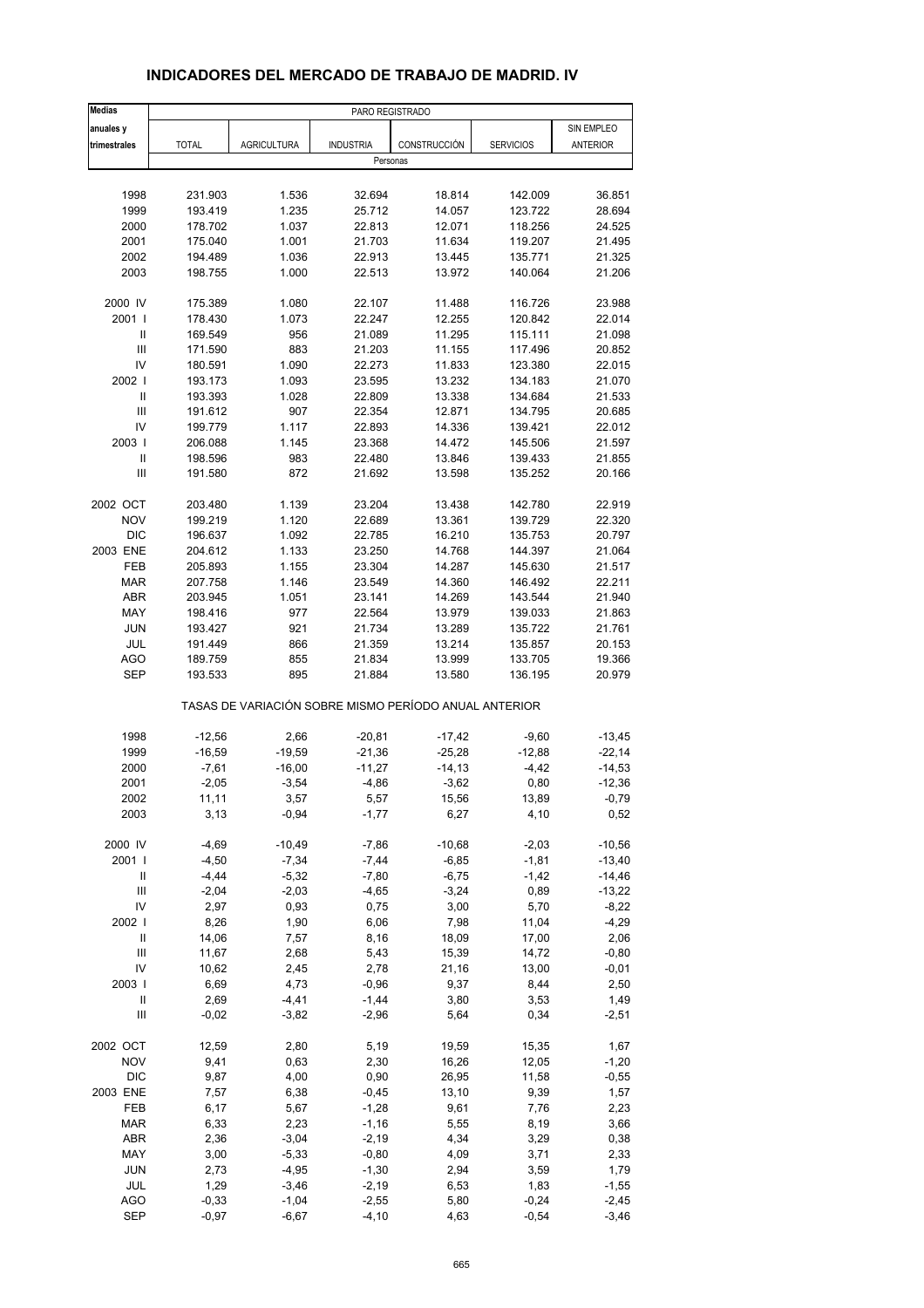| <b>Medias</b>              |                    |                                                       | PARO REGISTRADO  |                  |                    |                  |
|----------------------------|--------------------|-------------------------------------------------------|------------------|------------------|--------------------|------------------|
| anuales y                  |                    |                                                       |                  |                  |                    | SIN EMPLEO       |
| trimestrales               | <b>TOTAL</b>       | <b>AGRICULTURA</b>                                    | <b>INDUSTRIA</b> | CONSTRUCCIÓN     | <b>SERVICIOS</b>   | <b>ANTERIOR</b>  |
|                            |                    |                                                       | Personas         |                  |                    |                  |
|                            |                    |                                                       |                  |                  |                    |                  |
| 1998                       | 231.903            | 1.536                                                 | 32.694           | 18.814           | 142.009            | 36.851           |
| 1999                       | 193.419            | 1.235                                                 | 25.712           | 14.057           | 123.722            | 28.694           |
| 2000                       | 178.702            | 1.037                                                 | 22.813           | 12.071           | 118.256            | 24.525           |
| 2001                       | 175.040            | 1.001                                                 | 21.703           | 11.634           | 119.207            | 21.495           |
| 2002                       | 194.489            | 1.036                                                 | 22.913           | 13.445           | 135.771            | 21.325           |
| 2003                       | 198.755            | 1.000                                                 | 22.513           | 13.972           | 140.064            | 21.206           |
| 2000 IV                    |                    | 1.080                                                 |                  |                  |                    | 23.988           |
| 2001 l                     | 175.389            | 1.073                                                 | 22.107<br>22.247 | 11.488<br>12.255 | 116.726<br>120.842 | 22.014           |
| Ш                          | 178.430<br>169.549 | 956                                                   | 21.089           | 11.295           | 115.111            | 21.098           |
| $\mathbf{III}$             | 171.590            | 883                                                   |                  |                  |                    |                  |
| IV                         |                    |                                                       | 21.203           | 11.155           | 117.496            | 20.852           |
|                            | 180.591            | 1.090                                                 | 22.273           | 11.833           | 123.380            | 22.015           |
| 2002                       | 193.173            | 1.093                                                 | 23.595           | 13.232           | 134.183            | 21.070           |
| $\ensuremath{\mathsf{II}}$ | 193.393            | 1.028                                                 | 22.809           | 13.338           | 134.684            | 21.533           |
| III                        | 191.612            | 907                                                   | 22.354           | 12.871           | 134.795            | 20.685           |
| IV                         | 199.779            | 1.117                                                 | 22.893           | 14.336           | 139.421            | 22.012           |
| 2003                       | 206.088            | 1.145                                                 | 23.368           | 14.472           | 145.506            | 21.597           |
| $\mathbf{II}$              | 198.596            | 983                                                   | 22.480           | 13.846           | 139.433            | 21.855           |
| Ш                          | 191.580            | 872                                                   | 21.692           | 13.598           | 135.252            | 20.166           |
| 2002 OCT                   | 203.480            | 1.139                                                 | 23.204           | 13.438           | 142.780            | 22.919           |
| <b>NOV</b>                 | 199.219            | 1.120                                                 | 22.689           | 13.361           | 139.729            | 22.320           |
| <b>DIC</b>                 | 196.637            | 1.092                                                 | 22.785           | 16.210           | 135.753            | 20.797           |
| 2003 ENE                   | 204.612            | 1.133                                                 | 23.250           | 14.768           | 144.397            | 21.064           |
| FEB                        | 205.893            | 1.155                                                 | 23.304           | 14.287           | 145.630            | 21.517           |
| <b>MAR</b>                 | 207.758            | 1.146                                                 | 23.549           | 14.360           | 146.492            | 22.211           |
| <b>ABR</b>                 | 203.945            | 1.051                                                 | 23.141           | 14.269           | 143.544            | 21.940           |
| MAY                        | 198.416            | 977                                                   | 22.564           | 13.979           | 139.033            | 21.863           |
|                            |                    | 921                                                   |                  |                  |                    |                  |
| <b>JUN</b>                 | 193.427            |                                                       | 21.734           | 13.289           | 135.722            | 21.761           |
| <b>JUL</b>                 | 191.449            | 866                                                   | 21.359           | 13.214           | 135.857            | 20.153           |
| <b>AGO</b><br><b>SEP</b>   | 189.759<br>193.533 | 855<br>895                                            | 21.834<br>21.884 | 13.999<br>13.580 | 133.705<br>136.195 | 19.366<br>20.979 |
|                            |                    | TASAS DE VARIACIÓN SOBRE MISMO PERÍODO ANUAL ANTERIOR |                  |                  |                    |                  |
|                            |                    |                                                       |                  |                  |                    |                  |
| 1998                       | $-12,56$           | 2,66                                                  | $-20,81$         | $-17,42$         | $-9,60$            | $-13,45$         |
| 1999                       | $-16,59$           | $-19,59$                                              | $-21,36$         | $-25,28$         | $-12,88$           | $-22,14$         |
| 2000                       | $-7,61$            | $-16,00$                                              | $-11,27$         | $-14, 13$        | $-4,42$            | $-14,53$         |
| 2001                       | $-2,05$            | $-3,54$                                               | $-4,86$          | $-3,62$          | 0,80               | $-12,36$         |
| 2002                       | 11,11              | 3,57                                                  | 5,57             | 15,56            | 13,89              | -0,79            |
| 2003                       | 3,13               | $-0,94$                                               | $-1,77$          | 6,27             | 4,10               | 0,52             |
| 2000 IV                    | $-4,69$            | $-10,49$                                              | $-7,86$          | $-10,68$         | $-2,03$            | $-10,56$         |
| 2001 l                     | $-4,50$            | $-7,34$                                               | $-7,44$          | $-6,85$          | $-1,81$            | $-13,40$         |
| Ш                          | $-4,44$            | $-5,32$                                               | $-7,80$          | $-6,75$          | $-1,42$            | $-14,46$         |
| $\mathsf{III}$             | $-2,04$            | $-2,03$                                               | $-4,65$          | $-3,24$          | 0,89               | $-13,22$         |
| IV                         | 2,97               | 0,93                                                  | 0,75             | 3,00             | 5,70               | $-8,22$          |
| 2002                       | 8,26               | 1,90                                                  | 6,06             | 7,98             | 11,04              | $-4,29$          |
| $\label{eq:1} \mathsf{II}$ | 14,06              | 7,57                                                  | 8,16             | 18,09            | 17,00              | 2,06             |
| Ш                          | 11,67              | 2,68                                                  | 5,43             | 15,39            | 14,72              | $-0,80$          |
| IV                         | 10,62              | 2,45                                                  | 2,78             | 21,16            | 13,00              | $-0,01$          |
| 2003                       | 6,69               | 4,73                                                  | $-0,96$          | 9,37             | 8,44               | 2,50             |
| Ш                          | 2,69               | $-4, 41$                                              | $-1,44$          | 3,80             | 3,53               | 1,49             |
| Ш                          | $-0,02$            | $-3,82$                                               | $-2,96$          | 5,64             | 0,34               | $-2,51$          |
| 2002 OCT                   | 12,59              | 2,80                                                  | 5,19             | 19,59            | 15,35              | 1,67             |
| <b>NOV</b>                 | 9,41               | 0,63                                                  | 2,30             | 16,26            | 12,05              | $-1,20$          |
| <b>DIC</b>                 | 9,87               | 4,00                                                  | 0,90             | 26,95            | 11,58              | $-0,55$          |
| 2003 ENE                   | 7,57               | 6,38                                                  | $-0,45$          | 13,10            | 9,39               | 1,57             |
| FEB                        | 6,17               | 5,67                                                  | $-1,28$          | 9,61             | 7,76               | 2,23             |
| <b>MAR</b>                 | 6,33               | 2,23                                                  | $-1,16$          | 5,55             | 8,19               | 3,66             |
| ABR                        | 2,36               | $-3,04$                                               | $-2,19$          | 4,34             | 3,29               | 0,38             |
| MAY                        | 3,00               | $-5,33$                                               | $-0,80$          | 4,09             | 3,71               | 2,33             |
| <b>JUN</b>                 |                    | $-4,95$                                               | $-1,30$          |                  |                    | 1,79             |
| JUL                        | 2,73               | $-3,46$                                               | $-2,19$          | 2,94             | 3,59               | $-1,55$          |
| <b>AGO</b>                 | 1,29<br>$-0,33$    | $-1,04$                                               | $-2,55$          | 6,53             | 1,83<br>$-0,24$    | $-2,45$          |
| <b>SEP</b>                 |                    |                                                       | $-4, 10$         | 5,80             |                    | $-3,46$          |
|                            | $-0,97$            | $-6,67$                                               |                  | 4,63             | $-0,54$            |                  |

#### **INDICADORES DEL MERCADO DE TRABAJO DE MADRID. IV**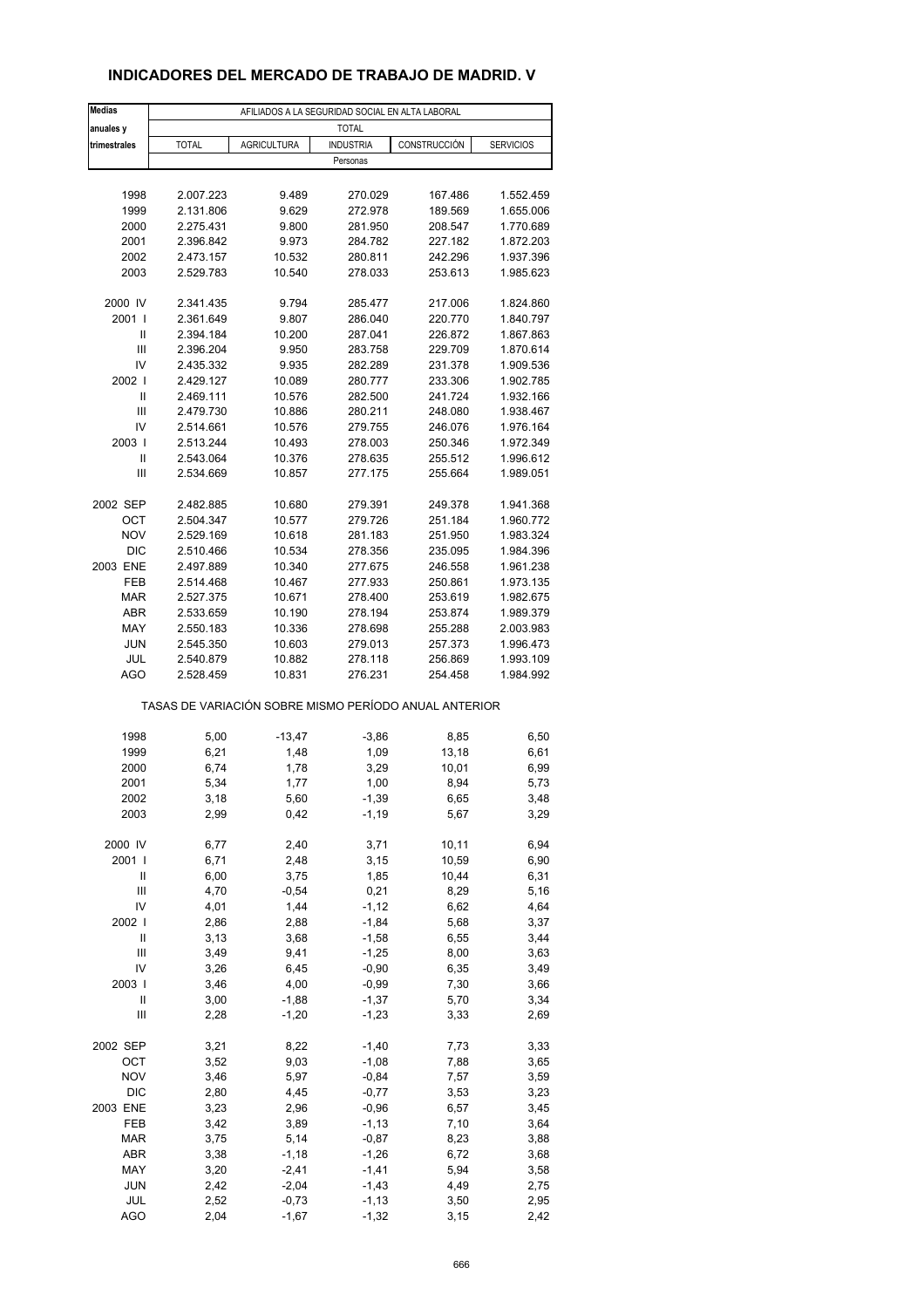## **INDICADORES DEL MERCADO DE TRABAJO DE MADRID. V**

| <b>Medias</b>                      | AFILIADOS A LA SEGURIDAD SOCIAL EN ALTA LABORAL       |                    |                    |              |                        |  |
|------------------------------------|-------------------------------------------------------|--------------------|--------------------|--------------|------------------------|--|
| anuales y                          |                                                       |                    | <b>TOTAL</b>       |              |                        |  |
| trimestrales                       | <b>TOTAL</b>                                          | <b>AGRICULTURA</b> | <b>INDUSTRIA</b>   | CONSTRUCCIÓN | <b>SERVICIOS</b>       |  |
|                                    |                                                       |                    | Personas           |              |                        |  |
|                                    |                                                       |                    |                    |              |                        |  |
| 1998                               | 2.007.223                                             | 9.489              | 270.029            | 167.486      | 1.552.459              |  |
| 1999                               | 2.131.806                                             | 9.629              | 272.978            | 189.569      | 1.655.006              |  |
| 2000                               | 2.275.431                                             | 9.800              | 281.950            | 208.547      | 1.770.689              |  |
| 2001                               | 2.396.842                                             | 9.973              | 284.782            | 227.182      | 1.872.203              |  |
| 2002                               | 2.473.157                                             | 10.532             | 280.811            | 242.296      | 1.937.396              |  |
| 2003                               | 2.529.783                                             | 10.540             | 278.033            | 253.613      | 1.985.623              |  |
| 2000 IV                            | 2.341.435                                             | 9.794              | 285.477            | 217.006      | 1.824.860              |  |
| 2001 l                             | 2.361.649                                             | 9.807              | 286.040            | 220.770      | 1.840.797              |  |
| Ш                                  | 2.394.184                                             | 10.200             | 287.041            | 226.872      | 1.867.863              |  |
| Ш                                  | 2.396.204                                             | 9.950              | 283.758            | 229.709      | 1.870.614              |  |
| IV                                 | 2.435.332                                             | 9.935              | 282.289            | 231.378      | 1.909.536              |  |
| 2002                               | 2.429.127                                             | 10.089             | 280.777            | 233.306      | 1.902.785              |  |
| Ш                                  | 2.469.111                                             | 10.576             | 282.500            | 241.724      | 1.932.166              |  |
| Ш                                  | 2.479.730                                             | 10.886             | 280.211            | 248.080      | 1.938.467              |  |
| IV                                 | 2.514.661                                             | 10.576             | 279.755            | 246.076      | 1.976.164              |  |
| 2003                               | 2.513.244                                             | 10.493             | 278.003            | 250.346      | 1.972.349              |  |
| Ш                                  | 2.543.064                                             | 10.376             | 278.635            | 255.512      | 1.996.612              |  |
| Ш                                  | 2.534.669                                             | 10.857             | 277.175            | 255.664      | 1.989.051              |  |
| 2002 SEP                           | 2.482.885                                             | 10.680             |                    | 249.378      |                        |  |
| OCT                                | 2.504.347                                             | 10.577             | 279.391<br>279.726 | 251.184      | 1.941.368<br>1.960.772 |  |
| <b>NOV</b>                         | 2.529.169                                             | 10.618             | 281.183            | 251.950      | 1.983.324              |  |
| <b>DIC</b>                         | 2.510.466                                             | 10.534             | 278.356            | 235.095      | 1.984.396              |  |
| 2003 ENE                           | 2.497.889                                             | 10.340             | 277.675            | 246.558      | 1.961.238              |  |
| FEB                                | 2.514.468                                             | 10.467             | 277.933            | 250.861      | 1.973.135              |  |
| <b>MAR</b>                         | 2.527.375                                             | 10.671             | 278.400            | 253.619      | 1.982.675              |  |
| ABR                                | 2.533.659                                             | 10.190             | 278.194            | 253.874      | 1.989.379              |  |
| MAY                                | 2.550.183                                             | 10.336             | 278.698            | 255.288      | 2.003.983              |  |
| <b>JUN</b>                         | 2.545.350                                             | 10.603             | 279.013            | 257.373      | 1.996.473              |  |
| JUL                                | 2.540.879                                             | 10.882             | 278.118            | 256.869      | 1.993.109              |  |
| <b>AGO</b>                         | 2.528.459                                             | 10.831             | 276.231            | 254.458      | 1.984.992              |  |
|                                    | TASAS DE VARIACIÓN SOBRE MISMO PERÍODO ANUAL ANTERIOR |                    |                    |              |                        |  |
| 1998                               | 5,00                                                  | $-13,47$           |                    | 8,85         | 6,50                   |  |
| 1999                               | 6,21                                                  | 1,48               | $-3,86$<br>1,09    | 13,18        | 6,61                   |  |
| 2000                               | 6,74                                                  | 1,78               | 3,29               | 10,01        | 6,99                   |  |
| 2001                               | 5,34                                                  | 1,77               | 1,00               | 8,94         | 5,73                   |  |
| 2002                               | 3,18                                                  | 5,60               | -1,39              | 6,65         | 3,48                   |  |
| 2003                               | 2,99                                                  | 0,42               | $-1,19$            | 5,67         | 3,29                   |  |
|                                    |                                                       |                    |                    |              |                        |  |
| 2000 IV                            | 6,77                                                  | 2,40               | 3,71               | 10, 11       | 6,94                   |  |
| 2001 l                             | 6,71                                                  | 2,48               | 3,15               | 10,59        | 6,90                   |  |
| Ш                                  | 6,00                                                  | 3,75               | 1,85               | 10,44        | 6,31                   |  |
| Ш                                  | 4,70                                                  | $-0,54$            | 0,21               | 8,29         | 5,16                   |  |
| IV<br>2002                         | 4,01                                                  | 1,44               | $-1, 12$           | 6,62         | 4,64                   |  |
| $\mathsf{II}$                      | 2,86<br>3,13                                          | 2,88<br>3,68       | $-1,84$<br>$-1,58$ | 5,68<br>6,55 | 3,37<br>3,44           |  |
| $\ensuremath{\mathsf{III}}\xspace$ | 3,49                                                  | 9,41               | $-1,25$            | 8,00         | 3,63                   |  |
| IV                                 | 3,26                                                  | 6,45               | $-0,90$            | 6,35         | 3,49                   |  |
| 2003                               | 3,46                                                  | 4,00               | $-0,99$            | 7,30         | 3,66                   |  |
| $\mathsf{II}$                      | 3,00                                                  | $-1,88$            | $-1,37$            | 5,70         | 3,34                   |  |
| Ш                                  | 2,28                                                  | $-1,20$            | $-1,23$            | 3,33         | 2,69                   |  |
|                                    |                                                       |                    |                    |              |                        |  |
| 2002 SEP                           | 3,21                                                  | 8,22               | $-1,40$            | 7,73         | 3,33                   |  |
| OCT                                | 3,52                                                  | 9,03               | $-1,08$            | 7,88         | 3,65                   |  |
| <b>NOV</b>                         | 3,46                                                  | 5,97               | $-0,84$            | 7,57         | 3,59                   |  |
| <b>DIC</b>                         | 2,80                                                  | 4,45               | $-0,77$            | 3,53         | 3,23                   |  |
| 2003 ENE                           | 3,23                                                  | 2,96               | $-0,96$            | 6,57         | 3,45                   |  |
| FEB                                | 3,42                                                  | 3,89               | $-1, 13$           | 7,10         | 3,64                   |  |
| <b>MAR</b><br>ABR                  | 3,75<br>3,38                                          | 5,14               | $-0,87$<br>$-1,26$ | 8,23<br>6,72 | 3,88                   |  |
| MAY                                | 3,20                                                  | $-1,18$<br>$-2,41$ | $-1,41$            | 5,94         | 3,68<br>3,58           |  |
| <b>JUN</b>                         | 2,42                                                  | $-2,04$            | $-1,43$            | 4,49         | 2,75                   |  |
| JUL                                | 2,52                                                  | $-0,73$            | $-1,13$            | 3,50         | 2,95                   |  |
| <b>AGO</b>                         | 2,04                                                  | $-1,67$            | $-1,32$            | 3,15         | 2,42                   |  |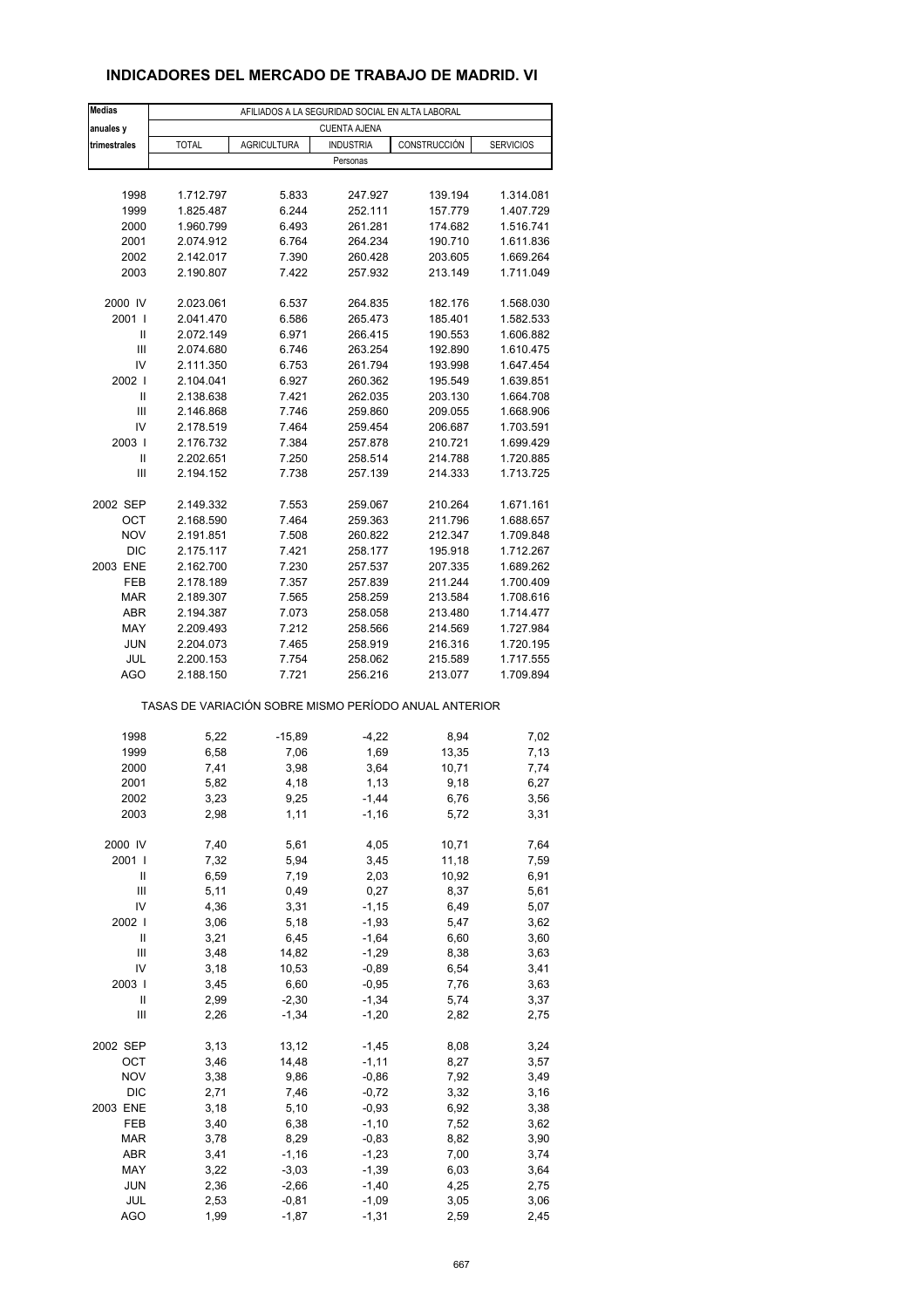### **INDICADORES DEL MERCADO DE TRABAJO DE MADRID. VI**

| <b>Medias</b>       | AFILIADOS A LA SEGURIDAD SOCIAL EN ALTA LABORAL       |                    |                     |                    |                        |  |  |
|---------------------|-------------------------------------------------------|--------------------|---------------------|--------------------|------------------------|--|--|
| anuales y           |                                                       |                    | <b>CUENTA AJENA</b> |                    |                        |  |  |
| trimestrales        | <b>TOTAL</b>                                          | <b>AGRICULTURA</b> | <b>INDUSTRIA</b>    | CONSTRUCCIÓN       | <b>SERVICIOS</b>       |  |  |
|                     |                                                       |                    | Personas            |                    |                        |  |  |
|                     |                                                       |                    |                     |                    |                        |  |  |
| 1998                | 1.712.797                                             | 5.833              | 247.927             | 139.194            | 1.314.081              |  |  |
| 1999                | 1.825.487                                             | 6.244              | 252.111             | 157.779            | 1.407.729              |  |  |
| 2000                | 1.960.799                                             | 6.493              | 261.281             | 174.682            | 1.516.741              |  |  |
| 2001                | 2.074.912                                             | 6.764              | 264.234             | 190.710            | 1.611.836              |  |  |
| 2002<br>2003        | 2.142.017<br>2.190.807                                | 7.390<br>7.422     | 260.428<br>257.932  | 203.605<br>213.149 | 1.669.264<br>1.711.049 |  |  |
|                     |                                                       |                    |                     |                    |                        |  |  |
| 2000 IV             | 2.023.061                                             | 6.537              | 264.835             | 182.176            | 1.568.030              |  |  |
| 2001 l              | 2.041.470                                             | 6.586              | 265.473             | 185.401            | 1.582.533              |  |  |
| Ш                   | 2.072.149                                             | 6.971              | 266.415             | 190.553            | 1.606.882              |  |  |
| $\mathsf{III}$      | 2.074.680                                             | 6.746              | 263.254             | 192.890            | 1.610.475              |  |  |
| IV                  | 2.111.350                                             | 6.753              | 261.794             | 193.998            | 1.647.454              |  |  |
| 2002                | 2.104.041                                             | 6.927              | 260.362             | 195.549            | 1.639.851              |  |  |
| Ш                   | 2.138.638                                             | 7.421              | 262.035             | 203.130            | 1.664.708              |  |  |
| Ш                   | 2.146.868                                             | 7.746              | 259.860             | 209.055            | 1.668.906              |  |  |
| IV                  | 2.178.519                                             | 7.464              | 259.454             | 206.687            | 1.703.591              |  |  |
| 2003                | 2.176.732                                             | 7.384              | 257.878             | 210.721            | 1.699.429              |  |  |
| Ш<br>Ш              | 2.202.651<br>2.194.152                                | 7.250<br>7.738     | 258.514<br>257.139  | 214.788<br>214.333 | 1.720.885<br>1.713.725 |  |  |
|                     |                                                       |                    |                     |                    |                        |  |  |
| 2002 SEP            | 2.149.332                                             | 7.553              | 259.067             | 210.264            | 1.671.161              |  |  |
| OCT                 | 2.168.590                                             | 7.464              | 259.363             | 211.796            | 1.688.657              |  |  |
| <b>NOV</b>          | 2.191.851                                             | 7.508              | 260.822             | 212.347            | 1.709.848              |  |  |
| <b>DIC</b>          | 2.175.117                                             | 7.421              | 258.177             | 195.918            | 1.712.267              |  |  |
| 2003 ENE            | 2.162.700                                             | 7.230              | 257.537             | 207.335            | 1.689.262              |  |  |
| FEB                 | 2.178.189                                             | 7.357              | 257.839             | 211.244            | 1.700.409              |  |  |
| <b>MAR</b>          | 2.189.307                                             | 7.565              | 258.259             | 213.584            | 1.708.616              |  |  |
| <b>ABR</b>          | 2.194.387                                             | 7.073              | 258.058             | 213.480            | 1.714.477              |  |  |
| MAY                 | 2.209.493                                             | 7.212              | 258.566             | 214.569            | 1.727.984              |  |  |
| <b>JUN</b>          | 2.204.073                                             | 7.465              | 258.919             | 216.316            | 1.720.195              |  |  |
| JUL                 | 2.200.153                                             | 7.754              | 258.062             | 215.589            | 1.717.555              |  |  |
| <b>AGO</b>          | 2.188.150                                             | 7.721              | 256.216             | 213.077            | 1.709.894              |  |  |
|                     | TASAS DE VARIACIÓN SOBRE MISMO PERÍODO ANUAL ANTERIOR |                    |                     |                    |                        |  |  |
|                     |                                                       |                    |                     |                    |                        |  |  |
| 1998                | 5,22                                                  | $-15,89$           | $-4,22$             | 8,94               | 7,02                   |  |  |
| 1999                | 6,58                                                  | 7,06               | 1,69                | 13,35              | 7,13                   |  |  |
| 2000                | 7,41                                                  | 3,98               | 3,64                | 10,71              | 7,74                   |  |  |
| 2001                | 5,82                                                  | 4,18               | 1,13                | 9,18               | 6,27                   |  |  |
| 2002<br>2003        | 3,23<br>2,98                                          | 9,25<br>1,11       | -1,44<br>$-1,16$    | 6,76<br>5,72       | 3,56<br>3,31           |  |  |
|                     |                                                       |                    |                     |                    |                        |  |  |
| 2000 IV             | 7,40                                                  | 5,61               | 4,05                | 10,71              | 7,64                   |  |  |
| 2001 l              | 7,32                                                  | 5,94               | 3,45                | 11,18              | 7,59                   |  |  |
| Ш                   | 6,59                                                  | 7,19               | 2,03                | 10,92              | 6,91                   |  |  |
| Ш                   | 5,11                                                  | 0,49               | 0,27                | 8,37               | 5,61                   |  |  |
| IV                  | 4,36                                                  | 3,31               | $-1,15$             | 6,49               | 5,07                   |  |  |
| 2002                | 3,06                                                  | 5,18               | $-1,93$             | 5,47               | 3,62                   |  |  |
| Ш                   | 3,21                                                  | 6,45               | $-1,64$             | 6,60               | 3,60                   |  |  |
| Ш                   | 3,48                                                  | 14,82              | $-1,29$             | 8,38               | 3,63                   |  |  |
| IV                  | 3,18                                                  | 10,53              | $-0,89$             | 6,54               | 3,41                   |  |  |
| 2003                | 3,45                                                  | 6,60               | $-0,95$             | 7,76               | 3,63                   |  |  |
| Ш<br>$\mathsf{III}$ | 2,99<br>2,26                                          | $-2,30$<br>$-1,34$ | $-1,34$<br>$-1,20$  | 5,74<br>2,82       | 3,37<br>2,75           |  |  |
|                     |                                                       |                    |                     |                    |                        |  |  |
| 2002 SEP            | 3,13                                                  | 13,12              | $-1,45$             | 8,08               | 3,24                   |  |  |
| OCT                 | 3,46                                                  | 14,48              | $-1, 11$            | 8,27               | 3,57                   |  |  |
| <b>NOV</b>          | 3,38                                                  | 9,86               | $-0,86$             | 7,92               | 3,49                   |  |  |
| <b>DIC</b>          | 2,71                                                  | 7,46               | $-0,72$             | 3,32               | 3,16                   |  |  |
| 2003 ENE            | 3,18                                                  | 5,10               | $-0,93$             | 6,92               | 3,38                   |  |  |
| FEB                 | 3,40                                                  | 6,38               | $-1,10$             | 7,52               | 3,62                   |  |  |
| <b>MAR</b>          | 3,78                                                  | 8,29               | $-0,83$             | 8,82               | 3,90                   |  |  |
| ABR                 | 3,41                                                  | $-1,16$            | $-1,23$             | 7,00               | 3,74                   |  |  |
| MAY                 | 3,22                                                  | $-3,03$            | $-1,39$             | 6,03               | 3,64                   |  |  |
| <b>JUN</b><br>JUL   | 2,36<br>2,53                                          | $-2,66$<br>$-0,81$ | $-1,40$<br>$-1,09$  | 4,25               | 2,75                   |  |  |
| <b>AGO</b>          | 1,99                                                  | $-1,87$            | $-1,31$             | 3,05<br>2,59       | 3,06<br>2,45           |  |  |
|                     |                                                       |                    |                     |                    |                        |  |  |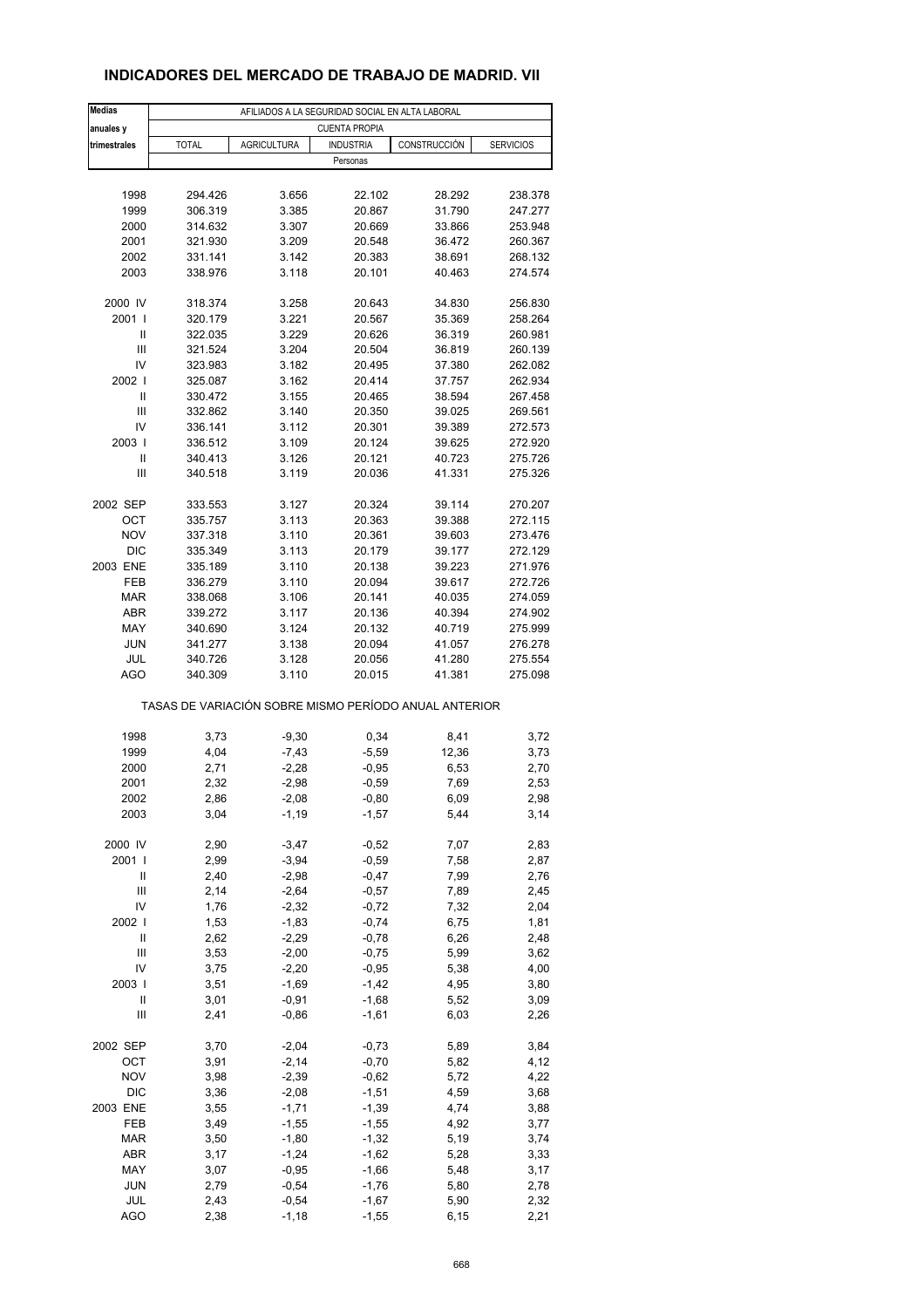### **INDICADORES DEL MERCADO DE TRABAJO DE MADRID. VII**

| <b>Medias</b>                           |                                                       |                    | AFILIADOS A LA SEGURIDAD SOCIAL EN ALTA LABORAL |              |                  |
|-----------------------------------------|-------------------------------------------------------|--------------------|-------------------------------------------------|--------------|------------------|
| anuales y                               |                                                       |                    | <b>CUENTA PROPIA</b>                            |              |                  |
| trimestrales                            | <b>TOTAL</b>                                          | <b>AGRICULTURA</b> | <b>INDUSTRIA</b>                                | CONSTRUCCIÓN | <b>SERVICIOS</b> |
|                                         |                                                       |                    | Personas                                        |              |                  |
|                                         |                                                       |                    |                                                 |              |                  |
| 1998                                    | 294.426                                               | 3.656              | 22.102                                          | 28.292       | 238.378          |
| 1999                                    | 306.319                                               | 3.385              | 20.867                                          | 31.790       | 247.277          |
| 2000                                    | 314.632                                               | 3.307              | 20.669                                          | 33.866       | 253.948          |
| 2001                                    | 321.930                                               | 3.209              | 20.548                                          | 36.472       | 260.367          |
| 2002                                    | 331.141                                               | 3.142              | 20.383                                          | 38.691       | 268.132          |
| 2003                                    | 338.976                                               | 3.118              | 20.101                                          | 40.463       | 274.574          |
| 2000 IV                                 | 318.374                                               | 3.258              | 20.643                                          | 34.830       | 256.830          |
| 2001 l                                  | 320.179                                               | 3.221              | 20.567                                          | 35.369       | 258.264          |
| Ш                                       | 322.035                                               | 3.229              | 20.626                                          | 36.319       | 260.981          |
| $\ensuremath{\mathsf{III}}\xspace$      | 321.524                                               | 3.204              | 20.504                                          | 36.819       | 260.139          |
| IV                                      | 323.983                                               | 3.182              | 20.495                                          | 37.380       | 262.082          |
| 2002                                    | 325.087                                               | 3.162              | 20.414                                          | 37.757       | 262.934          |
| Ш                                       | 330.472                                               | 3.155              | 20.465                                          | 38.594       | 267.458          |
| Ш                                       | 332.862                                               | 3.140              | 20.350                                          | 39.025       | 269.561          |
| IV                                      | 336.141                                               | 3.112              | 20.301                                          | 39.389       | 272.573          |
| 2003                                    | 336.512                                               | 3.109              | 20.124                                          | 39.625       | 272.920          |
| Ш                                       | 340.413                                               | 3.126              | 20.121                                          | 40.723       | 275.726          |
| Ш                                       | 340.518                                               | 3.119              | 20.036                                          | 41.331       | 275.326          |
| 2002 SEP                                | 333.553                                               | 3.127              | 20.324                                          | 39.114       | 270.207          |
| OCT                                     | 335.757                                               | 3.113              | 20.363                                          | 39.388       | 272.115          |
| <b>NOV</b>                              | 337.318                                               | 3.110              | 20.361                                          | 39.603       | 273.476          |
| <b>DIC</b>                              | 335.349                                               | 3.113              | 20.179                                          | 39.177       | 272.129          |
| 2003 ENE                                | 335.189                                               | 3.110              | 20.138                                          | 39.223       | 271.976          |
| FEB                                     | 336.279                                               | 3.110              | 20.094                                          | 39.617       | 272.726          |
| <b>MAR</b>                              | 338.068                                               | 3.106              | 20.141                                          | 40.035       | 274.059          |
| <b>ABR</b>                              | 339.272                                               | 3.117              | 20.136                                          | 40.394       | 274.902          |
| MAY                                     | 340.690                                               | 3.124              | 20.132                                          | 40.719       | 275.999          |
| <b>JUN</b>                              | 341.277                                               | 3.138              | 20.094                                          | 41.057       | 276.278          |
| JUL                                     | 340.726                                               | 3.128              | 20.056                                          | 41.280       | 275.554          |
| AGO                                     | 340.309                                               | 3.110              | 20.015                                          | 41.381       | 275.098          |
|                                         | TASAS DE VARIACIÓN SOBRE MISMO PERÍODO ANUAL ANTERIOR |                    |                                                 |              |                  |
|                                         |                                                       |                    |                                                 |              |                  |
| 1998                                    | 3,73                                                  | $-9,30$            | 0,34                                            | 8,41         | 3,72             |
| 1999                                    | 4,04                                                  | $-7,43$            | $-5,59$                                         | 12,36        | 3,73             |
| 2000                                    | 2,71                                                  | $-2,28$            | $-0,95$                                         | 6,53         | 2,70             |
| 2001                                    | 2,32                                                  | $-2,98$            | $-0,59$                                         | 7,69         | 2,53             |
| 2002                                    | 2,86                                                  | $-2,08$            | $-0,80$                                         | 6,09         | 2,98             |
| 2003                                    | 3,04                                                  | $-1,19$            | $-1,57$                                         | 5,44         | 3,14             |
| 2000 IV                                 | 2,90                                                  | $-3,47$            | $-0,52$                                         | 7,07         | 2,83             |
| 2001 l                                  | 2,99                                                  | $-3,94$            | $-0,59$                                         | 7,58         | 2,87             |
| Ш                                       | 2,40                                                  | $-2,98$            | $-0,47$                                         | 7,99         | 2,76             |
| Ш                                       | 2,14                                                  | $-2,64$            | $-0,57$                                         | 7,89         | 2,45             |
| IV                                      | 1,76                                                  | $-2,32$            | $-0,72$                                         | 7,32         | 2,04             |
| 2002                                    | 1,53                                                  | $-1,83$            | $-0,74$                                         | 6,75         | 1,81             |
| $\ensuremath{\mathsf{II}}$              | 2,62                                                  | $-2,29$            | $-0,78$                                         | 6,26         | 2,48             |
| Ш                                       | 3,53                                                  | $-2,00$            | $-0,75$                                         | 5,99         | 3,62             |
| IV                                      | 3,75                                                  | $-2,20$            | $-0,95$                                         | 5,38         | 4,00             |
| 2003                                    | 3,51                                                  | $-1,69$            | $-1,42$                                         | 4,95         | 3,80             |
| Ш<br>$\ensuremath{\mathsf{III}}\xspace$ | 3,01<br>2,41                                          | $-0,91$            | $-1,68$<br>$-1,61$                              | 5,52<br>6,03 | 3,09             |
|                                         |                                                       | $-0,86$            |                                                 |              | 2,26             |
| 2002 SEP                                | 3,70                                                  | $-2,04$            | $-0,73$                                         | 5,89         | 3,84             |
| OCT                                     | 3,91                                                  | $-2,14$            | $-0,70$                                         | 5,82         | 4,12             |
| <b>NOV</b>                              | 3,98                                                  | $-2,39$            | $-0,62$                                         | 5,72         | 4,22             |
| DIC                                     | 3,36                                                  | $-2,08$            | $-1,51$                                         | 4,59         | 3,68             |
| 2003 ENE                                | 3,55                                                  | $-1,71$            | $-1,39$                                         | 4,74         | 3,88             |
| FEB                                     | 3,49                                                  | $-1,55$            | $-1,55$                                         | 4,92         | 3,77             |
| <b>MAR</b>                              | 3,50                                                  | $-1,80$            | $-1,32$                                         | 5,19         | 3,74             |
| ABR                                     | 3,17                                                  | $-1,24$            | $-1,62$                                         | 5,28         | 3,33             |
| MAY                                     | 3,07                                                  | $-0,95$            | $-1,66$                                         | 5,48         | 3,17             |
| <b>JUN</b>                              | 2,79                                                  | $-0,54$            | $-1,76$                                         | 5,80         | 2,78             |
| JUL<br><b>AGO</b>                       | 2,43<br>2,38                                          | $-0,54$<br>$-1,18$ | $-1,67$<br>$-1,55$                              | 5,90<br>6,15 | 2,32<br>2,21     |
|                                         |                                                       |                    |                                                 |              |                  |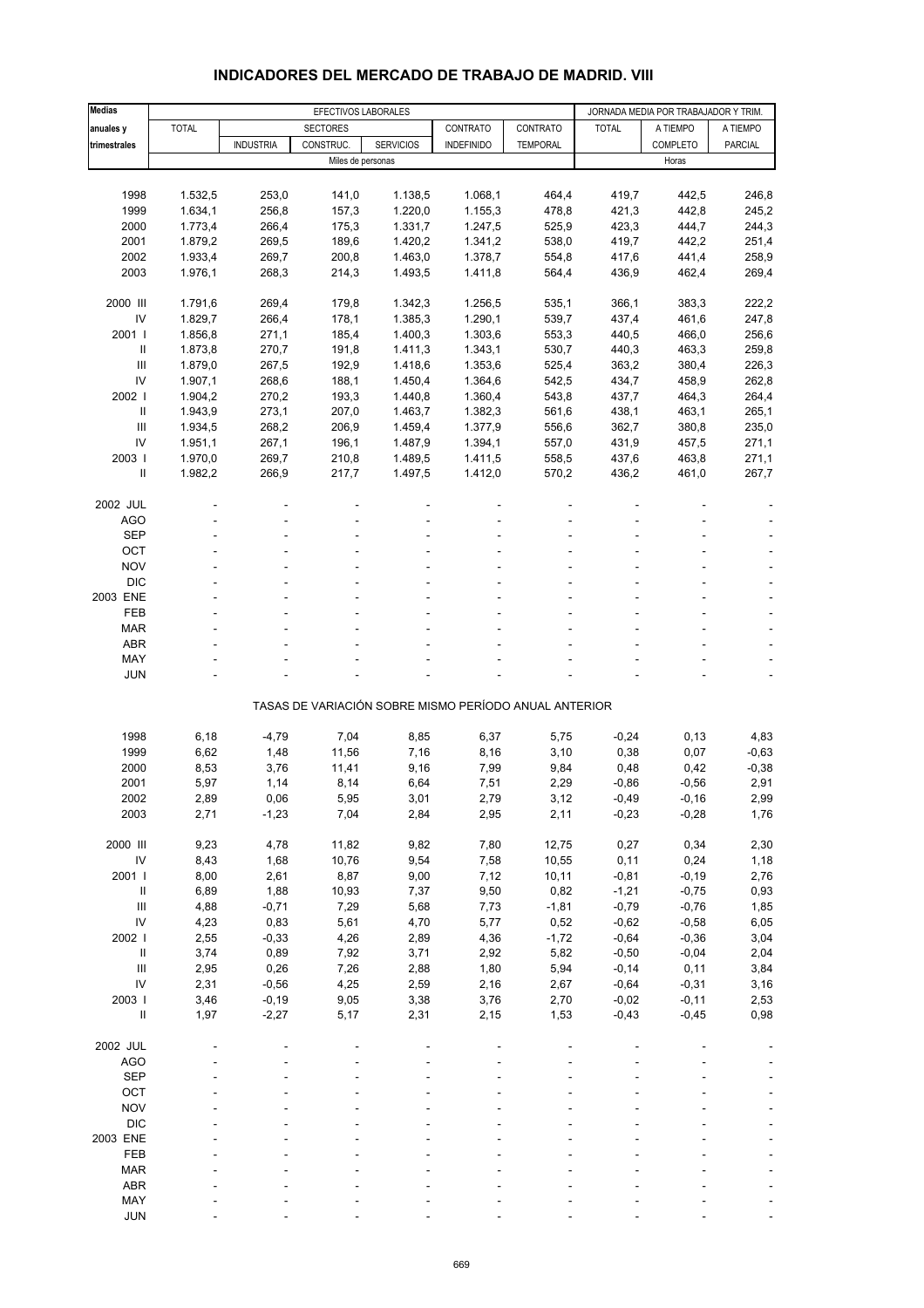#### **Medias | EFECTIVOS LABORALES | JORNADA MEDIA POR TRABAJADOR Y TRIM. anuales y** TOTAL SECTORES CONTRATO CONTRATO TOTAL A TIEMPO A TIEMPO **trimestrales | |** INDUSTRIA | CONSTRUC. | SERVICIOS | INDEFINIDO | TEMPORAL | | COMPLETO | PARCIAL Miles de personas Horas et al. 2009, et al. 2009, et al. 2009, et al. 2009, et al. 2009, et al. 2009, et al. 2009, et al. 2009, et al. 2009, et al. 2009, et al. 2009, et al. 2009, et al. 2009, et al. 2009, et al. 2009, et 1998 1.532,5 253,0 141,0 1.138,5 1.068,1 464,4 419,7 442,5 246,8 1999 1.634,1 256,8 157,3 1.220,0 1.155,3 478,8 421,3 442,8 245,2 2000 1.773,4 266,4 175,3 1.331,7 1.247,5 525,9 423,3 444,7 244,3 2001 1.879,2 269,5 189,6 1.420,2 1.341,2 538,0 419,7 442,2 251,4 2002 1.933,4 269,7 200,8 1.463,0 1.378,7 554,8 417,6 441,4 258,9 2003 1.976,1 268,3 214,3 1.493,5 1.411,8 564,4 436,9 462,4 269,4 2000 III 1.791,6 269,4 179,8 1.342,3 1.256,5 535,1 366,1 383,3 222,2 IV 1.829,7 266,4 178,1 1.385,3 1.290,1 539,7 437,4 461,6 247,8 2001 I 1.856,8 271,1 185,4 1.400,3 1.303,6 553,3 440,5 466,0 256,6 II 1.873,8 270,7 191,8 1.411,3 1.343,1 530,7 440,3 463,3 259,8 III 1.879,0 267,5 192,9 1.418,6 1.353,6 525,4 363,2 380,4 226,3 IV 1.907,1 268,6 188,1 1.450,4 1.364,6 542,5 434,7 458,9 262,8 2002 I 1.904,2 270,2 193,3 1.440,8 1.360,4 543,8 437,7 464,3 264,4 II 1.943,9 273,1 207,0 1.463,7 1.382,3 561,6 438,1 463,1 265,1 III 1.934,5 268,2 206,9 1.459,4 1.377,9 556,6 362,7 380,8 235,0 IV 1.951,1 267,1 196,1 1.487,9 1.394,1 557,0 431,9 457,5 271,1 2003 I 1.970,0 269,7 210,8 1.489,5 1.411,5 558,5 437,6 463,8 271,1 II 1.982,2 266,9 217,7 1.497,5 1.412,0 570,2 436,2 461,0 267,7 2002 JUL ----- ---- AGO - - - - - ---- SEP - - - - - ---- OCT the second contract of the second contract of the second contract of the second contract of the second contract of the second contract of the second contract of the second contract of the second contract of the second NOV  $\qquad$  -  $\qquad$  -  $\qquad$  -  $\qquad$  -  $\qquad$  -  $\qquad$  -  $\qquad$  -  $\qquad$  -  $\qquad$  -  $\qquad$  -DIC - - - - - - - - - - - - - - - -2003 ENE ----- ---- FEB - - - - - ---- MAR - - - - - - - - - - - - - - - - - - $ABR$  , and the set of the set of the set of the set of the set of the set of the set of the set of the set of the set of the set of the set of the set of the set of the set of the set of the set of the set of the set of t MAY - - - - - ---- JUN - - - - - ---- TASAS DE VARIACIÓN SOBRE MISMO PERÍODO ANUAL ANTERIOR 1998 6,18 -4,79 7,04 8,85 6,37 5,75 -0,24 0,13 4,83 1999 6,62 1,48 11,56 7,16 8,16 3,10 0,38 0,07 -0,63 2000 8,53 3,76 11,41 9,16 7,99 9,84 0,48 0,42 -0,38 2001 5,97 1,14 8,14 6,64 7,51 2,29 -0,86 -0,56 2,91 2002 2,89 0,06 5,95 3,01 2,79 3,12 -0,49 -0,16 2,99 2003 2,71 -1,23 7,04 2,84 2,95 2,11 -0,23 -0,28 1,76 2000 III 9,23 4,78 11,82 9,82 7,80 12,75 0,27 0,34 2,30 IV 8,43 1,68 10,76 9,54 7,58 10,55 0,11 0,24 1,18 2001 I 8,00 2,61 8,87 9,00 7,12 10,11 -0,81 -0,19 2,76 II 6,89 1,88 10,93 7,37 9,50 0,82 -1,21 -0,75 0,93 III 4,88 -0,71 7,29 5,68 7,73 -1,81 -0,79 -0,76 1,85 IV 4,23 0,83 5,61 4,70 5,77 0,52 -0,62 -0,58 6,05 2002 I 2,55 -0,33 4,26 2,89 4,36 -1,72 -0,64 -0,36 3,04 II 3,74 0,89 7,92 3,71 2,92 5,82 -0,50 -0,04 2,04 III 2,95 0,26 7,26 2,88 1,80 5,94 -0,14 0,11 3,84 IV 2,31 -0,56 4,25 2,59 2,16 2,67 -0,64 -0,31 3,16 2003 I 3,46 -0,19 9,05 3,38 3,76 2,70 -0,02 -0,11 2,53 II 1,97 -2,27 5,17 2,31 2,15 1,53 -0,43 -0,45 0,98 2002 JUL ----- ---- AGO - - - - - ---- SEP - - - - - ---- OCT the second contract of the second contract of the second contract of the second contract of the second contract of the second contract of the second contract of the second contract of the second contract of the second NOV  $\qquad$  -  $\qquad$  -  $\qquad$  -  $\qquad$  -  $\qquad$  -  $\qquad$  -  $\qquad$  -  $\qquad$  -  $\qquad$  -  $\qquad$  -DIC - - - - - - - - - - - - - - - -2003 ENE ----- ---- FEB - - - - - ---- MAR - - - - - - - - - - - - - - - - - -ABR - - - - - ----

#### **INDICADORES DEL MERCADO DE TRABAJO DE MADRID. VIII**

 MAY - - - - - ---- JUN - - - - - ----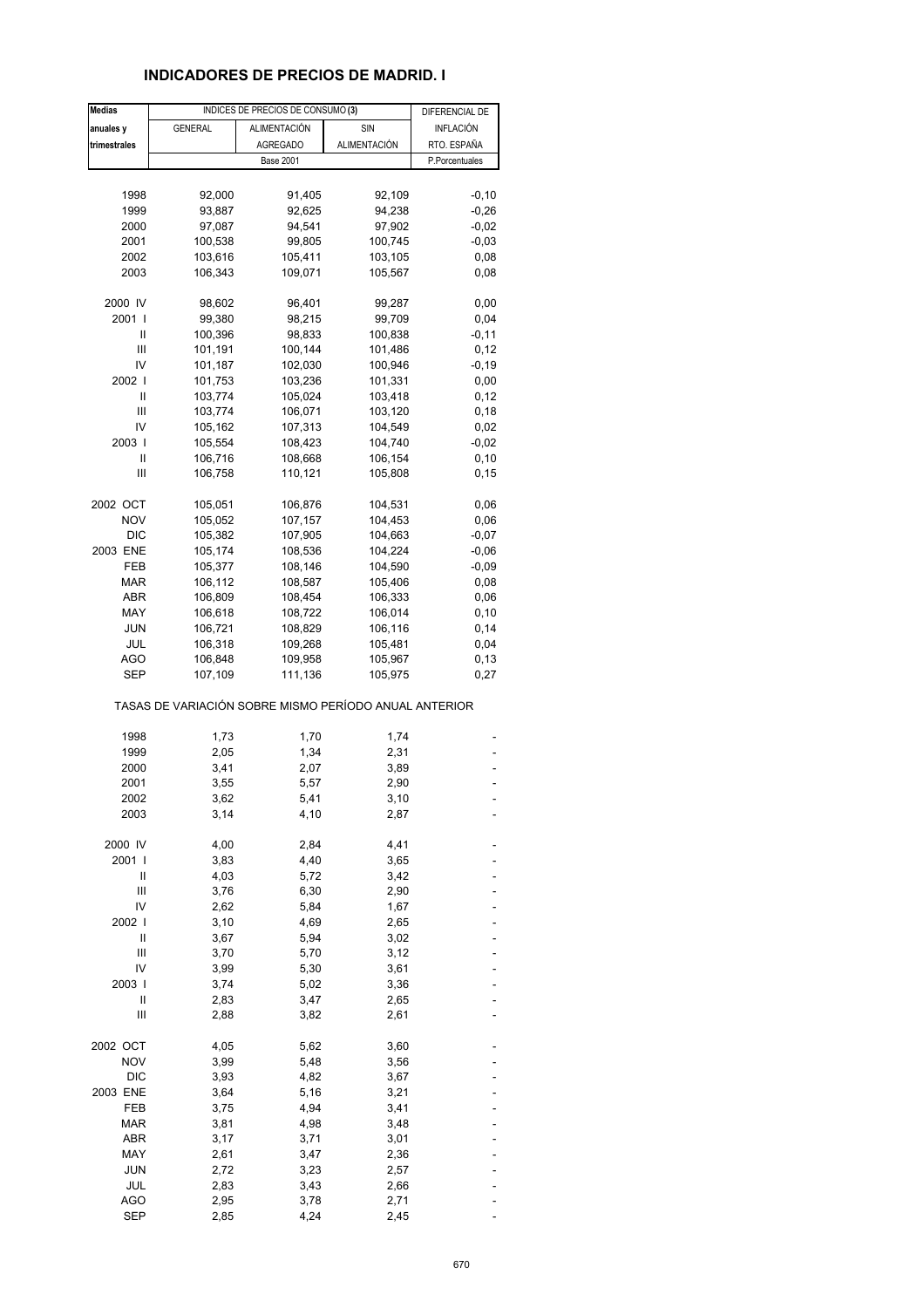## **INDICADORES DE PRECIOS DE MADRID. I**

| <b>Medias</b> |                                                       | INDICES DE PRECIOS DE CONSUMO (3) |              | DIFERENCIAL DE |
|---------------|-------------------------------------------------------|-----------------------------------|--------------|----------------|
| anuales y     | <b>GENERAL</b>                                        | <b>ALIMENTACIÓN</b>               | SIN          | INFLACIÓN      |
| trimestrales  |                                                       | <b>AGREGADO</b>                   | ALIMENTACIÓN | RTO. ESPAÑA    |
|               |                                                       | <b>Base 2001</b>                  |              | P.Porcentuales |
|               |                                                       |                                   |              |                |
|               |                                                       |                                   |              |                |
| 1998          | 92,000                                                | 91,405                            | 92,109       | $-0, 10$       |
| 1999          | 93,887                                                | 92,625                            | 94,238       | $-0,26$        |
| 2000          | 97,087                                                | 94,541                            | 97,902       | $-0,02$        |
| 2001          | 100,538                                               | 99,805                            | 100,745      | $-0,03$        |
| 2002          | 103,616                                               | 105,411                           | 103,105      | 0,08           |
| 2003          | 106,343                                               | 109,071                           | 105,567      | 0,08           |
| 2000 IV       | 98,602                                                | 96,401                            | 99,287       | 0,00           |
| 2001 l        | 99,380                                                | 98,215                            | 99,709       | 0,04           |
| Ш             | 100,396                                               | 98,833                            | 100,838      | $-0, 11$       |
| Ш             | 101,191                                               | 100,144                           | 101,486      | 0,12           |
| IV            | 101,187                                               | 102,030                           | 100,946      | $-0,19$        |
|               |                                                       |                                   |              |                |
| 2002 l        | 101,753                                               | 103,236                           | 101,331      | 0,00           |
| Ш             | 103,774                                               | 105,024                           | 103,418      | 0,12           |
| Ш             | 103,774                                               | 106,071                           | 103,120      | 0,18           |
| IV            | 105,162                                               | 107,313                           | 104,549      | 0,02           |
| 2003          | 105,554                                               | 108,423                           | 104,740      | $-0,02$        |
| Ш             | 106,716                                               | 108,668                           | 106,154      | 0, 10          |
| Ш             | 106,758                                               | 110,121                           | 105,808      | 0,15           |
| 2002 OCT      | 105,051                                               | 106,876                           | 104,531      | 0,06           |
| <b>NOV</b>    | 105,052                                               | 107,157                           | 104,453      | 0,06           |
| <b>DIC</b>    | 105,382                                               | 107,905                           | 104,663      | $-0,07$        |
|               |                                                       |                                   |              |                |
| 2003 ENE      | 105,174                                               | 108,536                           | 104,224      | $-0,06$        |
| FEB           | 105,377                                               | 108,146                           | 104,590      | $-0,09$        |
| MAR           | 106,112                                               | 108,587                           | 105,406      | 0,08           |
| ABR           | 106,809                                               | 108,454                           | 106,333      | 0,06           |
| MAY           | 106,618                                               | 108,722                           | 106,014      | 0,10           |
| <b>JUN</b>    | 106,721                                               | 108,829                           | 106,116      | 0,14           |
| JUL           | 106,318                                               | 109,268                           | 105,481      | 0,04           |
| AGO           | 106,848                                               | 109,958                           | 105,967      | 0,13           |
| <b>SEP</b>    | 107,109                                               | 111,136                           | 105,975      | 0,27           |
|               | TASAS DE VARIACIÓN SOBRE MISMO PERÍODO ANUAL ANTERIOR |                                   |              |                |
| 1998          | 1,73                                                  | 1,70                              | 1,74         |                |
| 1999          | 2,05                                                  | 1,34                              | 2,31         |                |
|               |                                                       |                                   |              |                |
| 2000          | 3,41                                                  | 2,07                              | 3,89         |                |
| 2001          | 3,55                                                  | 5,57                              | 2,90         |                |
| 2002          | 3,62                                                  | 5,41                              | 3,10         |                |
| 2003          | 3,14                                                  | 4,10                              | 2,87         |                |
| 2000 IV       | 4,00                                                  | 2,84                              | 4,41         |                |
| 2001 l        | 3,83                                                  | 4,40                              | 3,65         |                |
| Ш             | 4,03                                                  | 5,72                              | 3,42         |                |
| Ш             | 3,76                                                  | 6,30                              | 2,90         |                |
| IV            | 2,62                                                  | 5,84                              | 1,67         |                |
| 2002          | 3,10                                                  | 4,69                              | 2,65         |                |
| Ш             |                                                       |                                   |              |                |
|               | 3,67                                                  | 5,94                              | 3,02         |                |
| Ш             | 3,70                                                  | 5,70                              | 3,12         |                |
| IV            | 3,99                                                  | 5,30                              | 3,61         |                |
| 2003          | 3,74                                                  | 5,02                              | 3,36         |                |
| Ш             | 2,83                                                  | 3,47                              | 2,65         |                |
| Ш             | 2,88                                                  | 3,82                              | 2,61         |                |
| 2002 OCT      | 4,05                                                  | 5,62                              | 3,60         |                |
| <b>NOV</b>    | 3,99                                                  | 5,48                              | 3,56         |                |
| <b>DIC</b>    | 3,93                                                  | 4,82                              | 3,67         |                |
| 2003 ENE      | 3,64                                                  | 5,16                              | 3,21         |                |
| FEB           | 3,75                                                  | 4,94                              | 3,41         |                |
| <b>MAR</b>    | 3,81                                                  | 4,98                              | 3,48         |                |
|               |                                                       |                                   |              |                |
| ABR           | 3,17                                                  | 3,71                              | 3,01         |                |
| MAY           | 2,61                                                  | 3,47                              | 2,36         |                |
| JUN           | 2,72                                                  | 3,23                              | 2,57         |                |
| JUL           | 2,83                                                  | 3,43                              | 2,66         |                |
| <b>AGO</b>    | 2,95                                                  | 3,78                              | 2,71         |                |
| <b>SEP</b>    | 2,85                                                  | 4,24                              | 2,45         |                |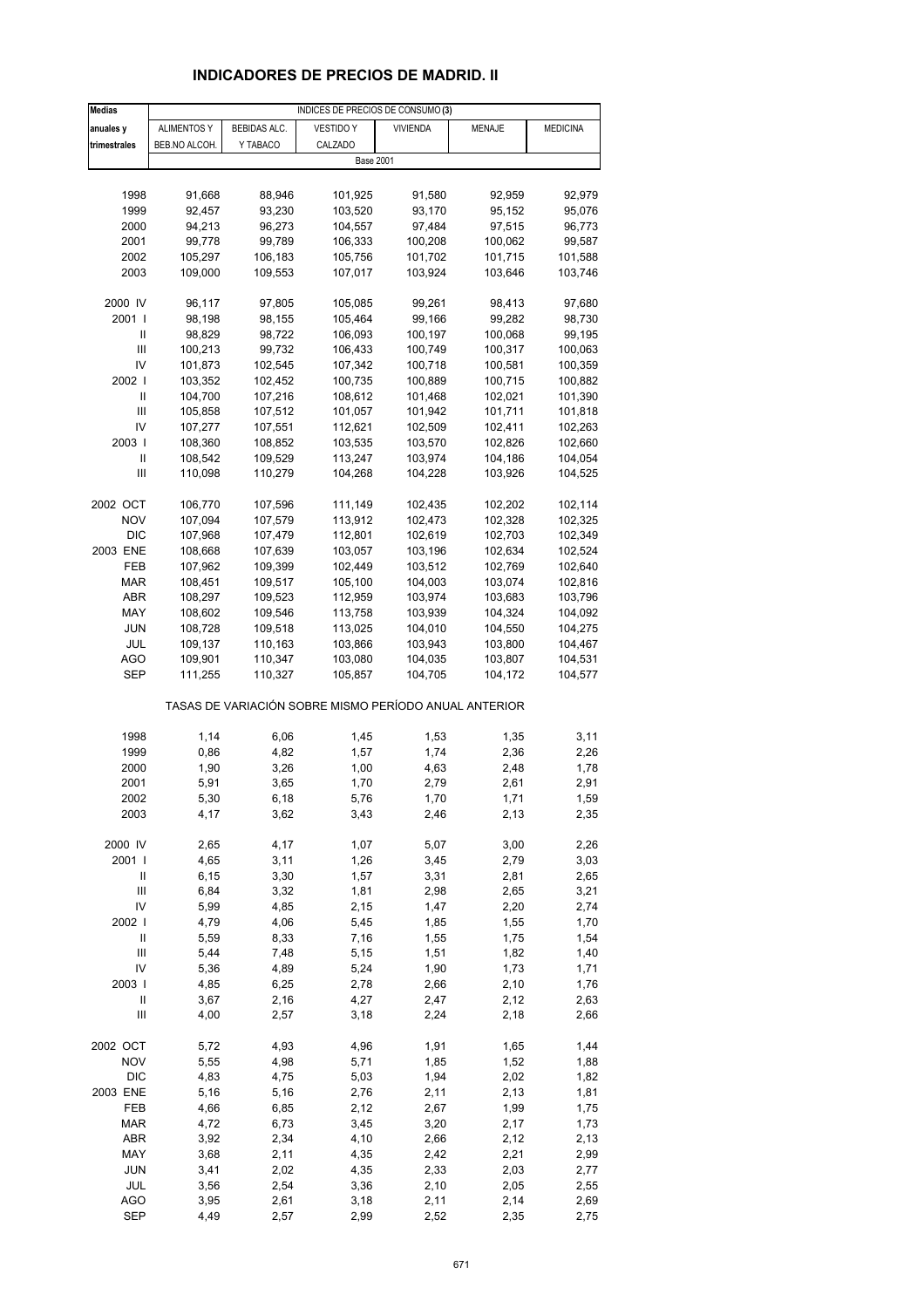# **INDICADORES DE PRECIOS DE MADRID. II**

| <b>Medias</b>              | INDICES DE PRECIOS DE CONSUMO (3) |                    |                                                       |                    |                    |                    |
|----------------------------|-----------------------------------|--------------------|-------------------------------------------------------|--------------------|--------------------|--------------------|
| anuales y                  | <b>ALIMENTOS Y</b>                | BEBIDAS ALC.       | <b>VESTIDO Y</b>                                      | <b>VIVIENDA</b>    | MENAJE             | <b>MEDICINA</b>    |
| trimestrales               | BEB.NO ALCOH.                     | Y TABACO           | CALZADO                                               |                    |                    |                    |
|                            |                                   |                    | <b>Base 2001</b>                                      |                    |                    |                    |
|                            |                                   |                    |                                                       |                    |                    |                    |
| 1998                       | 91,668                            | 88,946             | 101,925                                               | 91,580             | 92,959             | 92,979             |
| 1999                       | 92,457                            | 93,230             | 103,520                                               | 93,170             | 95,152             | 95,076             |
| 2000                       | 94,213                            | 96,273             | 104,557                                               | 97,484             | 97,515             | 96,773             |
| 2001                       | 99,778                            | 99,789             | 106,333                                               | 100,208            | 100,062            | 99,587             |
| 2002                       | 105,297                           | 106,183            | 105,756                                               | 101,702            | 101,715            | 101,588            |
| 2003                       | 109,000                           | 109,553            | 107,017                                               | 103,924            | 103,646            | 103,746            |
|                            |                                   |                    |                                                       |                    |                    |                    |
| 2000 IV                    | 96,117                            | 97,805             | 105,085                                               | 99,261             | 98,413             | 97,680             |
| 2001 l                     | 98,198                            | 98,155             | 105,464                                               | 99,166             | 99,282             | 98,730             |
| Ш                          | 98,829                            | 98,722             | 106,093                                               | 100,197            | 100,068            | 99,195             |
| Ш                          | 100,213                           | 99,732             | 106,433                                               | 100,749            | 100,317            | 100,063            |
| IV                         | 101,873                           | 102,545            | 107,342                                               | 100,718            | 100,581            | 100,359            |
| 2002                       | 103,352                           | 102,452            | 100,735                                               | 100,889            | 100,715            | 100,882            |
| Ш                          | 104,700                           | 107,216            | 108,612                                               | 101,468            | 102,021            | 101,390            |
| Ш                          | 105,858                           | 107,512            | 101,057                                               | 101,942            | 101,711            | 101,818            |
| IV<br>2003                 | 107,277<br>108,360                | 107,551<br>108,852 | 112,621                                               | 102,509            | 102,411<br>102,826 | 102,263<br>102,660 |
| Ш                          | 108,542                           | 109,529            | 103,535<br>113,247                                    | 103,570<br>103,974 | 104,186            | 104,054            |
| Ш                          | 110,098                           | 110,279            | 104,268                                               | 104,228            | 103,926            | 104,525            |
|                            |                                   |                    |                                                       |                    |                    |                    |
| 2002 OCT                   | 106,770                           | 107,596            | 111,149                                               | 102,435            | 102,202            | 102,114            |
| <b>NOV</b>                 | 107,094                           | 107,579            | 113,912                                               | 102,473            | 102,328            | 102,325            |
| <b>DIC</b>                 | 107,968                           | 107,479            | 112,801                                               | 102,619            | 102,703            | 102,349            |
| 2003 ENE                   | 108,668                           | 107,639            | 103,057                                               | 103,196            | 102,634            | 102,524            |
| FEB                        | 107,962                           | 109,399            | 102,449                                               | 103,512            | 102,769            | 102,640            |
| MAR                        | 108,451                           | 109,517            | 105,100                                               | 104,003            | 103,074            | 102,816            |
| ABR                        | 108,297                           | 109,523            | 112,959                                               | 103,974            | 103,683            | 103,796            |
| MAY                        | 108,602                           | 109,546            | 113,758                                               | 103,939            | 104,324            | 104,092            |
| <b>JUN</b>                 | 108,728                           | 109,518            | 113,025                                               | 104,010            | 104,550            | 104,275            |
| JUL                        | 109,137                           | 110,163            | 103,866                                               | 103,943            | 103,800            | 104,467            |
| <b>AGO</b>                 | 109,901                           | 110,347            | 103,080                                               | 104,035            | 103,807            | 104,531            |
| SEP                        | 111,255                           | 110,327            | 105,857                                               | 104,705            | 104,172            | 104,577            |
|                            |                                   |                    | TASAS DE VARIACIÓN SOBRE MISMO PERÍODO ANUAL ANTERIOR |                    |                    |                    |
| 1998                       | 1,14                              | 6,06               | 1,45                                                  | 1,53               | 1,35               | 3,11               |
| 1999                       | 0,86                              | 4,82               | 1,57                                                  | 1,74               | 2,36               | 2,26               |
| 2000                       | 1,90                              | 3,26               | 1,00                                                  | 4,63               | 2,48               | 1,78               |
| 2001                       | 5,91                              | 3,65               | 1,70                                                  | 2,79               | 2,61               | 2,91               |
| 2002                       | 5,30                              | 6,18               | 5,76                                                  | 1,70               | 1,71               | 1,59               |
| 2003                       | 4,17                              | 3,62               | 3,43                                                  | 2,46               | 2,13               | 2,35               |
|                            |                                   |                    |                                                       |                    |                    |                    |
| 2000 IV                    | 2,65                              | 4,17               | 1,07                                                  | 5,07               | 3,00               | 2,26               |
| 2001 l                     | 4,65                              | 3,11               | 1,26                                                  | 3,45               | 2,79               | 3,03               |
| Ш                          | 6, 15                             | 3,30               | 1,57                                                  | 3,31               | 2,81               | 2,65               |
| $\mathsf{III}$             | 6,84                              | 3,32               | 1,81                                                  | 2,98               | 2,65               | 3,21               |
| IV<br>2002                 | 5,99                              | 4,85               | 2,15                                                  | 1,47               | 2,20               | 2,74               |
| $\sf II$                   | 4,79<br>5,59                      | 4,06<br>8,33       | 5,45<br>7,16                                          | 1,85<br>1,55       | 1,55<br>1,75       | 1,70<br>1,54       |
| $\mathsf{III}$             | 5,44                              | 7,48               | 5,15                                                  | 1,51               | 1,82               | 1,40               |
| IV                         | 5,36                              | 4,89               | 5,24                                                  | 1,90               | 1,73               | 1,71               |
| 2003                       | 4,85                              | 6,25               | 2,78                                                  | 2,66               | 2,10               | 1,76               |
| $\ensuremath{\mathsf{II}}$ | 3,67                              | 2,16               | 4,27                                                  | 2,47               | 2,12               | 2,63               |
| Ш                          | 4,00                              | 2,57               | 3,18                                                  | 2,24               | 2,18               | 2,66               |
|                            |                                   |                    |                                                       |                    |                    |                    |
| 2002 OCT                   | 5,72                              | 4,93               | 4,96                                                  | 1,91               | 1,65               | 1,44               |
| <b>NOV</b>                 | 5,55                              | 4,98               | 5,71                                                  | 1,85               | 1,52               | 1,88               |
| <b>DIC</b>                 | 4,83                              | 4,75               | 5,03                                                  | 1,94               | 2,02               | 1,82               |
| 2003 ENE                   | 5,16                              | 5,16               | 2,76                                                  | 2,11               | 2,13               | 1,81               |
| FEB                        | 4,66                              | 6,85               | 2,12                                                  | 2,67               | 1,99               | 1,75               |
| <b>MAR</b>                 | 4,72                              | 6,73               | 3,45                                                  | 3,20               | 2,17               | 1,73               |
| <b>ABR</b>                 | 3,92                              | 2,34               | 4,10                                                  | 2,66               | 2,12               | 2,13               |
| MAY                        | 3,68                              | 2,11               | 4,35                                                  | 2,42               | 2,21               | 2,99               |
| <b>JUN</b><br>JUL          | 3,41<br>3,56                      | 2,02<br>2,54       | 4,35<br>3,36                                          | 2,33<br>2,10       | 2,03<br>2,05       | 2,77<br>2,55       |
| <b>AGO</b>                 | 3,95                              | 2,61               | 3,18                                                  | 2,11               | 2,14               | 2,69               |
| SEP                        | 4,49                              | 2,57               | 2,99                                                  | 2,52               | 2,35               | 2,75               |
|                            |                                   |                    |                                                       |                    |                    |                    |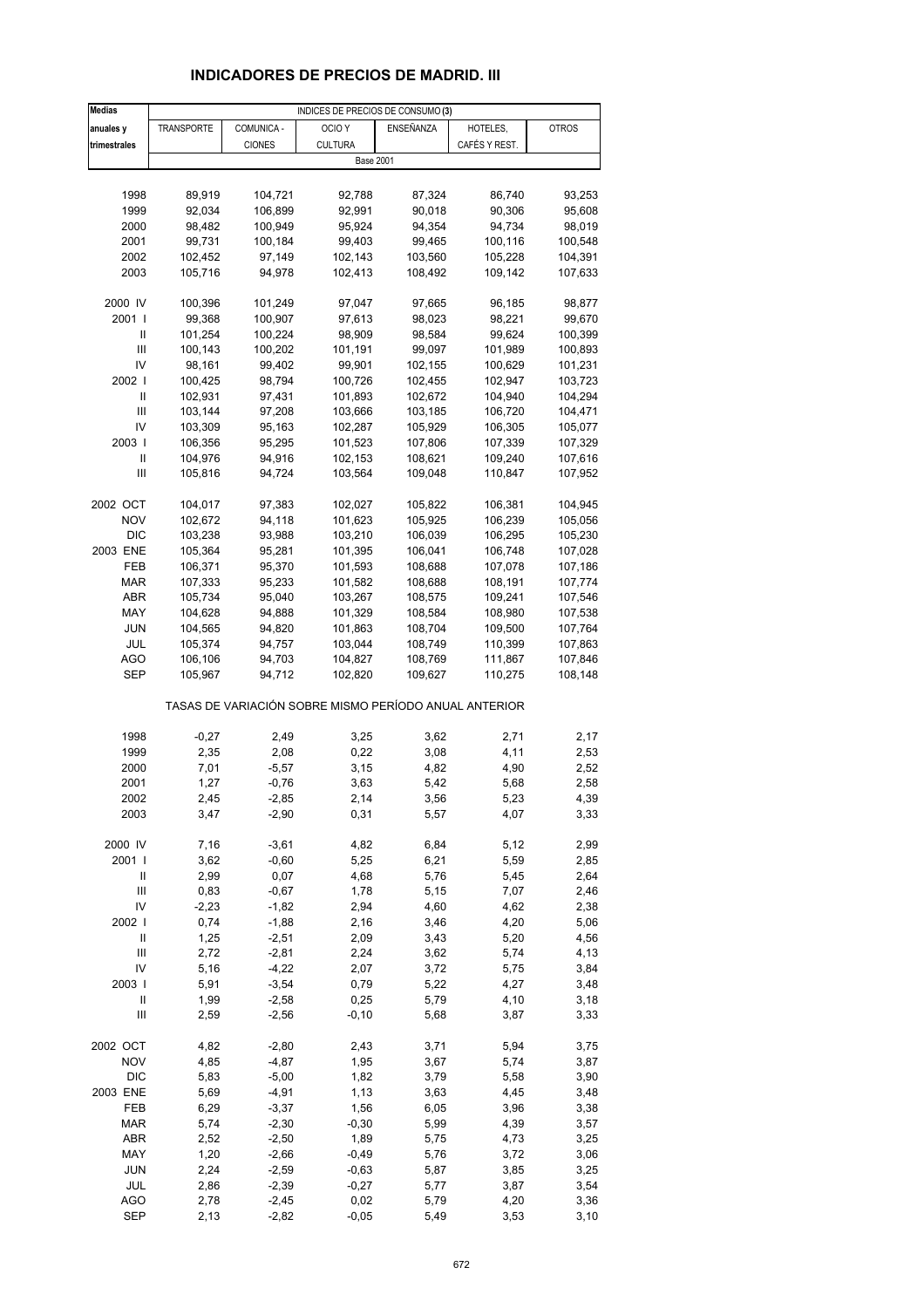# **INDICADORES DE PRECIOS DE MADRID. III**

| <b>Medias</b>              | INDICES DE PRECIOS DE CONSUMO (3) |               |                                                       |           |               |              |
|----------------------------|-----------------------------------|---------------|-------------------------------------------------------|-----------|---------------|--------------|
| anuales y                  | <b>TRANSPORTE</b>                 | COMUNICA -    | OCIO <sub>Y</sub>                                     | ENSEÑANZA | HOTELES,      | <b>OTROS</b> |
| trimestrales               |                                   | <b>CIONES</b> | <b>CULTURA</b>                                        |           | CAFÉS Y REST. |              |
|                            |                                   |               | <b>Base 2001</b>                                      |           |               |              |
|                            |                                   |               |                                                       |           |               |              |
| 1998                       | 89,919                            | 104,721       | 92,788                                                | 87,324    | 86,740        | 93,253       |
| 1999                       | 92,034                            | 106,899       | 92,991                                                | 90,018    | 90,306        | 95,608       |
| 2000                       | 98,482                            | 100,949       | 95,924                                                | 94,354    | 94,734        | 98,019       |
| 2001                       | 99,731                            | 100,184       | 99,403                                                | 99,465    | 100,116       | 100,548      |
| 2002                       | 102,452                           | 97,149        | 102,143                                               | 103,560   | 105,228       | 104,391      |
|                            |                                   | 94,978        |                                                       |           |               |              |
| 2003                       | 105,716                           |               | 102,413                                               | 108,492   | 109,142       | 107,633      |
| 2000 IV                    | 100,396                           | 101,249       | 97,047                                                | 97,665    | 96,185        | 98,877       |
| 2001                       | 99,368                            | 100,907       | 97,613                                                | 98,023    | 98,221        | 99,670       |
| Ш                          | 101,254                           | 100,224       | 98,909                                                | 98,584    | 99,624        | 100,399      |
| $\mathbf{III}$             | 100,143                           | 100,202       | 101,191                                               | 99,097    | 101,989       | 100,893      |
| IV                         | 98,161                            | 99,402        | 99,901                                                | 102,155   | 100,629       | 101,231      |
| 2002                       |                                   | 98,794        | 100,726                                               |           | 102,947       |              |
| Ш                          | 100,425                           |               |                                                       | 102,455   |               | 103,723      |
|                            | 102,931                           | 97,431        | 101,893                                               | 102,672   | 104,940       | 104,294      |
| Ш                          | 103,144                           | 97,208        | 103,666                                               | 103,185   | 106,720       | 104,471      |
| IV                         | 103,309                           | 95,163        | 102,287                                               | 105,929   | 106,305       | 105,077      |
| 2003                       | 106,356                           | 95,295        | 101,523                                               | 107,806   | 107,339       | 107,329      |
| Ш                          | 104,976                           | 94,916        | 102,153                                               | 108,621   | 109,240       | 107,616      |
| $\mathbf{III}$             | 105,816                           | 94,724        | 103,564                                               | 109,048   | 110,847       | 107,952      |
|                            |                                   |               |                                                       |           |               |              |
| 2002 OCT                   | 104,017                           | 97,383        | 102,027                                               | 105,822   | 106,381       | 104,945      |
| <b>NOV</b>                 | 102,672                           | 94,118        | 101,623                                               | 105,925   | 106,239       | 105,056      |
| <b>DIC</b>                 | 103,238                           | 93,988        | 103,210                                               | 106,039   | 106,295       | 105,230      |
| 2003 ENE                   | 105,364                           | 95,281        | 101,395                                               | 106,041   | 106,748       | 107,028      |
| FEB                        | 106,371                           | 95,370        | 101,593                                               | 108,688   | 107,078       | 107,186      |
| MAR                        | 107,333                           | 95,233        | 101,582                                               | 108,688   | 108,191       | 107,774      |
| ABR                        | 105,734                           | 95,040        | 103,267                                               | 108,575   | 109,241       | 107,546      |
| MAY                        | 104,628                           | 94,888        | 101,329                                               | 108,584   | 108,980       | 107,538      |
| <b>JUN</b>                 | 104,565                           | 94,820        | 101,863                                               | 108,704   | 109,500       | 107,764      |
| JUL                        | 105,374                           | 94,757        | 103,044                                               | 108,749   | 110,399       | 107,863      |
| <b>AGO</b>                 | 106,106                           | 94,703        | 104,827                                               | 108,769   | 111,867       | 107,846      |
| SEP                        | 105,967                           | 94,712        | 102,820                                               | 109,627   | 110,275       | 108,148      |
|                            |                                   |               | TASAS DE VARIACIÓN SOBRE MISMO PERÍODO ANUAL ANTERIOR |           |               |              |
| 1998                       | $-0,27$                           | 2,49          | 3,25                                                  | 3,62      | 2,71          | 2,17         |
| 1999                       | 2,35                              | 2,08          | 0,22                                                  | 3,08      | 4,11          | 2,53         |
| 2000                       | 7,01                              | $-5,57$       | 3,15                                                  | 4,82      | 4,90          | 2,52         |
| 2001                       | 1,27                              | $-0,76$       | 3,63                                                  | 5,42      | 5,68          | 2,58         |
| 2002                       | 2,45                              | -2,85         | 2,14                                                  | 3,56      | 5,23          | 4,39         |
| 2003                       | 3,47                              | $-2,90$       | 0,31                                                  | 5,57      | 4,07          | 3,33         |
|                            |                                   |               |                                                       |           |               |              |
| 2000 IV                    | 7,16                              | $-3,61$       | 4,82                                                  | 6,84      | 5,12          | 2,99         |
| 2001 l                     | 3,62                              | $-0,60$       | 5,25                                                  | 6,21      | 5,59          | 2,85         |
| Ш                          | 2,99                              | 0,07          | 4,68                                                  | 5,76      | 5,45          | 2,64         |
| Ш                          | 0,83                              | $-0,67$       | 1,78                                                  | 5,15      | 7,07          | 2,46         |
| IV                         | $-2,23$                           | $-1,82$       | 2,94                                                  | 4,60      | 4,62          | 2,38         |
| 2002                       | 0,74                              | $-1,88$       | 2,16                                                  | 3,46      | 4,20          | 5,06         |
| $\ensuremath{\mathsf{II}}$ | 1,25                              | $-2,51$       | 2,09                                                  | 3,43      | 5,20          | 4,56         |
| $\mathsf{III}$             | 2,72                              | $-2,81$       | 2,24                                                  | 3,62      | 5,74          | 4,13         |
| IV                         | 5,16                              | $-4,22$       | 2,07                                                  | 3,72      | 5,75          | 3,84         |
| 2003                       | 5,91                              | $-3,54$       | 0,79                                                  | 5,22      | 4,27          | 3,48         |
| $\ensuremath{\mathsf{II}}$ | 1,99                              | $-2,58$       | 0,25                                                  | 5,79      | 4,10          | 3,18         |
| Ш                          | 2,59                              | $-2,56$       | $-0, 10$                                              | 5,68      | 3,87          | 3,33         |
|                            |                                   |               |                                                       |           |               |              |
| 2002 OCT                   | 4,82                              | $-2,80$       | 2,43                                                  | 3,71      | 5,94          | 3,75         |
| <b>NOV</b>                 | 4,85                              | $-4,87$       | 1,95                                                  | 3,67      | 5,74          | 3,87         |
| <b>DIC</b>                 | 5,83                              | $-5,00$       | 1,82                                                  | 3,79      | 5,58          | 3,90         |
| 2003 ENE                   | 5,69                              | $-4,91$       | 1,13                                                  | 3,63      | 4,45          | 3,48         |
| FEB                        | 6,29                              | $-3,37$       | 1,56                                                  | 6,05      | 3,96          | 3,38         |
| <b>MAR</b>                 | 5,74                              | $-2,30$       | $-0,30$                                               | 5,99      | 4,39          | 3,57         |
| ABR                        | 2,52                              | $-2,50$       | 1,89                                                  | 5,75      | 4,73          | 3,25         |
| MAY                        | 1,20                              | $-2,66$       | $-0,49$                                               | 5,76      | 3,72          | 3,06         |
| JUN                        | 2,24                              | $-2,59$       | $-0,63$                                               | 5,87      | 3,85          | 3,25         |
| JUL                        | 2,86                              | $-2,39$       | $-0,27$                                               | 5,77      | 3,87          | 3,54         |
| <b>AGO</b>                 | 2,78                              | $-2,45$       | 0,02                                                  | 5,79      | 4,20          | 3,36         |
| <b>SEP</b>                 | 2,13                              | $-2,82$       | $-0,05$                                               | 5,49      | 3,53          | 3,10         |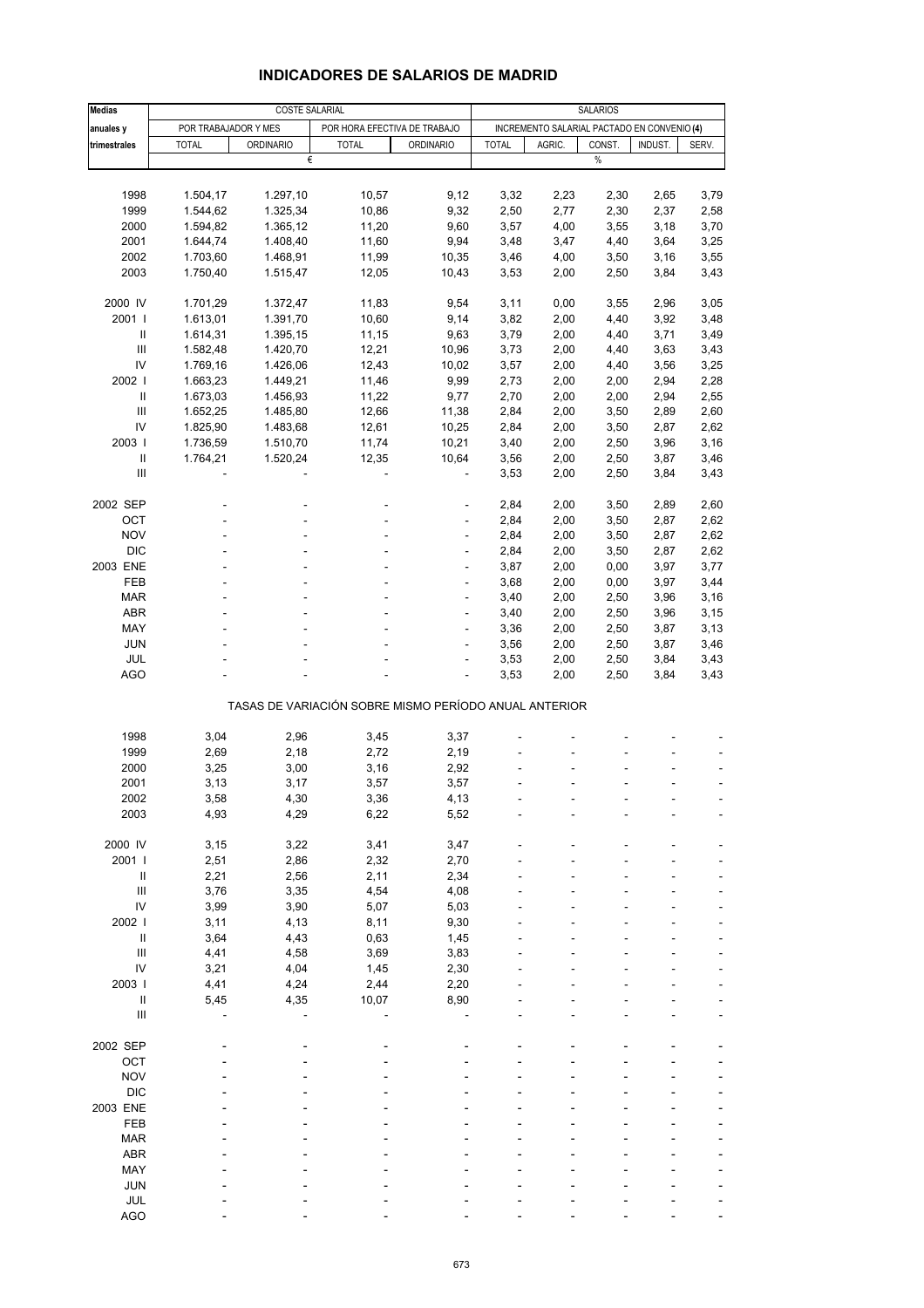| <b>Medias</b>                      | COSTE SALARIAL       |                  |                              |                                                       | <b>SALARIOS</b> |                                             |        |         |       |
|------------------------------------|----------------------|------------------|------------------------------|-------------------------------------------------------|-----------------|---------------------------------------------|--------|---------|-------|
| anuales y                          | POR TRABAJADOR Y MES |                  | POR HORA EFECTIVA DE TRABAJO |                                                       |                 | INCREMENTO SALARIAL PACTADO EN CONVENIO (4) |        |         |       |
| trimestrales                       | <b>TOTAL</b>         | <b>ORDINARIO</b> | <b>TOTAL</b>                 | <b>ORDINARIO</b>                                      | <b>TOTAL</b>    | AGRIC.                                      | CONST. | INDUST. | SERV. |
|                                    |                      | €                |                              |                                                       |                 |                                             | $\%$   |         |       |
|                                    |                      |                  |                              |                                                       |                 |                                             |        |         |       |
| 1998                               | 1.504,17             | 1.297,10         | 10,57                        | 9,12                                                  | 3,32            | 2,23                                        | 2,30   | 2,65    | 3,79  |
| 1999                               | 1.544,62             | 1.325,34         | 10,86                        | 9,32                                                  | 2,50            | 2,77                                        | 2,30   | 2,37    | 2,58  |
| 2000                               |                      |                  | 11,20                        | 9,60                                                  | 3,57            | 4,00                                        | 3,55   | 3,18    | 3,70  |
| 2001                               | 1.594,82             | 1.365,12         |                              |                                                       |                 |                                             |        |         |       |
|                                    | 1.644,74             | 1.408,40         | 11,60                        | 9,94                                                  | 3,48            | 3,47                                        | 4,40   | 3,64    | 3,25  |
| 2002                               | 1.703,60             | 1.468,91         | 11,99                        | 10,35                                                 | 3,46            | 4,00                                        | 3,50   | 3,16    | 3,55  |
| 2003                               | 1.750,40             | 1.515,47         | 12,05                        | 10,43                                                 | 3,53            | 2,00                                        | 2,50   | 3,84    | 3,43  |
|                                    |                      |                  |                              |                                                       |                 |                                             |        |         |       |
| 2000 IV                            | 1.701,29             | 1.372,47         | 11,83                        | 9,54                                                  | 3,11            | 0,00                                        | 3,55   | 2,96    | 3,05  |
| 2001                               | 1.613,01             | 1.391,70         | 10,60                        | 9,14                                                  | 3,82            | 2,00                                        | 4,40   | 3,92    | 3,48  |
| $\ensuremath{\mathsf{II}}$         | 1.614,31             | 1.395,15         | 11,15                        | 9,63                                                  | 3,79            | 2,00                                        | 4,40   | 3,71    | 3,49  |
| Ш                                  | 1.582,48             | 1.420,70         | 12,21                        | 10,96                                                 | 3,73            | 2,00                                        | 4,40   | 3,63    | 3,43  |
| IV                                 | 1.769,16             | 1.426,06         | 12,43                        | 10,02                                                 | 3,57            | 2,00                                        | 4,40   | 3,56    | 3,25  |
| 2002                               | 1.663,23             | 1.449,21         | 11,46                        | 9,99                                                  | 2,73            | 2,00                                        | 2,00   | 2,94    | 2,28  |
| Ш                                  | 1.673,03             | 1.456,93         | 11,22                        | 9,77                                                  | 2,70            | 2,00                                        | 2,00   | 2,94    | 2,55  |
| $\mathbf{III}$                     | 1.652,25             | 1.485,80         | 12,66                        | 11,38                                                 | 2,84            | 2,00                                        | 3,50   | 2,89    | 2,60  |
| IV                                 | 1.825,90             | 1.483,68         | 12,61                        | 10,25                                                 | 2,84            | 2,00                                        | 3,50   | 2,87    | 2,62  |
| 2003                               | 1.736,59             | 1.510,70         | 11,74                        | 10,21                                                 | 3,40            | 2,00                                        | 2,50   | 3,96    | 3,16  |
| $\ensuremath{\mathsf{II}}$         | 1.764,21             | 1.520,24         | 12,35                        | 10,64                                                 | 3,56            | 2,00                                        | 2,50   | 3,87    | 3,46  |
| $\ensuremath{\mathsf{III}}\xspace$ |                      |                  |                              | $\overline{a}$                                        | 3,53            | 2,00                                        | 2,50   | 3,84    | 3,43  |
|                                    |                      |                  |                              |                                                       |                 |                                             |        |         |       |
| 2002 SEP                           |                      |                  |                              | ÷                                                     | 2,84            | 2,00                                        | 3,50   | 2,89    | 2,60  |
| OCT                                |                      |                  |                              |                                                       | 2,84            | 2,00                                        | 3,50   | 2,87    | 2,62  |
| <b>NOV</b>                         |                      |                  |                              | ÷,                                                    | 2,84            | 2,00                                        | 3,50   | 2,87    | 2,62  |
| <b>DIC</b>                         |                      |                  |                              |                                                       | 2,84            | 2,00                                        | 3,50   | 2,87    | 2,62  |
| 2003 ENE                           |                      |                  |                              |                                                       | 3,87            | 2,00                                        | 0,00   | 3,97    | 3,77  |
| FEB                                |                      |                  |                              | ÷                                                     | 3,68            | 2,00                                        | 0,00   | 3,97    | 3,44  |
|                                    |                      |                  |                              |                                                       |                 |                                             |        |         |       |
| <b>MAR</b>                         |                      |                  |                              | $\frac{1}{2}$                                         | 3,40            | 2,00                                        | 2,50   | 3,96    | 3,16  |
| <b>ABR</b>                         |                      |                  |                              |                                                       | 3,40            | 2,00                                        | 2,50   | 3,96    | 3,15  |
| MAY                                |                      |                  |                              | ÷                                                     | 3,36            | 2,00                                        | 2,50   | 3,87    | 3,13  |
| <b>JUN</b>                         |                      |                  |                              | $\frac{1}{2}$                                         | 3,56            | 2,00                                        | 2,50   | 3,87    | 3,46  |
| JUL                                |                      |                  |                              |                                                       | 3,53            | 2,00                                        | 2,50   | 3,84    | 3,43  |
| <b>AGO</b>                         |                      |                  |                              | ÷,                                                    | 3,53            | 2,00                                        | 2,50   | 3,84    | 3,43  |
|                                    |                      |                  |                              | TASAS DE VARIACIÓN SOBRE MISMO PERÍODO ANUAL ANTERIOR |                 |                                             |        |         |       |
|                                    |                      |                  |                              |                                                       |                 |                                             |        |         |       |
| 1998                               | 3,04                 | 2,96             | 3,45                         | 3,37                                                  |                 |                                             |        |         |       |
| 1999                               | 2,69                 | 2,18             | 2,72                         | 2,19                                                  |                 |                                             |        |         |       |
| 2000                               | 3,25                 | 3,00             | 3,16                         | 2,92                                                  |                 |                                             |        |         |       |
| 2001                               | 3,13                 | 3,17             | 3,57                         | 3,57                                                  |                 |                                             |        |         |       |
| 2002                               | 3,58                 | 4,30             | 3,36                         | 4,13                                                  |                 |                                             |        |         |       |
| 2003                               | 4,93                 | 4,29             | 6,22                         | 5,52                                                  |                 |                                             |        |         |       |
|                                    |                      |                  |                              |                                                       |                 |                                             |        |         |       |
| 2000 IV                            | 3,15                 | 3,22             | 3,41                         | 3,47                                                  |                 |                                             |        |         |       |
| 2001 l                             | 2,51                 | 2,86             | 2,32                         | 2,70                                                  |                 |                                             |        |         |       |
| $\, \parallel$                     | 2,21                 | 2,56             | 2,11                         | 2,34                                                  |                 |                                             |        |         |       |
| $\mathbf{III}$                     | 3,76                 | 3,35             | 4,54                         | 4,08                                                  |                 |                                             |        |         |       |
| IV                                 | 3,99                 | 3,90             | 5,07                         | 5,03                                                  |                 |                                             |        |         |       |
| 2002 l                             | 3,11                 | 4,13             | 8,11                         | 9,30                                                  |                 |                                             |        |         |       |
| $\ensuremath{\mathsf{II}}$         | 3,64                 | 4,43             | 0,63                         | 1,45                                                  |                 |                                             |        |         |       |
| $\mathop{\mathrm{III}}\nolimits$   | 4,41                 | 4,58             | 3,69                         | 3,83                                                  |                 |                                             |        |         |       |
| IV                                 | 3,21                 | 4,04             | 1,45                         | 2,30                                                  |                 |                                             |        |         |       |
| 2003                               | 4,41                 | 4,24             | 2,44                         | 2,20                                                  |                 |                                             |        |         |       |
| $\sf II$                           | 5,45                 | 4,35             | 10,07                        | 8,90                                                  |                 |                                             |        |         |       |
| $\mathbf{III}$                     |                      |                  |                              |                                                       |                 |                                             |        |         |       |
|                                    |                      |                  |                              |                                                       |                 |                                             |        |         |       |
| 2002 SEP                           |                      |                  |                              |                                                       |                 |                                             |        |         |       |
| OCT                                |                      |                  |                              |                                                       |                 |                                             |        |         |       |
| <b>NOV</b>                         |                      |                  |                              |                                                       |                 |                                             |        |         |       |
| <b>DIC</b>                         |                      |                  |                              |                                                       |                 |                                             |        |         |       |
| 2003 ENE                           |                      |                  |                              |                                                       |                 |                                             |        |         |       |
| FEB                                |                      |                  |                              |                                                       |                 |                                             |        |         |       |
| <b>MAR</b>                         |                      |                  |                              |                                                       |                 |                                             |        |         |       |
| ABR                                |                      |                  |                              |                                                       |                 |                                             |        |         |       |
|                                    |                      |                  |                              |                                                       |                 |                                             |        |         |       |
| MAY                                |                      |                  |                              |                                                       |                 |                                             |        |         |       |
| <b>JUN</b>                         |                      |                  |                              |                                                       |                 |                                             |        |         |       |
| <b>JUL</b>                         |                      |                  |                              |                                                       |                 |                                             |        |         |       |
| <b>AGO</b>                         |                      |                  |                              |                                                       |                 |                                             |        |         |       |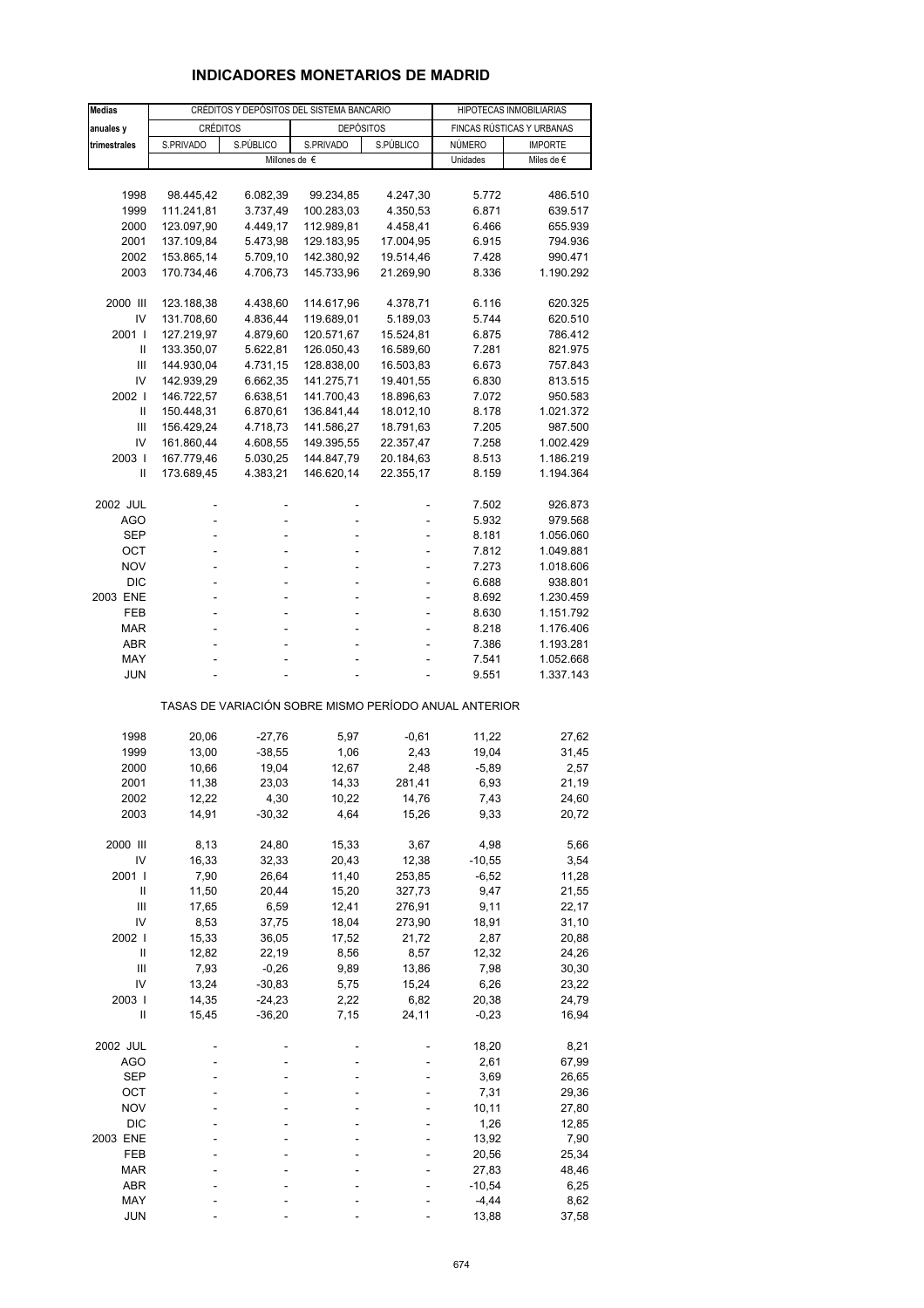## **INDICADORES MONETARIOS DE MADRID**

| <b>Medias</b>              | CRÉDITOS Y DEPÓSITOS DEL SISTEMA BANCARIO |           |                                                       |           | HIPOTECAS INMOBILIARIAS |                           |  |
|----------------------------|-------------------------------------------|-----------|-------------------------------------------------------|-----------|-------------------------|---------------------------|--|
| anuales y                  | <b>CRÉDITOS</b>                           |           | <b>DEPÓSITOS</b>                                      |           |                         | FINCAS RÚSTICAS Y URBANAS |  |
| trimestrales               | S.PRIVADO                                 | S.PÚBLICO | S.PRIVADO                                             | S.PÚBLICO | NÚMERO                  | <b>IMPORTE</b>            |  |
|                            |                                           |           | Millones de €                                         |           | Unidades                | Miles de €                |  |
|                            |                                           |           |                                                       |           |                         |                           |  |
| 1998                       | 98.445,42                                 | 6.082,39  | 99.234,85                                             | 4.247,30  | 5.772                   | 486.510                   |  |
| 1999                       | 111.241,81                                | 3.737,49  | 100.283,03                                            | 4.350,53  | 6.871                   | 639.517                   |  |
| 2000                       | 123.097,90                                | 4.449,17  | 112.989,81                                            | 4.458,41  | 6.466                   | 655.939                   |  |
| 2001                       | 137.109,84                                | 5.473,98  | 129.183,95                                            | 17.004,95 | 6.915                   | 794.936                   |  |
| 2002                       | 153.865,14                                | 5.709,10  | 142.380,92                                            | 19.514,46 | 7.428                   | 990.471                   |  |
| 2003                       | 170.734,46                                | 4.706,73  | 145.733,96                                            | 21.269,90 | 8.336                   | 1.190.292                 |  |
|                            |                                           |           |                                                       |           |                         |                           |  |
| 2000 III                   | 123.188,38                                | 4.438,60  | 114.617,96                                            | 4.378,71  | 6.116                   | 620.325                   |  |
| IV                         | 131.708,60                                | 4.836,44  | 119.689,01                                            | 5.189,03  | 5.744                   | 620.510                   |  |
| 2001 l                     | 127.219,97                                | 4.879,60  | 120.571,67                                            | 15.524,81 | 6.875                   | 786.412                   |  |
| Ш                          | 133.350,07                                | 5.622,81  | 126.050,43                                            | 16.589,60 | 7.281                   | 821.975                   |  |
| Ш                          | 144.930,04                                | 4.731,15  | 128.838,00                                            | 16.503,83 | 6.673                   | 757.843                   |  |
| IV                         | 142.939,29                                | 6.662,35  | 141.275,71                                            | 19.401,55 | 6.830                   | 813.515                   |  |
| 2002                       | 146.722,57                                | 6.638,51  | 141.700,43                                            | 18.896,63 | 7.072                   | 950.583                   |  |
| Ш                          | 150.448,31                                | 6.870,61  | 136.841,44                                            | 18.012,10 | 8.178                   | 1.021.372                 |  |
| Ш                          | 156.429,24                                | 4.718,73  | 141.586,27                                            | 18.791,63 | 7.205                   | 987.500                   |  |
| IV                         | 161.860,44                                | 4.608,55  | 149.395,55                                            | 22.357,47 | 7.258                   | 1.002.429                 |  |
| 2003                       | 167.779,46                                | 5.030,25  | 144.847,79                                            | 20.184,63 | 8.513                   | 1.186.219                 |  |
| Ш                          | 173.689,45                                | 4.383,21  | 146.620,14                                            | 22.355,17 | 8.159                   | 1.194.364                 |  |
|                            |                                           |           |                                                       |           |                         |                           |  |
| 2002 JUL                   |                                           |           |                                                       |           | 7.502                   | 926.873                   |  |
| <b>AGO</b>                 | L,                                        | L,        |                                                       |           | 5.932                   | 979.568                   |  |
| <b>SEP</b>                 |                                           |           |                                                       |           | 8.181                   | 1.056.060                 |  |
| OCT                        | ÷                                         | ä,        | $\overline{a}$                                        | ٠         | 7.812                   | 1.049.881                 |  |
| <b>NOV</b>                 |                                           |           |                                                       | ä,        | 7.273                   | 1.018.606                 |  |
| <b>DIC</b>                 |                                           |           |                                                       |           | 6.688                   | 938.801                   |  |
| 2003 ENE                   | ÷<br>ä,                                   | ä,        | $\overline{a}$                                        | ٠         | 8.692                   | 1.230.459                 |  |
| FEB<br><b>MAR</b>          |                                           | L,        |                                                       |           | 8.630                   | 1.151.792                 |  |
| <b>ABR</b>                 |                                           | ä,        | $\overline{a}$                                        | ÷         | 8.218<br>7.386          | 1.176.406<br>1.193.281    |  |
| MAY                        |                                           |           |                                                       |           | 7.541                   | 1.052.668                 |  |
| <b>JUN</b>                 |                                           |           |                                                       |           | 9.551                   | 1.337.143                 |  |
|                            |                                           |           |                                                       |           |                         |                           |  |
|                            |                                           |           | TASAS DE VARIACIÓN SOBRE MISMO PERÍODO ANUAL ANTERIOR |           |                         |                           |  |
| 1998                       | 20,06                                     | $-27,76$  | 5,97                                                  | $-0,61$   | 11,22                   | 27,62                     |  |
| 1999                       | 13,00                                     | $-38,55$  | 1,06                                                  | 2,43      | 19,04                   | 31,45                     |  |
| 2000                       | 10,66                                     | 19,04     | 12,67                                                 | 2,48      | $-5,89$                 | 2,57                      |  |
| 2001                       | 11,38                                     | 23,03     | 14,33                                                 | 281,41    | 6,93                    | 21,19                     |  |
| 2002                       | 12,22                                     | 4,30      | 10,22                                                 | 14,76     | 7,43                    | 24,60                     |  |
| 2003                       | 14,91                                     | $-30,32$  | 4,64                                                  | 15,26     | 9,33                    | 20,72                     |  |
|                            |                                           |           |                                                       |           |                         |                           |  |
| 2000 III                   | 8,13                                      | 24,80     | 15,33                                                 | 3,67      | 4,98                    | 5,66                      |  |
| IV                         | 16,33                                     | 32,33     | 20,43                                                 | 12,38     | $-10,55$                | 3,54                      |  |
| 2001                       | 7,90                                      | 26,64     | 11,40                                                 | 253,85    | $-6,52$                 | 11,28                     |  |
| Ш                          | 11,50                                     | 20,44     | 15,20                                                 | 327,73    | 9,47                    | 21,55                     |  |
| Ш                          | 17,65                                     | 6,59      | 12,41                                                 | 276,91    | 9,11                    | 22,17                     |  |
| IV                         | 8,53                                      | 37,75     | 18,04                                                 | 273,90    | 18,91                   | 31,10                     |  |
| 2002 l                     | 15,33                                     | 36,05     | 17,52                                                 | 21,72     | 2,87                    | 20,88                     |  |
| $\ensuremath{\mathsf{II}}$ | 12,82                                     | 22,19     | 8,56                                                  | 8,57      | 12,32                   | 24,26                     |  |
| $\mathbf{III}$             | 7,93                                      | $-0,26$   | 9,89                                                  | 13,86     | 7,98                    | 30,30                     |  |
| IV                         | 13,24                                     | $-30,83$  | 5,75                                                  | 15,24     | 6,26                    | 23,22                     |  |
| 2003                       | 14,35                                     | $-24,23$  | 2,22                                                  | 6,82      | 20,38                   | 24,79                     |  |
| Ш                          | 15,45                                     | $-36,20$  | 7,15                                                  | 24,11     | $-0,23$                 | 16,94                     |  |
| 2002 JUL                   |                                           |           |                                                       |           | 18,20                   | 8,21                      |  |
| <b>AGO</b>                 |                                           |           |                                                       |           | 2,61                    | 67,99                     |  |
| <b>SEP</b>                 |                                           |           |                                                       |           | 3,69                    | 26,65                     |  |
| ОСТ                        |                                           |           |                                                       |           | 7,31                    | 29,36                     |  |
| <b>NOV</b>                 |                                           |           |                                                       |           | 10,11                   | 27,80                     |  |
| <b>DIC</b>                 |                                           |           |                                                       |           | 1,26                    | 12,85                     |  |
| 2003 ENE                   |                                           |           |                                                       |           | 13,92                   | 7,90                      |  |
| FEB                        |                                           |           |                                                       |           | 20,56                   | 25,34                     |  |
| MAR                        |                                           |           |                                                       |           | 27,83                   | 48,46                     |  |
| ABR                        |                                           |           |                                                       |           | $-10,54$                | 6,25                      |  |
| MAY                        |                                           |           |                                                       |           | -4,44                   | 8,62                      |  |
| JUN                        |                                           |           |                                                       |           | 13,88                   | 37,58                     |  |